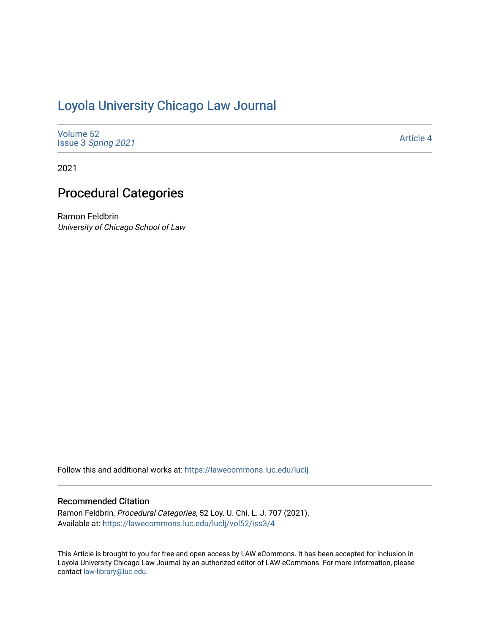# [Loyola University Chicago Law Journal](https://lawecommons.luc.edu/luclj)

| Volume 52<br>Issue 3 Spring 2021 | <b>Article 4</b> |
|----------------------------------|------------------|
|----------------------------------|------------------|

2021

## Procedural Categories

Ramon Feldbrin University of Chicago School of Law

Follow this and additional works at: [https://lawecommons.luc.edu/luclj](https://lawecommons.luc.edu/luclj?utm_source=lawecommons.luc.edu%2Fluclj%2Fvol52%2Fiss3%2F4&utm_medium=PDF&utm_campaign=PDFCoverPages) 

#### Recommended Citation

Ramon Feldbrin, Procedural Categories, 52 Loy. U. Chi. L. J. 707 (2021). Available at: [https://lawecommons.luc.edu/luclj/vol52/iss3/4](https://lawecommons.luc.edu/luclj/vol52/iss3/4?utm_source=lawecommons.luc.edu%2Fluclj%2Fvol52%2Fiss3%2F4&utm_medium=PDF&utm_campaign=PDFCoverPages) 

This Article is brought to you for free and open access by LAW eCommons. It has been accepted for inclusion in Loyola University Chicago Law Journal by an authorized editor of LAW eCommons. For more information, please contact [law-library@luc.edu.](mailto:law-library@luc.edu)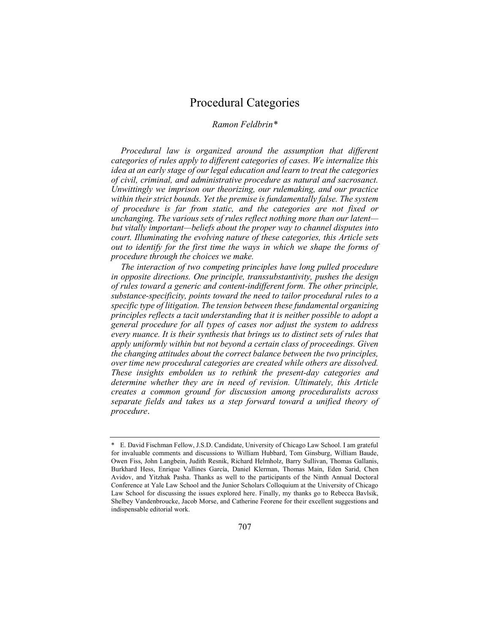## Procedural Categories

#### *Ramon Feldbrin\**

*Procedural law is organized around the assumption that different categories of rules apply to different categories of cases. We internalize this idea at an early stage of our legal education and learn to treat the categories of civil, criminal, and administrative procedure as natural and sacrosanct. Unwittingly we imprison our theorizing, our rulemaking, and our practice within their strict bounds. Yet the premise is fundamentally false. The system of procedure is far from static, and the categories are not fixed or unchanging. The various sets of rules reflect nothing more than our latent but vitally important—beliefs about the proper way to channel disputes into court. Illuminating the evolving nature of these categories, this Article sets out to identify for the first time the ways in which we shape the forms of procedure through the choices we make.*

*The interaction of two competing principles have long pulled procedure in opposite directions. One principle, transsubstantivity, pushes the design of rules toward a generic and content-indifferent form. The other principle, substance-specificity, points toward the need to tailor procedural rules to a specific type of litigation. The tension between these fundamental organizing principles reflects a tacit understanding that it is neither possible to adopt a general procedure for all types of cases nor adjust the system to address every nuance. It is their synthesis that brings us to distinct sets of rules that apply uniformly within but not beyond a certain class of proceedings. Given the changing attitudes about the correct balance between the two principles, over time new procedural categories are created while others are dissolved. These insights embolden us to rethink the present-day categories and determine whether they are in need of revision. Ultimately, this Article creates a common ground for discussion among proceduralists across separate fields and takes us a step forward toward a unified theory of procedure*.

<sup>\*</sup> E. David Fischman Fellow, J.S.D. Candidate, University of Chicago Law School. I am grateful for invaluable comments and discussions to William Hubbard, Tom Ginsburg, William Baude, Owen Fiss, John Langbein, Judith Resnik, Richard Helmholz, Barry Sullivan, Thomas Gallanis, Burkhard Hess, Enrique Vallines Garcίa, Daniel Klerman, Thomas Main, Eden Sarid, Chen Avidov, and Yitzhak Pasha. Thanks as well to the participants of the Ninth Annual Doctoral Conference at Yale Law School and the Junior Scholars Colloquium at the University of Chicago Law School for discussing the issues explored here. Finally, my thanks go to Rebecca Bavlsik, Shelbey Vandenbroucke, Jacob Morse, and Catherine Feorene for their excellent suggestions and indispensable editorial work.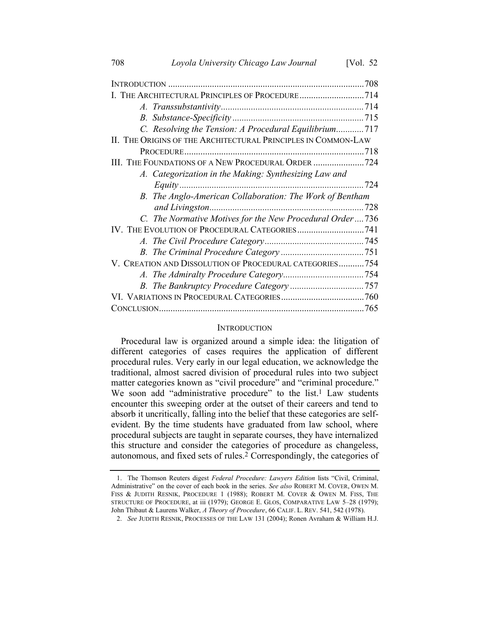| THE ARCHITECTURAL PRINCIPLES OF PROCEDURE714                  |  |
|---------------------------------------------------------------|--|
|                                                               |  |
|                                                               |  |
| C. Resolving the Tension: A Procedural Equilibrium717         |  |
| II. THE ORIGINS OF THE ARCHITECTURAL PRINCIPLES IN COMMON-LAW |  |
|                                                               |  |
| III. THE FOUNDATIONS OF A NEW PROCEDURAL ORDER 724            |  |
| A. Categorization in the Making: Synthesizing Law and         |  |
|                                                               |  |
| B. The Anglo-American Collaboration: The Work of Bentham      |  |
|                                                               |  |
| C. The Normative Motives for the New Procedural Order736      |  |
|                                                               |  |
|                                                               |  |
|                                                               |  |
| V. CREATION AND DISSOLUTION OF PROCEDURAL CATEGORIES754       |  |
|                                                               |  |
|                                                               |  |
|                                                               |  |
|                                                               |  |

#### <span id="page-2-1"></span><span id="page-2-0"></span>**INTRODUCTION**

Procedural law is organized around a simple idea: the litigation of different categories of cases requires the application of different procedural rules. Very early in our legal education, we acknowledge the traditional, almost sacred division of procedural rules into two subject matter categories known as "civil procedure" and "criminal procedure." We soon add "administrative procedure" to the list.<sup>1</sup> Law students encounter this sweeping order at the outset of their careers and tend to absorb it uncritically, falling into the belief that these categories are selfevident. By the time students have graduated from law school, where procedural subjects are taught in separate courses, they have internalized this structure and consider the categories of procedure as changeless, autonomous, and fixed sets of rules.2 Correspondingly, the categories of

<sup>1.</sup> The Thomson Reuters digest *Federal Procedure: Lawyers Edition* lists "Civil, Criminal, Administrative" on the cover of each book in the series. *See also* ROBERT M. COVER, OWEN M. FISS & JUDITH RESNIK, PROCEDURE 1 (1988); ROBERT M. COVER & OWEN M. FISS, THE STRUCTURE OF PROCEDURE, at iii (1979); GEORGE E. GLOS, COMPARATIVE LAW 5–28 (1979); John Thibaut & Laurens Walker, *A Theory of Procedure*, 66 CALIF. L. REV. 541, 542 (1978).

<sup>2.</sup> *See* JUDITH RESNIK, PROCESSES OF THE LAW 131 (2004); Ronen Avraham & William H.J.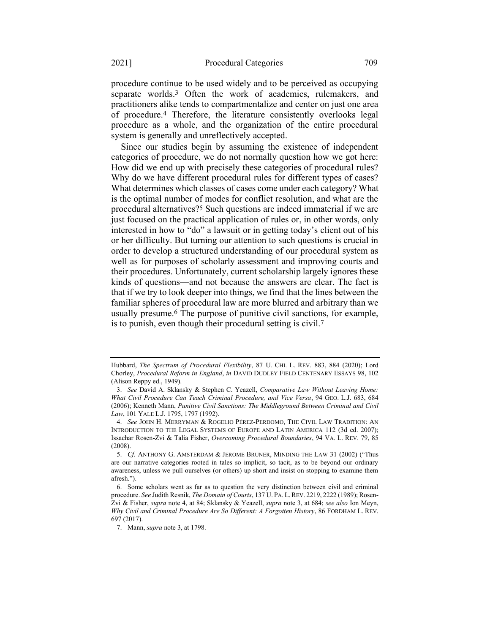<span id="page-3-1"></span><span id="page-3-0"></span>procedure continue to be used widely and to be perceived as occupying separate worlds.<sup>3</sup> Often the work of academics, rulemakers, and practitioners alike tends to compartmentalize and center on just one area of procedure.4 Therefore, the literature consistently overlooks legal procedure as a whole, and the organization of the entire procedural system is generally and unreflectively accepted.

<span id="page-3-2"></span>Since our studies begin by assuming the existence of independent categories of procedure, we do not normally question how we got here: How did we end up with precisely these categories of procedural rules? Why do we have different procedural rules for different types of cases? What determines which classes of cases come under each category? What is the optimal number of modes for conflict resolution, and what are the procedural alternatives?5 Such questions are indeed immaterial if we are just focused on the practical application of rules or, in other words, only interested in how to "do" a lawsuit or in getting today's client out of his or her difficulty. But turning our attention to such questions is crucial in order to develop a structured understanding of our procedural system as well as for purposes of scholarly assessment and improving courts and their procedures. Unfortunately, current scholarship largely ignores these kinds of questions—and not because the answers are clear. The fact is that if we try to look deeper into things, we find that the lines between the familiar spheres of procedural law are more blurred and arbitrary than we usually presume.6 The purpose of punitive civil sanctions, for example, is to punish, even though their procedural setting is civil.7

<span id="page-3-3"></span>Hubbard, *The Spectrum of Procedural Flexibility*, 87 U. CHI. L. REV. 883, 884 (2020); Lord Chorley, *Procedural Reform in England*, *in* DAVID DUDLEY FIELD CENTENARY ESSAYS 98, 102 (Alison Reppy ed., 1949).

<sup>3.</sup> *See* David A. Sklansky & Stephen C. Yeazell, *Comparative Law Without Leaving Home: What Civil Procedure Can Teach Criminal Procedure, and Vice Versa*, 94 GEO. L.J. 683, 684 (2006); Kenneth Mann, *Punitive Civil Sanctions: The Middleground Between Criminal and Civil Law*, 101 YALE L.J. 1795, 1797 (1992).

<sup>4.</sup> *See* JOHN H. MERRYMAN & ROGELIO PÉREZ-PERDOMO, THE CIVIL LAW TRADITION: AN INTRODUCTION TO THE LEGAL SYSTEMS OF EUROPE AND LATIN AMERICA 112 (3d ed. 2007); Issachar Rosen-Zvi & Talia Fisher, *Overcoming Procedural Boundaries*, 94 VA. L. REV. 79, 85 (2008).

<sup>5.</sup> *Cf.* ANTHONY G. AMSTERDAM & JEROME BRUNER, MINDING THE LAW 31 (2002) ("Thus are our narrative categories rooted in tales so implicit, so tacit, as to be beyond our ordinary awareness, unless we pull ourselves (or others) up short and insist on stopping to examine them afresh.").

<sup>6.</sup> Some scholars went as far as to question the very distinction between civil and criminal procedure. *See* Judith Resnik, *The Domain of Courts*, 137 U. PA. L.REV. 2219, 2222 (1989); Rosen-Zvi & Fisher, *supra* not[e 4,](#page-3-0) at 84; Sklansky & Yeazell, *supra* not[e 3,](#page-3-1) at 684; *see also* Ion Meyn, *Why Civil and Criminal Procedure Are So Different: A Forgotten History*, 86 FORDHAM L. REV. 697 (2017).

<sup>7.</sup> Mann, *supra* not[e 3,](#page-3-1) at 1798.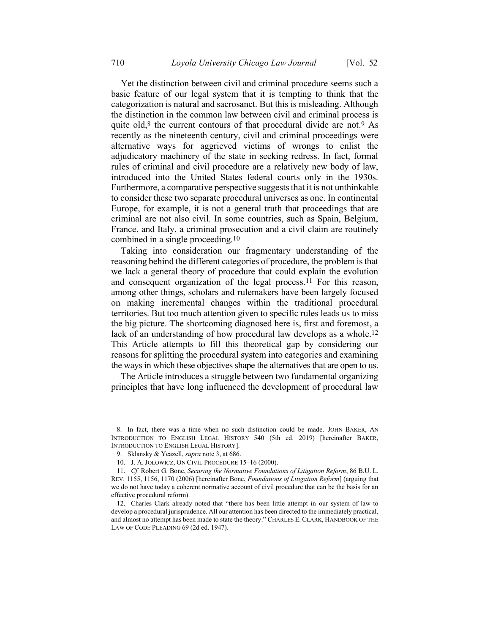<span id="page-4-1"></span>Yet the distinction between civil and criminal procedure seems such a basic feature of our legal system that it is tempting to think that the categorization is natural and sacrosanct. But this is misleading. Although the distinction in the common law between civil and criminal process is quite old, $8$  the current contours of that procedural divide are not.<sup>9</sup> As recently as the nineteenth century, civil and criminal proceedings were alternative ways for aggrieved victims of wrongs to enlist the adjudicatory machinery of the state in seeking redress. In fact, formal rules of criminal and civil procedure are a relatively new body of law, introduced into the United States federal courts only in the 1930s. Furthermore, a comparative perspective suggests that it is not unthinkable to consider these two separate procedural universes as one. In continental Europe, for example, it is not a general truth that proceedings that are criminal are not also civil. In some countries, such as Spain, Belgium, France, and Italy, a criminal prosecution and a civil claim are routinely combined in a single proceeding.10

<span id="page-4-3"></span><span id="page-4-0"></span>Taking into consideration our fragmentary understanding of the reasoning behind the different categories of procedure, the problem is that we lack a general theory of procedure that could explain the evolution and consequent organization of the legal process.11 For this reason, among other things, scholars and rulemakers have been largely focused on making incremental changes within the traditional procedural territories. But too much attention given to specific rules leads us to miss the big picture. The shortcoming diagnosed here is, first and foremost, a lack of an understanding of how procedural law develops as a whole.<sup>12</sup> This Article attempts to fill this theoretical gap by considering our reasons for splitting the procedural system into categories and examining the ways in which these objectives shape the alternatives that are open to us.

<span id="page-4-2"></span>The Article introduces a struggle between two fundamental organizing principles that have long influenced the development of procedural law

<sup>8.</sup> In fact, there was a time when no such distinction could be made. JOHN BAKER, AN INTRODUCTION TO ENGLISH LEGAL HISTORY 540 (5th ed. 2019) [hereinafter BAKER, INTRODUCTION TO ENGLISH LEGAL HISTORY].

<sup>9.</sup> Sklansky & Yeazell, *supra* note [3,](#page-3-1) at 686.

<sup>10.</sup> J. A. JOLOWICZ, ON CIVIL PROCEDURE 15–16 (2000).

<sup>11.</sup> *Cf.* Robert G. Bone, *Securing the Normative Foundations of Litigation Reform*, 86 B.U. L. REV. 1155, 1156, 1170 (2006) [hereinafter Bone, *Foundations of Litigation Reform*] (arguing that we do not have today a coherent normative account of civil procedure that can be the basis for an effective procedural reform).

<sup>12.</sup> Charles Clark already noted that "there has been little attempt in our system of law to develop a procedural jurisprudence. All our attention has been directed to the immediately practical, and almost no attempt has been made to state the theory." CHARLES E. CLARK, HANDBOOK OF THE LAW OF CODE PLEADING 69 (2d ed. 1947).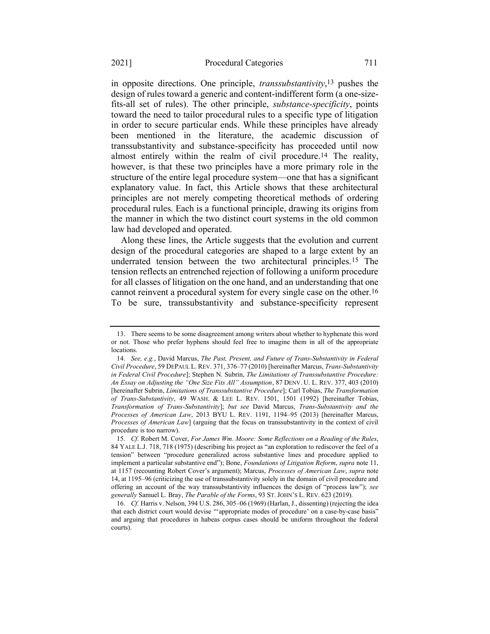<span id="page-5-0"></span>in opposite directions. One principle, *transsubstantivity*, 13 pushes the design of rules toward a generic and content-indifferent form (a one-sizefits-all set of rules). The other principle, *substance-specificity*, points toward the need to tailor procedural rules to a specific type of litigation in order to secure particular ends. While these principles have already been mentioned in the literature, the academic discussion of transsubstantivity and substance-specificity has proceeded until now almost entirely within the realm of civil procedure.14 The reality, however, is that these two principles have a more primary role in the structure of the entire legal procedure system—one that has a significant explanatory value. In fact, this Article shows that these architectural principles are not merely competing theoretical methods of ordering procedural rules. Each is a functional principle, drawing its origins from the manner in which the two distinct court systems in the old common law had developed and operated.

<span id="page-5-1"></span>Along these lines, the Article suggests that the evolution and current design of the procedural categories are shaped to a large extent by an underrated tension between the two architectural principles.15 The tension reflects an entrenched rejection of following a uniform procedure for all classes of litigation on the one hand, and an understanding that one cannot reinvent a procedural system for every single case on the other.16 To be sure, transsubstantivity and substance-specificity represent

<sup>13.</sup> There seems to be some disagreement among writers about whether to hyphenate this word or not. Those who prefer hyphens should feel free to imagine them in all of the appropriate locations.

<sup>14.</sup> *See, e.g.*, David Marcus, *The Past, Present, and Future of Trans-Substantivity in Federal Civil Procedure*, 59 DEPAUL L. REV. 371, 376–77 (2010) [hereinafter Marcus, *Trans-Substantivity in Federal Civil Procedure*]; Stephen N. Subrin, *The Limitations of Transsubstantive Procedure: An Essay on Adjusting the "One Size Fits All" Assumption*, 87 DENV. U. L. REV. 377, 403 (2010) [hereinafter Subrin, *Limitations of Transsubstantive Procedure*]; Carl Tobias, *The Transformation of Trans-Substantivity*, 49 WASH. & LEE L. REV. 1501, 1501 (1992) [hereinafter Tobias, *Transformation of Trans-Substantivity*]; *but see* David Marcus, *Trans-Substantivity and the Processes of American Law*, 2013 BYU L. REV. 1191, 1194–95 (2013) [hereinafter Marcus, *Processes of American Law*] (arguing that the focus on transsubstantivity in the context of civil procedure is too narrow).

<sup>15.</sup> *Cf.* Robert M. Cover, *For James Wm. Moore: Some Reflections on a Reading of the Rules*, 84 YALE L.J. 718, 718 (1975) (describing his project as "an exploration to rediscover the feel of a tension" between "procedure generalized across substantive lines and procedure applied to implement a particular substantive end"); Bone, *Foundations of Litigation Reform*, *supra* not[e 11,](#page-4-0)  at 1157 (recounting Robert Cover's argument); Marcus, *Processes of American Law*, *supra* note [14,](#page-5-0) at 1195–96 (criticizing the use of transsubstantivity solely in the domain of civil procedure and offering an account of the way transsubstantivity influences the design of "process law"); *see generally* Samuel L. Bray, *The Parable of the Forms*, 93 ST. JOHN'S L. REV. 623 (2019).

<sup>16.</sup> *Cf.* Harris v. Nelson, 394 U.S. 286, 305–06 (1969) (Harlan, J., dissenting) (rejecting the idea that each district court would devise "'appropriate modes of procedure' on a case-by-case basis" and arguing that procedures in habeas corpus cases should be uniform throughout the federal courts).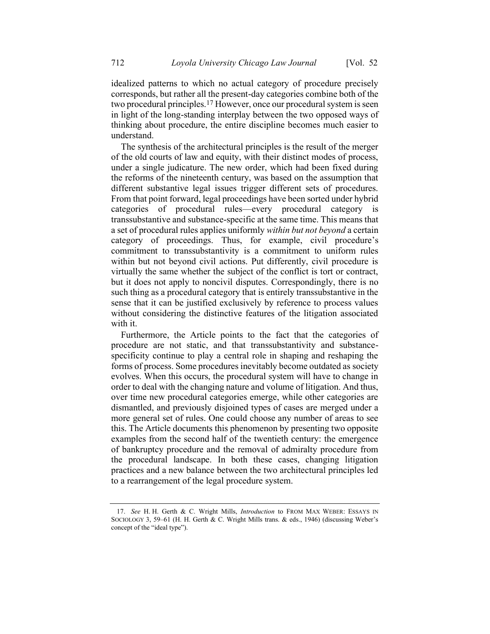idealized patterns to which no actual category of procedure precisely corresponds, but rather all the present-day categories combine both of the two procedural principles.17 However, once our procedural system is seen in light of the long-standing interplay between the two opposed ways of thinking about procedure, the entire discipline becomes much easier to understand.

The synthesis of the architectural principles is the result of the merger of the old courts of law and equity, with their distinct modes of process, under a single judicature. The new order, which had been fixed during the reforms of the nineteenth century, was based on the assumption that different substantive legal issues trigger different sets of procedures. From that point forward, legal proceedings have been sorted under hybrid categories of procedural rules—every procedural category is transsubstantive and substance-specific at the same time. This means that a set of procedural rules applies uniformly *within but not beyond* a certain category of proceedings. Thus, for example, civil procedure's commitment to transsubstantivity is a commitment to uniform rules within but not beyond civil actions. Put differently, civil procedure is virtually the same whether the subject of the conflict is tort or contract, but it does not apply to noncivil disputes. Correspondingly, there is no such thing as a procedural category that is entirely transsubstantive in the sense that it can be justified exclusively by reference to process values without considering the distinctive features of the litigation associated with it.

Furthermore, the Article points to the fact that the categories of procedure are not static, and that transsubstantivity and substancespecificity continue to play a central role in shaping and reshaping the forms of process. Some procedures inevitably become outdated as society evolves. When this occurs, the procedural system will have to change in order to deal with the changing nature and volume of litigation. And thus, over time new procedural categories emerge, while other categories are dismantled, and previously disjoined types of cases are merged under a more general set of rules. One could choose any number of areas to see this. The Article documents this phenomenon by presenting two opposite examples from the second half of the twentieth century: the emergence of bankruptcy procedure and the removal of admiralty procedure from the procedural landscape. In both these cases, changing litigation practices and a new balance between the two architectural principles led to a rearrangement of the legal procedure system.

<sup>17.</sup> *See* H. H. Gerth & C. Wright Mills, *Introduction* to FROM MAX WEBER: ESSAYS IN SOCIOLOGY 3, 59–61 (H. H. Gerth & C. Wright Mills trans. & eds., 1946) (discussing Weber's concept of the "ideal type").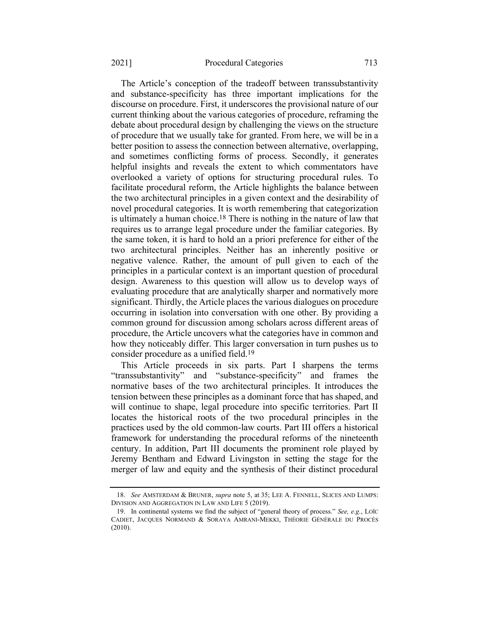#### 2021] Procedural Categories 713

The Article's conception of the tradeoff between transsubstantivity and substance-specificity has three important implications for the discourse on procedure. First, it underscores the provisional nature of our current thinking about the various categories of procedure, reframing the debate about procedural design by challenging the views on the structure of procedure that we usually take for granted. From here, we will be in a better position to assess the connection between alternative, overlapping, and sometimes conflicting forms of process. Secondly, it generates helpful insights and reveals the extent to which commentators have overlooked a variety of options for structuring procedural rules. To facilitate procedural reform, the Article highlights the balance between the two architectural principles in a given context and the desirability of novel procedural categories. It is worth remembering that categorization is ultimately a human choice.18 There is nothing in the nature of law that requires us to arrange legal procedure under the familiar categories. By the same token, it is hard to hold an a priori preference for either of the two architectural principles. Neither has an inherently positive or negative valence. Rather, the amount of pull given to each of the principles in a particular context is an important question of procedural design. Awareness to this question will allow us to develop ways of evaluating procedure that are analytically sharper and normatively more significant. Thirdly, the Article places the various dialogues on procedure occurring in isolation into conversation with one other. By providing a common ground for discussion among scholars across different areas of procedure, the Article uncovers what the categories have in common and how they noticeably differ. This larger conversation in turn pushes us to consider procedure as a unified field.19

This Article proceeds in six parts. Part I sharpens the terms "transsubstantivity" and "substance-specificity" and frames the normative bases of the two architectural principles. It introduces the tension between these principles as a dominant force that has shaped, and will continue to shape, legal procedure into specific territories. Part II locates the historical roots of the two procedural principles in the practices used by the old common-law courts. Part III offers a historical framework for understanding the procedural reforms of the nineteenth century. In addition, Part III documents the prominent role played by Jeremy Bentham and Edward Livingston in setting the stage for the merger of law and equity and the synthesis of their distinct procedural

<sup>18.</sup> *See* AMSTERDAM & BRUNER, *supra* not[e 5,](#page-3-2) at 35; LEE A. FENNELL, SLICES AND LUMPS: DIVISION AND AGGREGATION IN LAW AND LIFE 5 (2019).

<sup>19.</sup> In continental systems we find the subject of "general theory of process." *See, e.g.*, LOÏC CADIET, JACQUES NORMAND & SORAYA AMRANI-MEKKI, THÉORIE GÉNÉRALE DU PROCÈS (2010).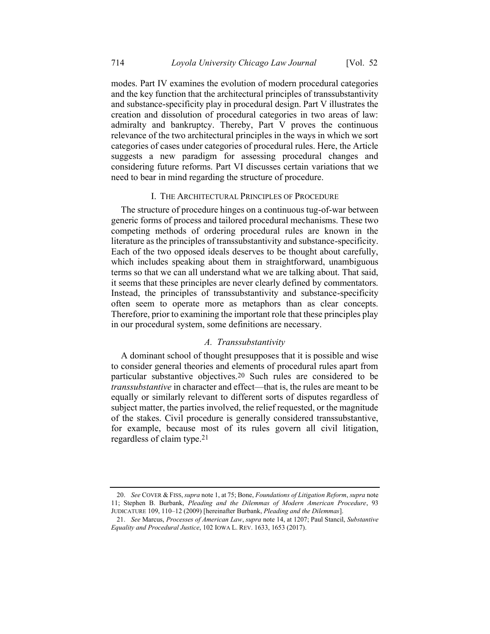modes. Part IV examines the evolution of modern procedural categories and the key function that the architectural principles of transsubstantivity and substance-specificity play in procedural design. Part V illustrates the creation and dissolution of procedural categories in two areas of law: admiralty and bankruptcy. Thereby, Part V proves the continuous relevance of the two architectural principles in the ways in which we sort categories of cases under categories of procedural rules. Here, the Article suggests a new paradigm for assessing procedural changes and considering future reforms. Part VI discusses certain variations that we need to bear in mind regarding the structure of procedure.

#### I. THE ARCHITECTURAL PRINCIPLES OF PROCEDURE

The structure of procedure hinges on a continuous tug-of-war between generic forms of process and tailored procedural mechanisms. These two competing methods of ordering procedural rules are known in the literature as the principles of transsubstantivity and substance-specificity. Each of the two opposed ideals deserves to be thought about carefully, which includes speaking about them in straightforward, unambiguous terms so that we can all understand what we are talking about. That said, it seems that these principles are never clearly defined by commentators. Instead, the principles of transsubstantivity and substance-specificity often seem to operate more as metaphors than as clear concepts. Therefore, prior to examining the important role that these principles play in our procedural system, some definitions are necessary.

#### <span id="page-8-1"></span><span id="page-8-0"></span>*A. Transsubstantivity*

A dominant school of thought presupposes that it is possible and wise to consider general theories and elements of procedural rules apart from particular substantive objectives.20 Such rules are considered to be *transsubstantive* in character and effect—that is, the rules are meant to be equally or similarly relevant to different sorts of disputes regardless of subject matter, the parties involved, the relief requested, or the magnitude of the stakes. Civil procedure is generally considered transsubstantive, for example, because most of its rules govern all civil litigation, regardless of claim type.21

<sup>20.</sup> *See* COVER & FISS, *supra* not[e 1,](#page-2-0) at 75; Bone, *Foundations of Litigation Reform*, *supra* note [11;](#page-4-0) Stephen B. Burbank, *Pleading and the Dilemmas of Modern American Procedure*, 93 JUDICATURE 109, 110–12 (2009) [hereinafter Burbank, *Pleading and the Dilemmas*].

<sup>21.</sup> *See* Marcus, *Processes of American Law*, *supra* not[e 14,](#page-5-0) at 1207; Paul Stancil, *Substantive Equality and Procedural Justice*, 102 IOWA L. REV. 1633, 1653 (2017).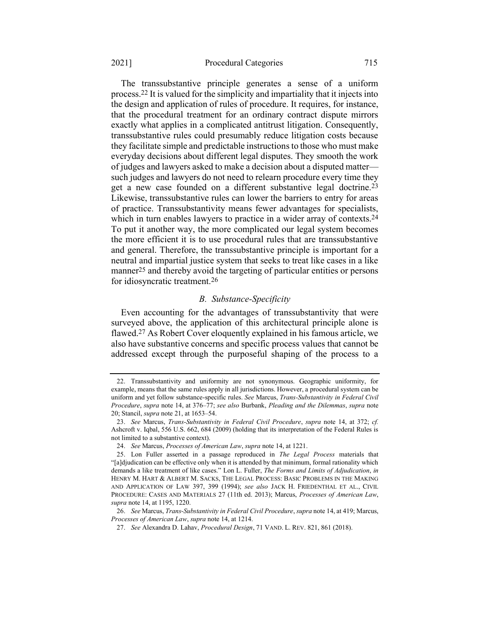#### 2021] Procedural Categories 715

The transsubstantive principle generates a sense of a uniform process.22 It is valued for the simplicity and impartiality that it injects into the design and application of rules of procedure. It requires, for instance, that the procedural treatment for an ordinary contract dispute mirrors exactly what applies in a complicated antitrust litigation. Consequently, transsubstantive rules could presumably reduce litigation costs because they facilitate simple and predictable instructionsto those who must make everyday decisions about different legal disputes. They smooth the work of judges and lawyers asked to make a decision about a disputed matter such judges and lawyers do not need to relearn procedure every time they get a new case founded on a different substantive legal doctrine.23 Likewise, transsubstantive rules can lower the barriers to entry for areas of practice. Transsubstantivity means fewer advantages for specialists, which in turn enables lawyers to practice in a wider array of contexts.<sup>24</sup> To put it another way, the more complicated our legal system becomes the more efficient it is to use procedural rules that are transsubstantive and general. Therefore, the transsubstantive principle is important for a neutral and impartial justice system that seeks to treat like cases in a like manner<sup>25</sup> and thereby avoid the targeting of particular entities or persons for idiosyncratic treatment.26

#### *B. Substance-Specificity*

<span id="page-9-0"></span>Even accounting for the advantages of transsubstantivity that were surveyed above, the application of this architectural principle alone is flawed.27 As Robert Cover eloquently explained in his famous article, we also have substantive concerns and specific process values that cannot be addressed except through the purposeful shaping of the process to a

<sup>22.</sup> Transsubstantivity and uniformity are not synonymous. Geographic uniformity, for example, means that the same rules apply in all jurisdictions. However, a procedural system can be uniform and yet follow substance-specific rules. *See* Marcus, *Trans-Substantivity in Federal Civil Procedure*, *supra* note [14,](#page-5-0) at 376–77; *see also* Burbank, *Pleading and the Dilemmas*, *supra* note [20;](#page-8-0) Stancil, *supra* note [21,](#page-8-1) at 1653–54.

<sup>23.</sup> *See* Marcus, *Trans-Substantivity in Federal Civil Procedure*, *supra* note [14,](#page-5-0) at 372; *cf.*  Ashcroft v. Iqbal, 556 U.S. 662, 684 (2009) (holding that its interpretation of the Federal Rules is not limited to a substantive context).

<sup>24.</sup> *See* Marcus, *Processes of American Law*, *supra* not[e 14,](#page-5-0) at 1221.

<sup>25.</sup> Lon Fuller asserted in a passage reproduced in *The Legal Process* materials that "[a]djudication can be effective only when it is attended by that minimum, formal rationality which demands a like treatment of like cases." Lon L. Fuller, *The Forms and Limits of Adjudication*, *in* HENRY M. HART & ALBERT M. SACKS, THE LEGAL PROCESS: BASIC PROBLEMS IN THE MAKING AND APPLICATION OF LAW 397, 399 (1994); *see also* JACK H. FRIEDENTHAL ET AL., CIVIL PROCEDURE: CASES AND MATERIALS 27 (11th ed. 2013); Marcus, *Processes of American Law*, *supra* not[e 14,](#page-5-0) at 1195, 1220.

<sup>26.</sup> *See* Marcus, *Trans-Substantivity in Federal Civil Procedure*, *supra* not[e 14,](#page-5-0) at 419; Marcus, *Processes of American Law*, *supra* not[e 14,](#page-5-0) at 1214.

<sup>27.</sup> *See* Alexandra D. Lahav, *Procedural Design*, 71 VAND. L. REV. 821, 861 (2018).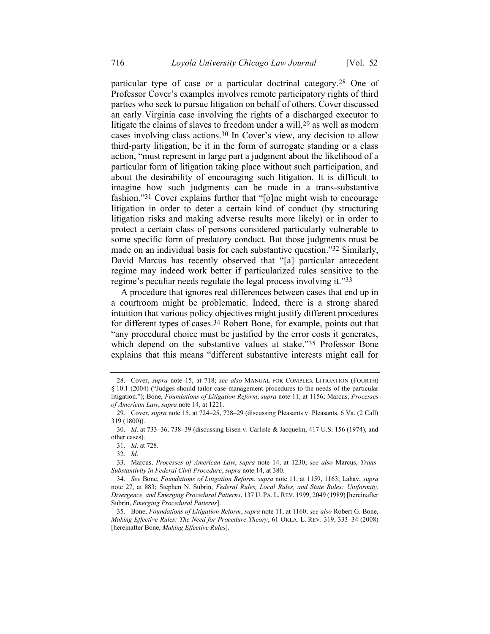particular type of case or a particular doctrinal category.28 One of Professor Cover's examples involves remote participatory rights of third parties who seek to pursue litigation on behalf of others. Cover discussed an early Virginia case involving the rights of a discharged executor to litigate the claims of slaves to freedom under a will,  $29$  as well as modern cases involving class actions.30 In Cover's view, any decision to allow third-party litigation, be it in the form of surrogate standing or a class action, "must represent in large part a judgment about the likelihood of a particular form of litigation taking place without such participation, and about the desirability of encouraging such litigation. It is difficult to imagine how such judgments can be made in a trans-substantive fashion."31 Cover explains further that "[o]ne might wish to encourage litigation in order to deter a certain kind of conduct (by structuring litigation risks and making adverse results more likely) or in order to protect a certain class of persons considered particularly vulnerable to some specific form of predatory conduct. But those judgments must be made on an individual basis for each substantive question."32 Similarly, David Marcus has recently observed that "[a] particular antecedent regime may indeed work better if particularized rules sensitive to the regime's peculiar needs regulate the legal process involving it."33

<span id="page-10-1"></span>A procedure that ignores real differences between cases that end up in a courtroom might be problematic. Indeed, there is a strong shared intuition that various policy objectives might justify different procedures for different types of cases.34 Robert Bone, for example, points out that "any procedural choice must be justified by the error costs it generates, which depend on the substantive values at stake."35 Professor Bone explains that this means "different substantive interests might call for

<span id="page-10-0"></span><sup>28.</sup> Cover, *supra* note [15,](#page-5-1) at 718; *see also* MANUAL FOR COMPLEX LITIGATION (FOURTH) § 10.1 (2004) ("Judges should tailor case-management procedures to the needs of the particular litigation."); Bone, *Foundations of Litigation Reform*, *supra* note [11,](#page-4-0) at 1156; Marcus, *Processes of American Law*, *supra* note [14,](#page-5-0) at 1221.

<sup>29.</sup> Cover, *supra* not[e 15,](#page-5-1) at 724–25, 728–29 (discussing Pleasants v. Pleasants, 6 Va. (2 Call) 319 (1800)).

<sup>30.</sup> *Id*. at 733–36, 738–39 (discussing Eisen v. Carlisle & Jacquelin, 417 U.S. 156 (1974), and other cases).

<sup>31.</sup> *Id*. at 728.

<sup>32.</sup> *Id*.

<sup>33.</sup> Marcus, *Processes of American Law*, *supra* note [14,](#page-5-0) at 1230; *see also* Marcus, *Trans-Substantivity in Federal Civil Procedure*, *supra* note [14,](#page-5-0) at 380.

<sup>34.</sup> *See* Bone, *Foundations of Litigation Reform*, *supra* note [11,](#page-4-0) at 1159, 1163; Lahav, *supra*  note [27,](#page-9-0) at 883; Stephen N. Subrin, *Federal Rules, Local Rules, and State Rules: Uniformity, Divergence, and Emerging Procedural Patterns*, 137 U. PA. L. REV. 1999, 2049 (1989) [hereinafter Subrin, *Emerging Procedural Patterns*].

<sup>35.</sup> Bone, *Foundations of Litigation Reform*, *supra* note [11,](#page-4-0) at 1160; *see also* Robert G. Bone, *Making Effective Rules: The Need for Procedure Theory*, 61 OKLA. L. REV. 319, 333–34 (2008) [hereinafter Bone, *Making Effective Rules*].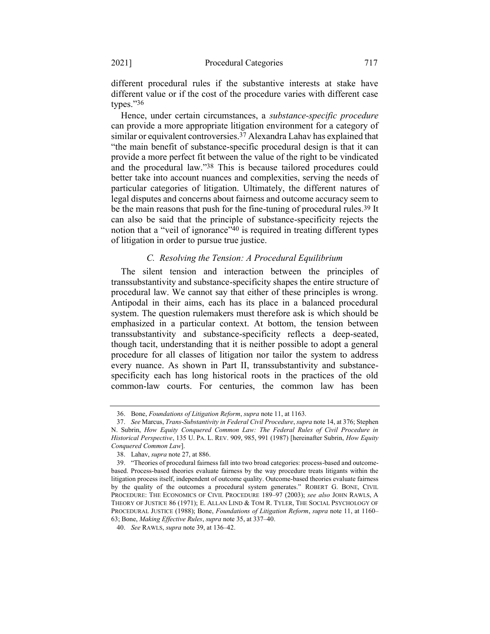different procedural rules if the substantive interests at stake have different value or if the cost of the procedure varies with different case types."36

<span id="page-11-1"></span>Hence, under certain circumstances, a *substance-specific procedure* can provide a more appropriate litigation environment for a category of similar or equivalent controversies.37 Alexandra Lahav has explained that "the main benefit of substance-specific procedural design is that it can provide a more perfect fit between the value of the right to be vindicated and the procedural law."38 This is because tailored procedures could better take into account nuances and complexities, serving the needs of particular categories of litigation. Ultimately, the different natures of legal disputes and concerns about fairness and outcome accuracy seem to be the main reasons that push for the fine-tuning of procedural rules.<sup>39</sup> It can also be said that the principle of substance-specificity rejects the notion that a "veil of ignorance"<sup>40</sup> is required in treating different types of litigation in order to pursue true justice.

#### <span id="page-11-0"></span>*C. Resolving the Tension: A Procedural Equilibrium*

The silent tension and interaction between the principles of transsubstantivity and substance-specificity shapes the entire structure of procedural law. We cannot say that either of these principles is wrong. Antipodal in their aims, each has its place in a balanced procedural system. The question rulemakers must therefore ask is which should be emphasized in a particular context. At bottom, the tension between transsubstantivity and substance-specificity reflects a deep-seated, though tacit, understanding that it is neither possible to adopt a general procedure for all classes of litigation nor tailor the system to address every nuance. As shown in Part II, transsubstantivity and substancespecificity each has long historical roots in the practices of the old common-law courts. For centuries, the common law has been

<sup>36.</sup> Bone, *Foundations of Litigation Reform*, *supra* note [11,](#page-4-0) at 1163.

<sup>37.</sup> *See* Marcus, *Trans-Substantivity in Federal Civil Procedure*, *supra* not[e 14,](#page-5-0) at 376; Stephen N. Subrin, *How Equity Conquered Common Law: The Federal Rules of Civil Procedure in Historical Perspective*, 135 U. PA. L. REV. 909, 985, 991 (1987) [hereinafter Subrin, *How Equity Conquered Common Law*].

<sup>38.</sup> Lahav, *supra* not[e 27,](#page-9-0) at 886.

<sup>39.</sup> "Theories of procedural fairness fall into two broad categories: process-based and outcomebased. Process-based theories evaluate fairness by the way procedure treats litigants within the litigation process itself, independent of outcome quality. Outcome-based theories evaluate fairness by the quality of the outcomes a procedural system generates." ROBERT G. BONE, CIVIL PROCEDURE: THE ECONOMICS OF CIVIL PROCEDURE 189–97 (2003); *see also* JOHN RAWLS, A THEORY OF JUSTICE 86 (1971); E. ALLAN LIND & TOM R. TYLER, THE SOCIAL PSYCHOLOGY OF PROCEDURAL JUSTICE (1988); Bone, *Foundations of Litigation Reform*, *supra* not[e 11,](#page-4-0) at 1160– 63; Bone, *Making Effective Rules*, *supra* not[e 35,](#page-10-0) at 337–40.

<sup>40.</sup> *See* RAWLS, *supra* not[e 39,](#page-11-0) at 136–42.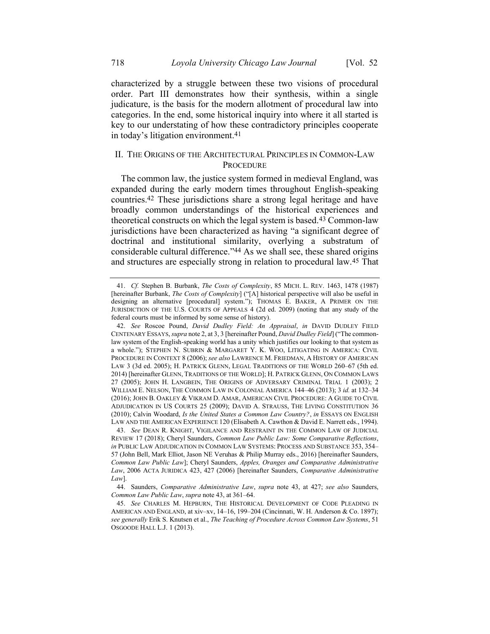characterized by a struggle between these two visions of procedural order. Part III demonstrates how their synthesis, within a single judicature, is the basis for the modern allotment of procedural law into categories. In the end, some historical inquiry into where it all started is key to our understating of how these contradictory principles cooperate in today's litigation environment.41

#### <span id="page-12-3"></span>II. THE ORIGINS OF THE ARCHITECTURAL PRINCIPLES IN COMMON-LAW **PROCEDURE**

<span id="page-12-2"></span><span id="page-12-0"></span>The common law, the justice system formed in medieval England, was expanded during the early modern times throughout English-speaking countries.42 These jurisdictions share a strong legal heritage and have broadly common understandings of the historical experiences and theoretical constructs on which the legal system is based.43 Common-law jurisdictions have been characterized as having "a significant degree of doctrinal and institutional similarity, overlying a substratum of considerable cultural difference."44 As we shall see, these shared origins and structures are especially strong in relation to procedural law.45 That

<span id="page-12-1"></span><sup>41.</sup> *Cf.* Stephen B. Burbank, *The Costs of Complexity*, 85 MICH. L. REV. 1463, 1478 (1987) [hereinafter Burbank, *The Costs of Complexity*] ("[A] historical perspective will also be useful in designing an alternative [procedural] system."); THOMAS E. BAKER, A PRIMER ON THE JURISDICTION OF THE U.S. COURTS OF APPEALS 4 (2d ed. 2009) (noting that any study of the federal courts must be informed by some sense of history).

<sup>42.</sup> *See* Roscoe Pound, *David Dudley Field: An Appraisal*, *in* DAVID DUDLEY FIELD CENTENARY ESSAYS, *supra* not[e 2,](#page-2-1) at 3, 3 [hereinafter Pound, *David Dudley Field*] ("The commonlaw system of the English-speaking world has a unity which justifies our looking to that system as a whole."); STEPHEN N. SUBRIN & MARGARET Y. K. WOO, LITIGATING IN AMERICA: CIVIL PROCEDURE IN CONTEXT 8 (2006); *see also* LAWRENCE M. FRIEDMAN, A HISTORY OF AMERICAN LAW 3 (3d ed. 2005); H. PATRICK GLENN, LEGAL TRADITIONS OF THE WORLD 260–67 (5th ed. 2014) [hereinafter GLENN, TRADITIONS OF THE WORLD]; H. PATRICK GLENN, ON COMMON LAWS 27 (2005); JOHN H. LANGBEIN, THE ORIGINS OF ADVERSARY CRIMINAL TRIAL 1 (2003); 2 WILLIAM E. NELSON, THE COMMON LAW IN COLONIAL AMERICA 144–46 (2013); 3 *id.* at 132–34 (2016); JOHN B. OAKLEY & VIKRAM D. AMAR, AMERICAN CIVIL PROCEDURE: A GUIDE TO CIVIL ADJUDICATION IN US COURTS 25 (2009); DAVID A. STRAUSS, THE LIVING CONSTITUTION 36 (2010); Calvin Woodard, *Is the United States a Common Law Country?*, *in* ESSAYS ON ENGLISH LAW AND THE AMERICAN EXPERIENCE 120 (Elisabeth A. Cawthon & David E. Narrett eds., 1994).

<sup>43.</sup> *See* DEAN R. KNIGHT, VIGILANCE AND RESTRAINT IN THE COMMON LAW OF JUDICIAL REVIEW 17 (2018); Cheryl Saunders, *Common Law Public Law: Some Comparative Reflections*, *in* PUBLIC LAW ADJUDICATION IN COMMON LAW SYSTEMS: PROCESS AND SUBSTANCE 353, 354– 57 (John Bell, Mark Elliot, Jason NE Veruhas & Philip Murray eds., 2016) [hereinafter Saunders, *Common Law Public Law*]; Cheryl Saunders, *Apples, Oranges and Comparative Administrative Law*, 2006 ACTA JURIDICA 423, 427 (2006) [hereinafter Saunders, *Comparative Administrative Law*].

<sup>44.</sup> Saunders, *Comparative Administrative Law*, *supra* note [43,](#page-12-0) at 427; *see also* Saunders, *Common Law Public Law*, *supra* note [43,](#page-12-0) at 361–64.

<sup>45.</sup> *See* CHARLES M. HEPBURN, THE HISTORICAL DEVELOPMENT OF CODE PLEADING IN AMERICAN AND ENGLAND, at xiv–xv, 14–16, 199–204 (Cincinnati, W. H. Anderson & Co. 1897); *see generally* Erik S. Knutsen et al., *The Teaching of Procedure Across Common Law Systems*, 51 OSGOODE HALL L.J. 1 (2013).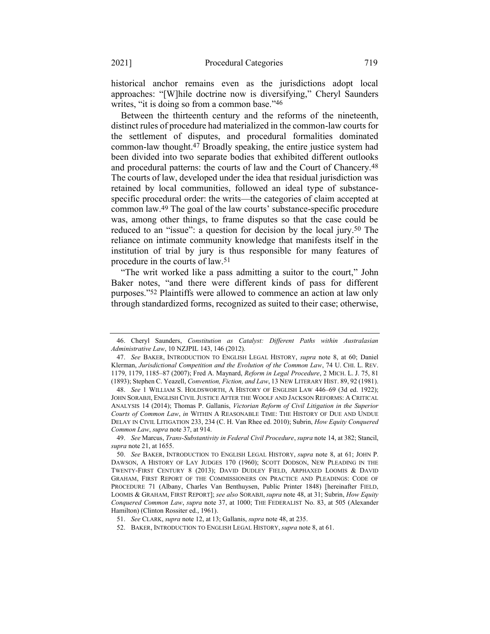historical anchor remains even as the jurisdictions adopt local approaches: "[W]hile doctrine now is diversifying," Cheryl Saunders writes, "it is doing so from a common base."46

<span id="page-13-2"></span><span id="page-13-0"></span>Between the thirteenth century and the reforms of the nineteenth, distinct rules of procedure had materialized in the common-law courts for the settlement of disputes, and procedural formalities dominated common-law thought.47 Broadly speaking, the entire justice system had been divided into two separate bodies that exhibited different outlooks and procedural patterns: the courts of law and the Court of Chancery.48 The courts of law, developed under the idea that residual jurisdiction was retained by local communities, followed an ideal type of substancespecific procedural order: the writs—the categories of claim accepted at common law.49 The goal of the law courts' substance-specific procedure was, among other things, to frame disputes so that the case could be reduced to an "issue": a question for decision by the local jury.50 The reliance on intimate community knowledge that manifests itself in the institution of trial by jury is thus responsible for many features of procedure in the courts of law.51

<span id="page-13-1"></span>"The writ worked like a pass admitting a suitor to the court," John Baker notes, "and there were different kinds of pass for different purposes."52 Plaintiffs were allowed to commence an action at law only through standardized forms, recognized as suited to their case; otherwise,

<sup>46.</sup> Cheryl Saunders, *Constitution as Catalyst: Different Paths within Australasian Administrative Law*, 10 NZJPIL 143, 146 (2012).

<sup>47.</sup> *See* BAKER, INTRODUCTION TO ENGLISH LEGAL HISTORY, *supra* note [8,](#page-4-1) at 60; Daniel Klerman, *Jurisdictional Competition and the Evolution of the Common Law*, 74 U. CHI. L. REV. 1179, 1179, 1185–87 (2007); Fred A. Maynard, *Reform in Legal Procedure*, 2 MICH. L. J. 75, 81 (1893); Stephen C. Yeazell, *Convention, Fiction, and Law*, 13 NEW LITERARY HIST. 89, 92 (1981).

<sup>48.</sup> *See* 1 WILLIAM S. HOLDSWORTH, A HISTORY OF ENGLISH LAW 446–69 (3d ed. 1922); JOHN SORABJI, ENGLISH CIVIL JUSTICE AFTER THE WOOLF AND JACKSON REFORMS: A CRITICAL ANALYSIS 14 (2014); Thomas P. Gallanis, *Victorian Reform of Civil Litigation in the Superior Courts of Common Law*, *in* WITHIN A REASONABLE TIME: THE HISTORY OF DUE AND UNDUE DELAY IN CIVIL LITIGATION 233, 234 (C. H. Van Rhee ed. 2010); Subrin, *How Equity Conquered Common Law*, *supra* note [37,](#page-11-1) at 914.

<sup>49.</sup> *See* Marcus, *Trans-Substantivity in Federal Civil Procedure*, *supra* not[e 14,](#page-5-0) at 382; Stancil, *supra* not[e 21,](#page-8-1) at 1655.

<sup>50.</sup> *See* BAKER, INTRODUCTION TO ENGLISH LEGAL HISTORY, *supra* note [8,](#page-4-1) at 61; JOHN P. DAWSON, A HISTORY OF LAY JUDGES 170 (1960); SCOTT DODSON, NEW PLEADING IN THE TWENTY-FIRST CENTURY 8 (2013); DAVID DUDLEY FIELD, ARPHAXED LOOMIS & DAVID GRAHAM, FIRST REPORT OF THE COMMISSIONERS ON PRACTICE AND PLEADINGS: CODE OF PROCEDURE 71 (Albany, Charles Van Benthuysen, Public Printer 1848) [hereinafter FIELD, LOOMIS & GRAHAM, FIRST REPORT]; *see also* SORABJI, *supra* not[e 48,](#page-13-0) at 31; Subrin, *How Equity Conquered Common Law*, *supra* note [37,](#page-11-1) at 1000; THE FEDERALIST No. 83, at 505 (Alexander Hamilton) (Clinton Rossiter ed., 1961).

<sup>51.</sup> *See* CLARK, *supra* not[e 12,](#page-4-2) at 13; Gallanis, *supra* note [48,](#page-13-0) at 235.

<sup>52.</sup> BAKER, INTRODUCTION TO ENGLISH LEGAL HISTORY, *supra* not[e 8,](#page-4-1) at 61.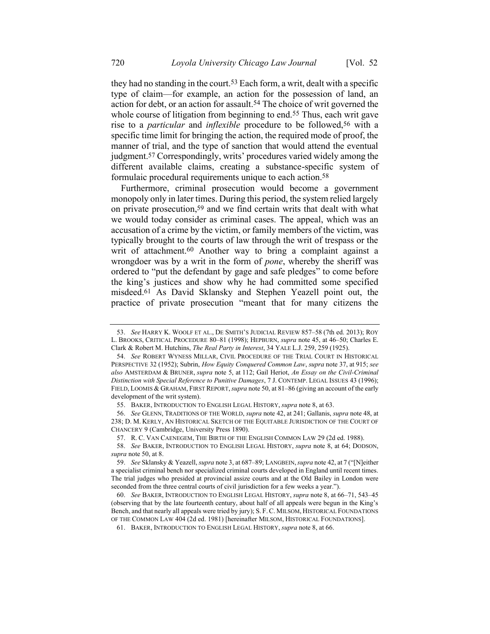<span id="page-14-3"></span><span id="page-14-1"></span><span id="page-14-0"></span>they had no standing in the court.53 Each form, a writ, dealt with a specific type of claim—for example, an action for the possession of land, an action for debt, or an action for assault.54 The choice of writ governed the whole course of litigation from beginning to end.<sup>55</sup> Thus, each writ gave rise to a *particular* and *inflexible* procedure to be followed,56 with a specific time limit for bringing the action, the required mode of proof, the manner of trial, and the type of sanction that would attend the eventual judgment.57 Correspondingly, writs' procedures varied widely among the different available claims, creating a substance-specific system of formulaic procedural requirements unique to each action.58

<span id="page-14-2"></span>Furthermore, criminal prosecution would become a government monopoly only in later times. During this period, the system relied largely on private prosecution,59 and we find certain writs that dealt with what we would today consider as criminal cases. The appeal, which was an accusation of a crime by the victim, or family members of the victim, was typically brought to the courts of law through the writ of trespass or the writ of attachment.60 Another way to bring a complaint against a wrongdoer was by a writ in the form of *pone*, whereby the sheriff was ordered to "put the defendant by gage and safe pledges" to come before the king's justices and show why he had committed some specified misdeed.61 As David Sklansky and Stephen Yeazell point out, the practice of private prosecution "meant that for many citizens the

<sup>53.</sup> *See* HARRY K. WOOLF ET AL., DE SMITH'S JUDICIAL REVIEW 857–58 (7th ed. 2013); ROY L. BROOKS, CRITICAL PROCEDURE 80–81 (1998); HEPBURN, *supra* note [45,](#page-12-1) at 46–50; Charles E. Clark & Robert M. Hutchins, *The Real Party in Interest*, 34 YALE L.J. 259, 259 (1925).

<sup>54.</sup> *See* ROBERT WYNESS MILLAR, CIVIL PROCEDURE OF THE TRIAL COURT IN HISTORICAL PERSPECTIVE 32 (1952); Subrin, *How Equity Conquered Common Law*, *supra* not[e 37,](#page-11-1) at 915; *see also* AMSTERDAM & BRUNER, *supra* note [5,](#page-3-2) at 112; Gail Heriot, *An Essay on the Civil-Criminal Distinction with Special Reference to Punitive Damages*, 7 J. CONTEMP. LEGAL ISSUES 43 (1996); FIELD, LOOMIS & GRAHAM, FIRST REPORT,*supra* not[e 50,](#page-13-1) at 81–86 (giving an account of the early development of the writ system).

<sup>55.</sup> BAKER, INTRODUCTION TO ENGLISH LEGAL HISTORY, *supra* not[e 8,](#page-4-1) at 63.

<sup>56.</sup> *See* GLENN, TRADITIONS OF THE WORLD, *supra* note [42,](#page-12-2) at 241; Gallanis, *supra* not[e 48,](#page-13-0) at 238; D. M. KERLY, AN HISTORICAL SKETCH OF THE EQUITABLE JURISDICTION OF THE COURT OF CHANCERY 9 (Cambridge, University Press 1890).

<sup>57.</sup> R. C. VAN CAENEGEM, THE BIRTH OF THE ENGLISH COMMON LAW 29 (2d ed. 1988).

<sup>58.</sup> *See* BAKER, INTRODUCTION TO ENGLISH LEGAL HISTORY, *supra* note [8,](#page-4-1) at 64; DODSON, *supra* not[e 50,](#page-13-1) at 8.

<sup>59.</sup> *See* Sklansky & Yeazell, *supra* not[e 3,](#page-3-1) at 687–89; LANGBEIN,*supra* not[e 42,](#page-12-2) at 7 ("[N]either a specialist criminal bench nor specialized criminal courts developed in England until recent times. The trial judges who presided at provincial assize courts and at the Old Bailey in London were seconded from the three central courts of civil jurisdiction for a few weeks a year.").

<sup>60.</sup> *See* BAKER, INTRODUCTION TO ENGLISH LEGAL HISTORY, *supra* note [8,](#page-4-1) at 66–71, 543–45 (observing that by the late fourteenth century, about half of all appeals were begun in the King's Bench, and that nearly all appeals were tried by jury); S. F.C. MILSOM, HISTORICAL FOUNDATIONS OF THE COMMON LAW 404 (2d ed. 1981) [hereinafter MILSOM, HISTORICAL FOUNDATIONS].

<sup>61.</sup> BAKER, INTRODUCTION TO ENGLISH LEGAL HISTORY, *supra* not[e 8,](#page-4-1) at 66.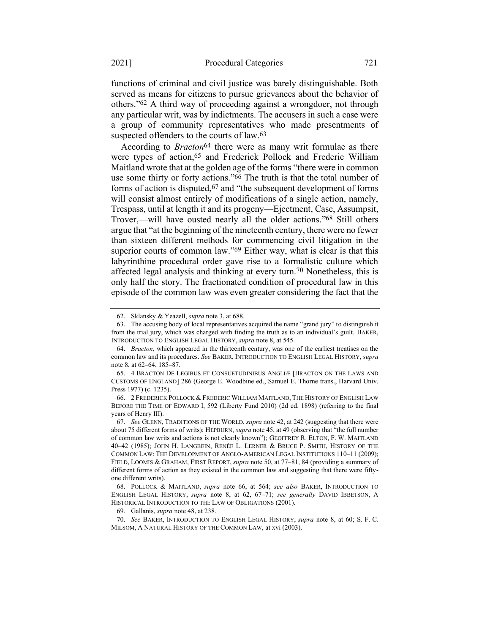functions of criminal and civil justice was barely distinguishable. Both served as means for citizens to pursue grievances about the behavior of others."62 A third way of proceeding against a wrongdoer, not through any particular writ, was by indictments. The accusers in such a case were a group of community representatives who made presentments of suspected offenders to the courts of law.<sup>63</sup>

<span id="page-15-1"></span><span id="page-15-0"></span>According to *Bracton*64 there were as many writ formulae as there were types of action,<sup>65</sup> and Frederick Pollock and Frederic William Maitland wrote that at the golden age of the forms "there were in common use some thirty or forty actions."66 The truth is that the total number of forms of action is disputed,67 and "the subsequent development of forms will consist almost entirely of modifications of a single action, namely, Trespass, until at length it and its progeny—Ejectment, Case, Assumpsit, Trover,—will have ousted nearly all the older actions."68 Still others argue that "at the beginning of the nineteenth century, there were no fewer than sixteen different methods for commencing civil litigation in the superior courts of common law."<sup>69</sup> Either way, what is clear is that this labyrinthine procedural order gave rise to a formalistic culture which affected legal analysis and thinking at every turn.70 Nonetheless, this is only half the story. The fractionated condition of procedural law in this episode of the common law was even greater considering the fact that the

<sup>62.</sup> Sklansky & Yeazell, *supra* not[e 3,](#page-3-1) at 688.

<sup>63.</sup> The accusing body of local representatives acquired the name "grand jury" to distinguish it from the trial jury, which was charged with finding the truth as to an individual's guilt. BAKER, INTRODUCTION TO ENGLISH LEGAL HISTORY, *supra* note [8,](#page-4-1) at 545.

<sup>64.</sup> *Bracton*, which appeared in the thirteenth century, was one of the earliest treatises on the common law and its procedures. *See* BAKER, INTRODUCTION TO ENGLISH LEGAL HISTORY, *supra* note [8,](#page-4-1) at 62–64, 185–87.

<sup>65.</sup> 4 BRACTON DE LEGIBUS ET CONSUETUDINIBUS ANGLIÆ [BRACTON ON THE LAWS AND CUSTOMS OF ENGLAND] 286 (George E. Woodbine ed., Samuel E. Thorne trans., Harvard Univ. Press 1977) (c. 1235).

<sup>66.</sup> 2 FREDERICK POLLOCK & FREDERIC WILLIAM MAITLAND, THE HISTORY OF ENGLISH LAW BEFORE THE TIME OF EDWARD I, 592 (Liberty Fund 2010) (2d ed. 1898) (referring to the final years of Henry III).

<sup>67.</sup> *See* GLENN, TRADITIONS OF THE WORLD, *supra* not[e 42,](#page-12-2) at 242 (suggesting that there were about 75 different forms of writs); HEPBURN, *supra* not[e 45](#page-12-1), at 49 (observing that "the full number of common law writs and actions is not clearly known"); GEOFFREY R. ELTON, F. W. MAITLAND 40–42 (1985); JOHN H. LANGBEIN, RENÉE L. LERNER & BRUCE P. SMITH, HISTORY OF THE COMMON LAW: THE DEVELOPMENT OF ANGLO-AMERICAN LEGAL INSTITUTIONS 110–11 (2009); FIELD, LOOMIS & GRAHAM, FIRST REPORT, *supra* note [50,](#page-13-1) at 77–81, 84 (providing a summary of different forms of action as they existed in the common law and suggesting that there were fiftyone different writs).

<sup>68.</sup> POLLOCK & MAITLAND, *supra* note [66,](#page-15-0) at 564; *see also* BAKER, INTRODUCTION TO ENGLISH LEGAL HISTORY, *supra* note [8,](#page-4-1) at 62, 67–71; *see generally* DAVID IBBETSON, A HISTORICAL INTRODUCTION TO THE LAW OF OBLIGATIONS (2001).

<sup>69.</sup> Gallanis, *supra* not[e 48,](#page-13-0) at 238.

<sup>70.</sup> *See* BAKER, INTRODUCTION TO ENGLISH LEGAL HISTORY, *supra* note [8,](#page-4-1) at 60; S. F. C. MILSOM, A NATURAL HISTORY OF THE COMMON LAW, at xvi (2003).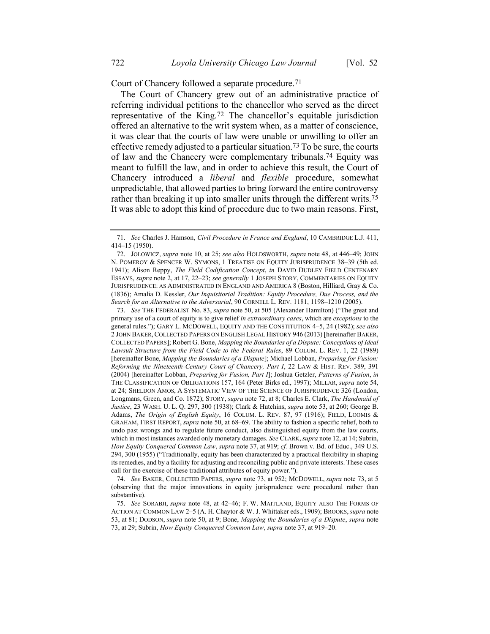<span id="page-16-2"></span>Court of Chancery followed a separate procedure.71

<span id="page-16-1"></span><span id="page-16-0"></span>The Court of Chancery grew out of an administrative practice of referring individual petitions to the chancellor who served as the direct representative of the King.72 The chancellor's equitable jurisdiction offered an alternative to the writ system when, as a matter of conscience, it was clear that the courts of law were unable or unwilling to offer an effective remedy adjusted to a particular situation.<sup>73</sup> To be sure, the courts of law and the Chancery were complementary tribunals.74 Equity was meant to fulfill the law, and in order to achieve this result, the Court of Chancery introduced a *liberal* and *flexible* procedure, somewhat unpredictable, that allowed parties to bring forward the entire controversy rather than breaking it up into smaller units through the different writs.<sup>75</sup> It was able to adopt this kind of procedure due to two main reasons. First,

73. *See* THE FEDERALIST No. 83, *supra* not[e 50,](#page-13-1) at 505 (Alexander Hamilton) ("The great and primary use of a court of equity is to give relief *in extraordinary cases*, which are *exceptions* to the general rules."); GARY L. MCDOWELL, EQUITY AND THE CONSTITUTION 4–5, 24 (1982); *see also* 2 JOHN BAKER, COLLECTED PAPERS ON ENGLISH LEGAL HISTORY 946 (2013) [hereinafter BAKER, COLLECTED PAPERS]; Robert G. Bone, *Mapping the Boundaries of a Dispute: Conceptions of Ideal Lawsuit Structure from the Field Code to the Federal Rules*, 89 COLUM. L. REV. 1, 22 (1989) [hereinafter Bone, *Mapping the Boundaries of a Dispute*]; Michael Lobban, *Preparing for Fusion: Reforming the Nineteenth-Century Court of Chancery, Part I*, 22 LAW & HIST. REV. 389, 391 (2004) [hereinafter Lobban, *Preparing for Fusion, Part I*]; Joshua Getzler, *Patterns of Fusion*, *in* THE CLASSIFICATION OF OBLIGATIONS 157, 164 (Peter Birks ed., 1997); MILLAR, *supra* not[e 54,](#page-14-0)  at 24; SHELDON AMOS, A SYSTEMATIC VIEW OF THE SCIENCE OF JURISPRUDENCE 326 (London, Longmans, Green, and Co. 1872); STORY, *supra* note [72,](#page-16-0) at 8; Charles E. Clark, *The Handmaid of Justice*, 23 WASH. U. L. Q. 297, 300 (1938); Clark & Hutchins, *supra* not[e 53,](#page-14-1) at 260; George B. Adams, *The Origin of English Equity*, 16 COLUM. L. REV. 87, 97 (1916); FIELD, LOOMIS & GRAHAM, FIRST REPORT, *supra* note [50,](#page-13-1) at 68–69. The ability to fashion a specific relief, both to undo past wrongs and to regulate future conduct, also distinguished equity from the law courts, which in most instances awarded only monetary damages. *See* CLARK,*supra* not[e 12,](#page-4-2) at 14; Subrin, *How Equity Conquered Common Law*, *supra* not[e 37,](#page-11-1) at 919; *cf.* Brown v. Bd. of Educ., 349 U.S. 294, 300 (1955) ("Traditionally, equity has been characterized by a practical flexibility in shaping its remedies, and by a facility for adjusting and reconciling public and private interests. These cases call for the exercise of these traditional attributes of equity power.").

74. *See* BAKER, COLLECTED PAPERS, *supra* note [73,](#page-16-1) at 952; MCDOWELL, *supra* note [73,](#page-16-1) at 5 (observing that the major innovations in equity jurisprudence were procedural rather than substantive).

<sup>71.</sup> *See* Charles J. Hamson, *Civil Procedure in France and England*, 10 CAMBRIDGE L.J. 411, 414–15 (1950).

<sup>72.</sup> JOLOWICZ, *supra* not[e 10,](#page-4-3) at 25; *see also* HOLDSWORTH, *supra* note [48,](#page-13-0) at 446–49; JOHN N. POMEROY & SPENCER W. SYMONS, 1 TREATISE ON EQUITY JURISPRUDENCE 38–39 (5th ed. 1941); Alison Reppy, *The Field Codification Concept*, *in* DAVID DUDLEY FIELD CENTENARY ESSAYS, *supra* note [2,](#page-2-1) at 17, 22–23; *see generally* 1 JOSEPH STORY, COMMENTARIES ON EQUITY JURISPRUDENCE: AS ADMINISTRATED IN ENGLAND AND AMERICA 8 (Boston, Hilliard, Gray & Co. (1836); Amalia D. Kessler, *Our Inquisitorial Tradition: Equity Procedure, Due Process, and the Search for an Alternative to the Adversarial*, 90 CORNELL L. REV. 1181, 1198–1210 (2005).

<sup>75.</sup> *See* SORABJI, *supra* note [48,](#page-13-0) at 42–46; F. W. MAITLAND, EQUITY ALSO THE FORMS OF ACTION AT COMMON LAW 2–5 (A. H. Chaytor & W. J. Whittaker eds., 1909); BROOKS,*supra* note [53,](#page-14-1) at 81; DODSON, *supra* not[e 50,](#page-13-1) at 9; Bone, *Mapping the Boundaries of a Dispute*, *supra* note [73,](#page-16-1) at 29; Subrin, *How Equity Conquered Common Law*, *supra* not[e 37,](#page-11-1) at 919–20.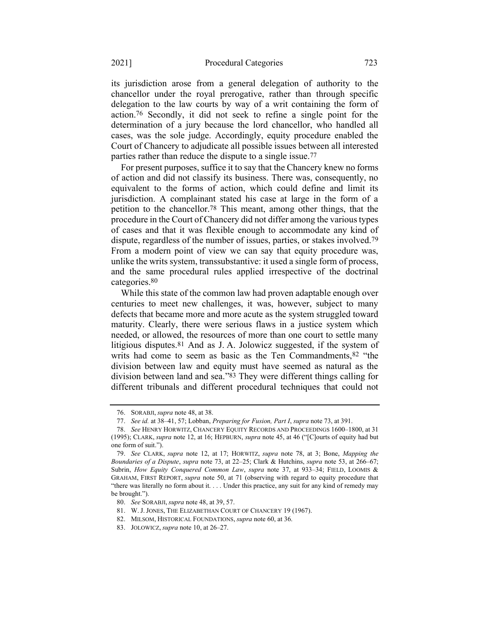its jurisdiction arose from a general delegation of authority to the chancellor under the royal prerogative, rather than through specific delegation to the law courts by way of a writ containing the form of action.76 Secondly, it did not seek to refine a single point for the determination of a jury because the lord chancellor, who handled all cases, was the sole judge. Accordingly, equity procedure enabled the Court of Chancery to adjudicate all possible issues between all interested parties rather than reduce the dispute to a single issue.77

<span id="page-17-0"></span>For present purposes, suffice it to say that the Chancery knew no forms of action and did not classify its business. There was, consequently, no equivalent to the forms of action, which could define and limit its jurisdiction. A complainant stated his case at large in the form of a petition to the chancellor.78 This meant, among other things, that the procedure in the Court of Chancery did not differ among the various types of cases and that it was flexible enough to accommodate any kind of dispute, regardless of the number of issues, parties, or stakes involved.<sup>79</sup> From a modern point of view we can say that equity procedure was, unlike the writs system, transsubstantive: it used a single form of process, and the same procedural rules applied irrespective of the doctrinal categories.80

While this state of the common law had proven adaptable enough over centuries to meet new challenges, it was, however, subject to many defects that became more and more acute as the system struggled toward maturity. Clearly, there were serious flaws in a justice system which needed, or allowed, the resources of more than one court to settle many litigious disputes.81 And as J. A. Jolowicz suggested, if the system of writs had come to seem as basic as the Ten Commandments, <sup>82</sup> "the division between law and equity must have seemed as natural as the division between land and sea."83 They were different things calling for different tribunals and different procedural techniques that could not

<sup>76.</sup> SORABJI, *supra* not[e 48,](#page-13-0) at 38.

<sup>77.</sup> *See id.* at 38–41, 57; Lobban, *Preparing for Fusion, Part I*, *supra* note [73,](#page-16-1) at 391.

<sup>78.</sup> *See* HENRY HORWITZ, CHANCERY EQUITY RECORDS AND PROCEEDINGS 1600–1800, at 31 (1995); CLARK, *supra* note [12,](#page-4-2) at 16; HEPBURN, *supra* note [45](#page-12-1), at 46 ("[C]ourts of equity had but one form of suit.").

<sup>79.</sup> *See* CLARK, *supra* note [12,](#page-4-2) at 17; HORWITZ, *supra* note [78,](#page-17-0) at 3; Bone, *Mapping the Boundaries of a Dispute*, *supra* note [73,](#page-16-1) at 22–25; Clark & Hutchins, *supra* note [53,](#page-14-1) at 266–67; Subrin, *How Equity Conquered Common Law*, *supra* note [37,](#page-11-1) at 933–34; FIELD, LOOMIS & GRAHAM, FIRST REPORT, *supra* note [50,](#page-13-1) at 71 (observing with regard to equity procedure that "there was literally no form about it. . . . Under this practice, any suit for any kind of remedy may be brought.").

<sup>80.</sup> *See* SORABJI, *supra* note [48,](#page-13-0) at 39, 57.

<sup>81.</sup> W. J. JONES, THE ELIZABETHAN COURT OF CHANCERY 19 (1967).

<sup>82.</sup> MILSOM, HISTORICAL FOUNDATIONS, *supra* not[e 60,](#page-14-2) at 36.

<sup>83.</sup> JOLOWICZ, *supra* not[e 10,](#page-4-3) at 26–27.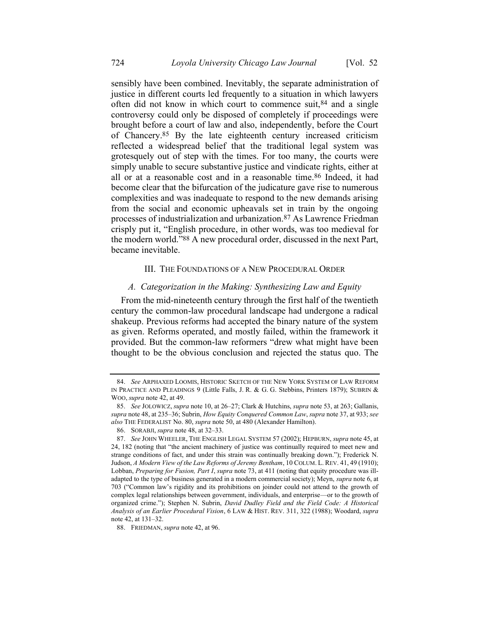<span id="page-18-0"></span>sensibly have been combined. Inevitably, the separate administration of justice in different courts led frequently to a situation in which lawyers often did not know in which court to commence suit,  $84$  and a single controversy could only be disposed of completely if proceedings were brought before a court of law and also, independently, before the Court of Chancery.85 By the late eighteenth century increased criticism reflected a widespread belief that the traditional legal system was grotesquely out of step with the times. For too many, the courts were simply unable to secure substantive justice and vindicate rights, either at all or at a reasonable cost and in a reasonable time.86 Indeed, it had become clear that the bifurcation of the judicature gave rise to numerous complexities and was inadequate to respond to the new demands arising from the social and economic upheavals set in train by the ongoing processes of industrialization and urbanization.87 As Lawrence Friedman crisply put it, "English procedure, in other words, was too medieval for the modern world."88 A new procedural order, discussed in the next Part, became inevitable.

#### <span id="page-18-1"></span>III. THE FOUNDATIONS OF A NEW PROCEDURAL ORDER

#### *A. Categorization in the Making: Synthesizing Law and Equity*

From the mid-nineteenth century through the first half of the twentieth century the common-law procedural landscape had undergone a radical shakeup. Previous reforms had accepted the binary nature of the system as given. Reforms operated, and mostly failed, within the framework it provided. But the common-law reformers "drew what might have been thought to be the obvious conclusion and rejected the status quo. The

<sup>84.</sup> *See* ARPHAXED LOOMIS, HISTORIC SKETCH OF THE NEW YORK SYSTEM OF LAW REFORM IN PRACTICE AND PLEADINGS 9 (Little Falls, J. R. & G. G. Stebbins, Printers 1879); SUBRIN & WOO, *supra* not[e 42,](#page-12-2) at 49.

<sup>85.</sup> *See* JOLOWICZ, *supra* not[e 10,](#page-4-3) at 26–27; Clark & Hutchins, *supra* not[e 53,](#page-14-1) at 263; Gallanis, *supra* note [48,](#page-13-0) at 235–36; Subrin, *How Equity Conquered Common Law*, *supra* not[e 37,](#page-11-1) at 933; *see also* THE FEDERALIST No. 80, *supra* not[e 50,](#page-13-1) at 480 (Alexander Hamilton).

<sup>86.</sup> SORABJI, *supra* note [48,](#page-13-0) at 32–33.

<sup>87.</sup> *See* JOHN WHEELER, THE ENGLISH LEGAL SYSTEM 57 (2002); HEPBURN, *supra* not[e 45,](#page-12-1) at 24, 182 (noting that "the ancient machinery of justice was continually required to meet new and strange conditions of fact, and under this strain was continually breaking down."); Frederick N. Judson, *A Modern View of the Law Reforms of Jeremy Bentham*, 10 COLUM. L. REV. 41, 49 (1910); Lobban, *Preparing for Fusion, Part I*, *supra* note [73,](#page-16-1) at 411 (noting that equity procedure was illadapted to the type of business generated in a modern commercial society); Meyn, *supra* not[e 6,](#page-3-3) at 703 ("Common law's rigidity and its prohibitions on joinder could not attend to the growth of complex legal relationships between government, individuals, and enterprise—or to the growth of organized crime."); Stephen N. Subrin, *David Dudley Field and the Field Code: A Historical Analysis of an Earlier Procedural Vision*, 6 LAW & HIST. REV. 311, 322 (1988); Woodard, *supra*  note [42,](#page-12-2) at 131–32.

<sup>88.</sup> FRIEDMAN, *supra* not[e 42,](#page-12-2) at 96.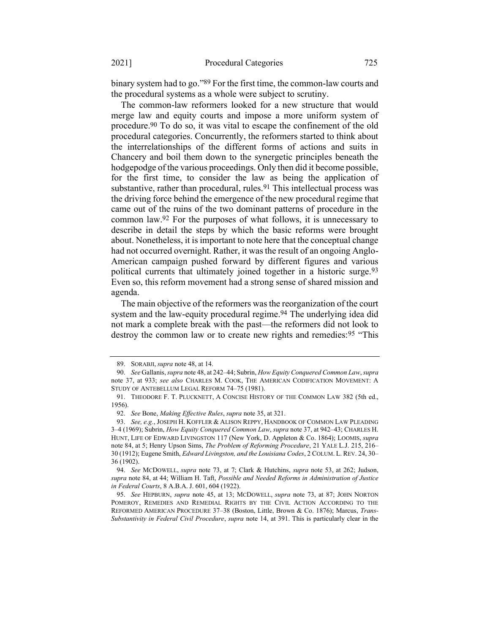binary system had to go."89 For the first time, the common-law courts and the procedural systems as a whole were subject to scrutiny.

<span id="page-19-0"></span>The common-law reformers looked for a new structure that would merge law and equity courts and impose a more uniform system of procedure.90 To do so, it was vital to escape the confinement of the old procedural categories. Concurrently, the reformers started to think about the interrelationships of the different forms of actions and suits in Chancery and boil them down to the synergetic principles beneath the hodgepodge of the various proceedings. Only then did it become possible, for the first time, to consider the law as being the application of substantive, rather than procedural, rules.<sup>91</sup> This intellectual process was the driving force behind the emergence of the new procedural regime that came out of the ruins of the two dominant patterns of procedure in the common law.92 For the purposes of what follows, it is unnecessary to describe in detail the steps by which the basic reforms were brought about. Nonetheless, it is important to note here that the conceptual change had not occurred overnight. Rather, it was the result of an ongoing Anglo-American campaign pushed forward by different figures and various political currents that ultimately joined together in a historic surge.93 Even so, this reform movement had a strong sense of shared mission and agenda.

<span id="page-19-2"></span><span id="page-19-1"></span>The main objective of the reformers was the reorganization of the court system and the law-equity procedural regime.<sup>94</sup> The underlying idea did not mark a complete break with the past—the reformers did not look to destroy the common law or to create new rights and remedies:95 "This

<sup>89.</sup> SORABJI, *supra* not[e 48,](#page-13-0) at 14.

<sup>90.</sup> *See* Gallanis, *supra* not[e 48,](#page-13-0) at 242–44; Subrin, *How Equity Conquered Common Law*, *supra*  note [37,](#page-11-1) at 933; *see also* CHARLES M. COOK, THE AMERICAN CODIFICATION MOVEMENT: A STUDY OF ANTEBELLUM LEGAL REFORM 74–75 (1981).

<sup>91.</sup> THEODORE F. T. PLUCKNETT, A CONCISE HISTORY OF THE COMMON LAW 382 (5th ed., 1956).

<sup>92.</sup> *See* Bone, *Making Effective Rules*, *supra* not[e 35,](#page-10-0) at 321.

<sup>93.</sup> *See, e.g.*, JOSEPH H. KOFFLER & ALISON REPPY, HANDBOOK OF COMMON LAW PLEADING 3–4 (1969); Subrin, *How Equity Conquered Common Law*, *supra* not[e 37,](#page-11-1) at 942–43; CHARLES H. HUNT, LIFE OF EDWARD LIVINGSTON 117 (New York, D. Appleton & Co. 1864); LOOMIS, *supra* note [84,](#page-18-0) at 5; Henry Upson Sims, *The Problem of Reforming Procedure*, 21 YALE L.J. 215, 216– 30 (1912); Eugene Smith, *Edward Livingston, and the Louisiana Codes*, 2 COLUM. L. REV. 24, 30– 36 (1902).

<sup>94.</sup> *See* MCDOWELL, *supra* note [73,](#page-16-1) at 7; Clark & Hutchins, *supra* note [53,](#page-14-1) at 262; Judson, *supra* note 84, at 44; William H. Taft, *Possible and Needed Reforms in Administration of Justice in Federal Courts*, 8 A.B.A. J. 601, 604 (1922).

<sup>95.</sup> *See* HEPBURN, *supra* note [45,](#page-12-1) at 13; MCDOWELL, *supra* note [73,](#page-16-1) at 87; JOHN NORTON POMEROY, REMEDIES AND REMEDIAL RIGHTS BY THE CIVIL ACTION ACCORDING TO THE REFORMED AMERICAN PROCEDURE 37–38 (Boston, Little, Brown & Co. 1876); Marcus, *Trans-Substantivity in Federal Civil Procedure*, *supra* note [14,](#page-5-0) at 391. This is particularly clear in the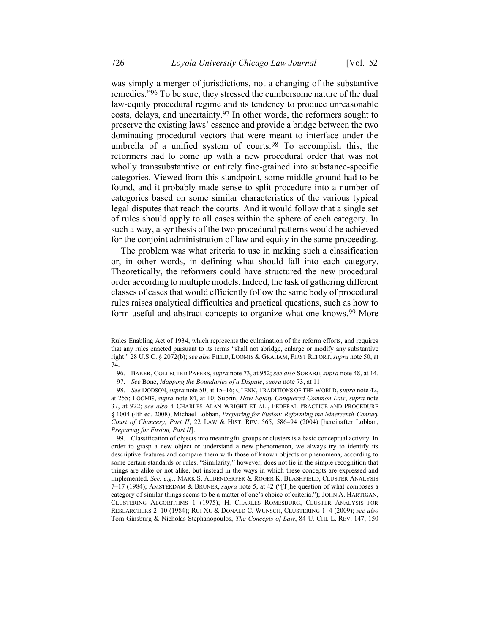<span id="page-20-1"></span>was simply a merger of jurisdictions, not a changing of the substantive remedies."96 To be sure, they stressed the cumbersome nature of the dual law-equity procedural regime and its tendency to produce unreasonable costs, delays, and uncertainty.97 In other words, the reformers sought to preserve the existing laws' essence and provide a bridge between the two dominating procedural vectors that were meant to interface under the umbrella of a unified system of courts.98 To accomplish this, the reformers had to come up with a new procedural order that was not wholly transsubstantive or entirely fine-grained into substance-specific categories. Viewed from this standpoint, some middle ground had to be found, and it probably made sense to split procedure into a number of categories based on some similar characteristics of the various typical legal disputes that reach the courts. And it would follow that a single set of rules should apply to all cases within the sphere of each category. In such a way, a synthesis of the two procedural patterns would be achieved for the conjoint administration of law and equity in the same proceeding.

The problem was what criteria to use in making such a classification or, in other words, in defining what should fall into each category. Theoretically, the reformers could have structured the new procedural order according to multiple models. Indeed, the task of gathering different classes of cases that would efficiently follow the same body of procedural rules raises analytical difficulties and practical questions, such as how to form useful and abstract concepts to organize what one knows.<sup>99</sup> More

<span id="page-20-0"></span>Rules Enabling Act of 1934, which represents the culmination of the reform efforts, and requires that any rules enacted pursuant to its terms "shall not abridge, enlarge or modify any substantive right." 28 U.S.C. § 2072(b); *see also* FIELD, LOOMIS & GRAHAM, FIRST REPORT, *supra* not[e 50,](#page-13-1) at 74.

<sup>96.</sup> BAKER, COLLECTED PAPERS, *supra* not[e 73,](#page-16-1) at 952; *see also* SORABJI,*supra* not[e 48,](#page-13-0) at 14.

<sup>97.</sup> *See* Bone, *Mapping the Boundaries of a Dispute*, *supra* not[e 73,](#page-16-1) at 11.

<sup>98.</sup> *See* DODSON,*supra* not[e 50,](#page-13-1) at 15–16; GLENN, TRADITIONS OF THE WORLD, *supra* not[e 42,](#page-12-2)  at 255; LOOMIS, *supra* note [84,](#page-18-0) at 10; Subrin, *How Equity Conquered Common Law*, *supra* note [37,](#page-11-1) at 922; *see also* 4 CHARLES ALAN WRIGHT ET AL., FEDERAL PRACTICE AND PROCEDURE § 1004 (4th ed. 2008); Michael Lobban, *Preparing for Fusion: Reforming the Nineteenth-Century Court of Chancery, Part II*, 22 LAW & HIST. REV. 565, 586–94 (2004) [hereinafter Lobban, *Preparing for Fusion, Part II*].

<sup>99.</sup> Classification of objects into meaningful groups or clusters is a basic conceptual activity. In order to grasp a new object or understand a new phenomenon, we always try to identify its descriptive features and compare them with those of known objects or phenomena, according to some certain standards or rules. "Similarity," however, does not lie in the simple recognition that things are alike or not alike, but instead in the ways in which these concepts are expressed and implemented. *See, e.g.*, MARK S. ALDENDERFER & ROGER K. BLASHFIELD, CLUSTER ANALYSIS 7–17 (1984); AMSTERDAM & BRUNER, *supra* note [5,](#page-3-2) at 42 ("[T]he question of what composes a category of similar things seems to be a matter of one's choice of criteria."); JOHN A. HARTIGAN, CLUSTERING ALGORITHMS 1 (1975); H. CHARLES ROMESBURG, CLUSTER ANALYSIS FOR RESEARCHERS 2–10 (1984); RUI XU & DONALD C. WUNSCH, CLUSTERING 1–4 (2009); *see also* Tom Ginsburg & Nicholas Stephanopoulos, *The Concepts of Law*, 84 U. CHI. L. REV. 147, 150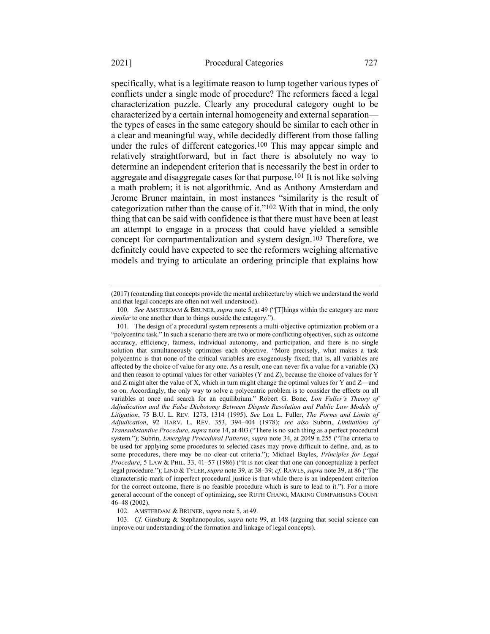specifically, what is a legitimate reason to lump together various types of conflicts under a single mode of procedure? The reformers faced a legal characterization puzzle. Clearly any procedural category ought to be

characterized by a certain internal homogeneity and external separation the types of cases in the same category should be similar to each other in a clear and meaningful way, while decidedly different from those falling under the rules of different categories.<sup>100</sup> This may appear simple and relatively straightforward, but in fact there is absolutely no way to determine an independent criterion that is necessarily the best in order to aggregate and disaggregate cases for that purpose.101 It is not like solving a math problem; it is not algorithmic. And as Anthony Amsterdam and Jerome Bruner maintain, in most instances "similarity is the result of categorization rather than the cause of it."102 With that in mind, the only thing that can be said with confidence is that there must have been at least an attempt to engage in a process that could have yielded a sensible concept for compartmentalization and system design.103 Therefore, we definitely could have expected to see the reformers weighing alternative models and trying to articulate an ordering principle that explains how

102. AMSTERDAM & BRUNER, *supra* not[e 5,](#page-3-2) at 49.

103. *Cf.* Ginsburg & Stephanopoulos, *supra* note [99,](#page-20-0) at 148 (arguing that social science can improve our understanding of the formation and linkage of legal concepts).

<sup>(2017) (</sup>contending that concepts provide the mental architecture by which we understand the world and that legal concepts are often not well understood).

<sup>100.</sup> *See* AMSTERDAM & BRUNER, *supra* not[e 5,](#page-3-2) at 49 ("[T]hings within the category are more *similar* to one another than to things outside the category.").

<sup>101.</sup> The design of a procedural system represents a multi-objective optimization problem or a "polycentric task." In such a scenario there are two or more conflicting objectives, such as outcome accuracy, efficiency, fairness, individual autonomy, and participation, and there is no single solution that simultaneously optimizes each objective. "More precisely, what makes a task polycentric is that none of the critical variables are exogenously fixed; that is, all variables are affected by the choice of value for any one. As a result, one can never fix a value for a variable  $(X)$ and then reason to optimal values for other variables  $(Y \text{ and } Z)$ , because the choice of values for Y and Z might alter the value of X, which in turn might change the optimal values for Y and Z—and so on. Accordingly, the only way to solve a polycentric problem is to consider the effects on all variables at once and search for an equilibrium." Robert G. Bone, *Lon Fuller's Theory of Adjudication and the False Dichotomy Between Dispute Resolution and Public Law Models of Litigation*, 75 B.U. L. REV. 1273, 1314 (1995). *See* Lon L. Fuller, *The Forms and Limits of Adjudication*, 92 HARV. L. REV. 353, 394–404 (1978); *see also* Subrin, *Limitations of Transsubstantive Procedure*, *supra* not[e 14](#page-5-0), at 403 ("There is no such thing as a perfect procedural system."); Subrin, *Emerging Procedural Patterns*, *supra* note [34](#page-10-1), at 2049 n.255 ("The criteria to be used for applying some procedures to selected cases may prove difficult to define, and, as to some procedures, there may be no clear-cut criteria."); Michael Bayles, *Principles for Legal Procedure*, 5 LAW & PHIL. 33, 41–57 (1986) ("It is not clear that one can conceptualize a perfect legal procedure."); LIND & TYLER, *supra* not[e 39,](#page-11-0) at 38–39; *cf.* RAWLS, *supra* note [39](#page-11-0), at 86 ("The characteristic mark of imperfect procedural justice is that while there is an independent criterion for the correct outcome, there is no feasible procedure which is sure to lead to it."). For a more general account of the concept of optimizing, see RUTH CHANG, MAKING COMPARISONS COUNT 46–48 (2002).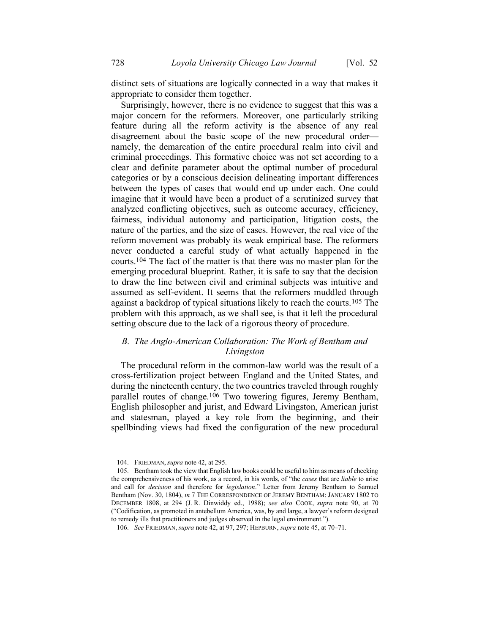distinct sets of situations are logically connected in a way that makes it appropriate to consider them together.

Surprisingly, however, there is no evidence to suggest that this was a major concern for the reformers. Moreover, one particularly striking feature during all the reform activity is the absence of any real disagreement about the basic scope of the new procedural order namely, the demarcation of the entire procedural realm into civil and criminal proceedings. This formative choice was not set according to a clear and definite parameter about the optimal number of procedural categories or by a conscious decision delineating important differences between the types of cases that would end up under each. One could imagine that it would have been a product of a scrutinized survey that analyzed conflicting objectives, such as outcome accuracy, efficiency, fairness, individual autonomy and participation, litigation costs, the nature of the parties, and the size of cases. However, the real vice of the reform movement was probably its weak empirical base. The reformers never conducted a careful study of what actually happened in the courts.104 The fact of the matter is that there was no master plan for the emerging procedural blueprint. Rather, it is safe to say that the decision to draw the line between civil and criminal subjects was intuitive and assumed as self-evident. It seems that the reformers muddled through against a backdrop of typical situations likely to reach the courts.105 The problem with this approach, as we shall see, is that it left the procedural setting obscure due to the lack of a rigorous theory of procedure.

### *B. The Anglo-American Collaboration: The Work of Bentham and Livingston*

The procedural reform in the common-law world was the result of a cross-fertilization project between England and the United States, and during the nineteenth century, the two countries traveled through roughly parallel routes of change.106 Two towering figures, Jeremy Bentham, English philosopher and jurist, and Edward Livingston, American jurist and statesman, played a key role from the beginning, and their spellbinding views had fixed the configuration of the new procedural

<sup>104.</sup> FRIEDMAN, *supra* not[e 42,](#page-12-2) at 295.

<sup>105.</sup> Bentham took the view that English law books could be useful to him as means of checking the comprehensiveness of his work, as a record, in his words, of "the *cases* that are *liable* to arise and call for *decision* and therefore for *legislation*." Letter from Jeremy Bentham to Samuel Bentham (Nov. 30, 1804), *in* 7 THE CORRESPONDENCE OF JEREMY BENTHAM: JANUARY 1802 TO DECEMBER 1808, at 294 (J. R. Dinwiddy ed., 1988); *see also* COOK, *supra* note [90,](#page-19-0) at 70 ("Codification, as promoted in antebellum America, was, by and large, a lawyer's reform designed to remedy ills that practitioners and judges observed in the legal environment.").

<sup>106.</sup> *See* FRIEDMAN, *supra* not[e 42,](#page-12-2) at 97, 297; HEPBURN, *supra* not[e 45,](#page-12-1) at 70–71.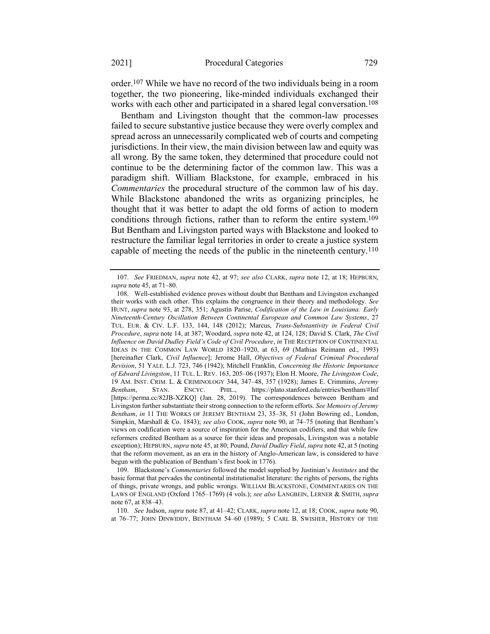order.107 While we have no record of the two individuals being in a room together, the two pioneering, like-minded individuals exchanged their works with each other and participated in a shared legal conversation.<sup>108</sup>

<span id="page-23-0"></span>Bentham and Livingston thought that the common-law processes failed to secure substantive justice because they were overly complex and spread across an unnecessarily complicated web of courts and competing jurisdictions. In their view, the main division between law and equity was all wrong. By the same token, they determined that procedure could not continue to be the determining factor of the common law. This was a paradigm shift. William Blackstone, for example, embraced in his *Commentaries* the procedural structure of the common law of his day. While Blackstone abandoned the writs as organizing principles, he thought that it was better to adapt the old forms of action to modern conditions through fictions, rather than to reform the entire system.109 But Bentham and Livingston parted ways with Blackstone and looked to restructure the familiar legal territories in order to create a justice system capable of meeting the needs of the public in the nineteenth century.110

110. *See* Judson, *supra* note [87,](#page-18-1) at 41–42; CLARK, *supra* not[e 12,](#page-4-2) at 18; COOK, *supra* not[e 90,](#page-19-0)  at 76–77; JOHN DINWIDDY, BENTHAM 54–60 (1989); 5 CARL B. SWISHER, HISTORY OF THE

<span id="page-23-1"></span><sup>107.</sup> *See* FRIEDMAN, *supra* note [42,](#page-12-2) at 97; *see also* CLARK, *supra* note [12,](#page-4-2) at 18; HEPBURN, *supra* not[e 45,](#page-12-1) at 71–80.

<sup>108.</sup> Well-established evidence proves without doubt that Bentham and Livingston exchanged their works with each other. This explains the congruence in their theory and methodology. *See*  HUNT, *supra* note [93,](#page-19-1) at 278, 351; Agustín Parise, *Codification of the Law in Louisiana: Early Nineteenth-Century Oscillation Between Continental European and Common Law Systems*, 27 TUL. EUR. & CIV. L.F. 133, 144, 148 (2012); Marcus, *Trans-Substantivity in Federal Civil Procedure*, *supra* not[e 14,](#page-5-0) at 387; Woodard, *supra* not[e 42,](#page-12-2) at 124, 128; David S. Clark, *The Civil Influence on David Dudley Field's Code of Civil Procedure*, *in* THE RECEPTION OF CONTINENTAL IDEAS IN THE COMMON LAW WORLD 1820–1920, at 63, 69 (Mathias Reimann ed., 1993) [hereinafter Clark, *Civil Influence*]; Jerome Hall, *Objectives of Federal Criminal Procedural Revision*, 51 YALE. L.J. 723, 746 (1942); Mitchell Franklin, *Concerning the Historic Importance of Edward Livingston*, 11 TUL. L. REV. 163, 205–06 (1937); Elon H. Moore, *The Livingston Code*, 19 AM. INST. CRIM. L. & CRIMINOLOGY 344, 347–48, 357 (1928); James E. Crimmins, *Jeremy Bentham*, STAN. ENCYC. PHIL., https://plato.stanford.edu/entries/bentham/#Inf [https://perma.cc/82JB-XZKQ] (Jan. 28, 2019). The correspondences between Bentham and Livingston further substantiate their strong connection to the reform efforts. *See Memoirs of Jeremy Bentham*, *in* 11 THE WORKS OF JEREMY BENTHAM 23, 35–38, 51 (John Bowring ed., London, Simpkin, Marshall & Co. 1843); *see also* COOK, *supra* note [90,](#page-19-0) at 74–75 (noting that Bentham's views on codification were a source of inspiration for the American codifiers, and that while few reformers credited Bentham as a source for their ideas and proposals, Livingston was a notable exception); HEPBURN, *supra* not[e 45,](#page-12-1) at 80; Pound, *David Dudley Field*, *supra* not[e 42,](#page-12-2) at 5 (noting that the reform movement, as an era in the history of Anglo-American law, is considered to have begun with the publication of Bentham's first book in 1776).

<sup>109.</sup> Blackstone's *Commentaries* followed the model supplied by Justinian's *Institutes* and the basic format that pervades the continental institutionalist literature: the rights of persons, the rights of things, private wrongs, and public wrongs. WILLIAM BLACKSTONE, COMMENTARIES ON THE LAWS OF ENGLAND (Oxford 1765–1769) (4 vols.); *see also* LANGBEIN, LERNER & SMITH, *supra* note [67,](#page-15-1) at 838–43.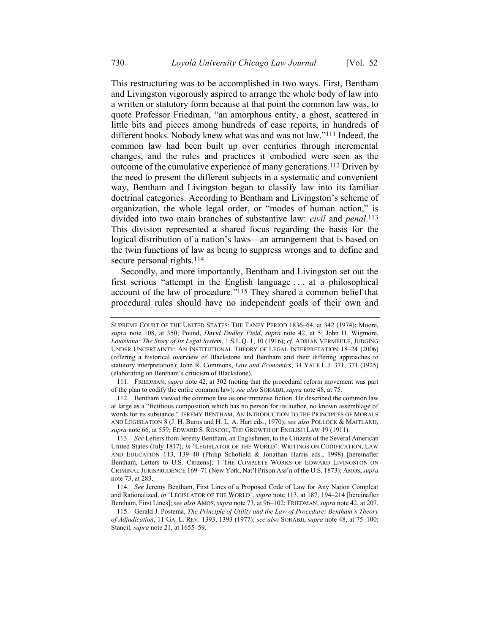This restructuring was to be accomplished in two ways. First, Bentham and Livingston vigorously aspired to arrange the whole body of law into a written or statutory form because at that point the common law was, to quote Professor Friedman, "an amorphous entity, a ghost, scattered in little bits and pieces among hundreds of case reports, in hundreds of different books. Nobody knew what was and was not law."111 Indeed, the common law had been built up over centuries through incremental changes, and the rules and practices it embodied were seen as the outcome of the cumulative experience of many generations.112 Driven by the need to present the different subjects in a systematic and convenient way, Bentham and Livingston began to classify law into its familiar doctrinal categories. According to Bentham and Livingston's scheme of organization, the whole legal order, or "modes of human action," is divided into two main branches of substantive law: *civil* and *penal*. 113 This division represented a shared focus regarding the basis for the logical distribution of a nation's laws—an arrangement that is based on the twin functions of law as being to suppress wrongs and to define and secure personal rights.<sup>114</sup>

<span id="page-24-2"></span><span id="page-24-1"></span><span id="page-24-0"></span>Secondly, and more importantly, Bentham and Livingston set out the first serious "attempt in the English language . . . at a philosophical account of the law of procedure."115 They shared a common belief that procedural rules should have no independent goals of their own and

SUPREME COURT OF THE UNITED STATES: THE TANEY PERIOD 1836–64, at 342 (1974); Moore, *supra* note [108,](#page-23-0) at 350; Pound, *David Dudley Field*, *supra* note [42,](#page-12-2) at 5; John H. Wigmore, *Louisiana: The Story of Its Legal System*, 1 S.L.Q. 1, 10 (1916); *cf.* ADRIAN VERMEULE, JUDGING UNDER UNCERTAINTY: AN INSTITUTIONAL THEORY OF LEGAL INTERPRETATION 18–24 (2006) (offering a historical overview of Blackstone and Bentham and their differing approaches to statutory interpretation); John R. Commons, *Law and Economics*, 34 YALE L.J. 371, 371 (1925) (elaborating on Bentham's criticism of Blackstone).

<sup>111.</sup> FRIEDMAN, *supra* not[e 42,](#page-12-2) at 302 (noting that the procedural reform movement was part of the plan to codify the entire common law); *see also* SORABJI, *supra* not[e 48,](#page-13-0) at 75.

<sup>112.</sup> Bentham viewed the common law as one immense fiction. He described the common law at large as a "fictitious composition which has no person for its author, no known assemblage of words for its substance." JEREMY BENTHAM, AN INTRODUCTION TO THE PRINCIPLES OF MORALS AND LEGISLATION 8 (J. H. Burns and H. L. A. Hart eds., 1970); *see also* POLLOCK & MAITLAND, *supra* not[e 66,](#page-15-0) at 559; EDWARD S. ROSCOE, THE GROWTH OF ENGLISH LAW 19 (1911).

<sup>113.</sup> *See* Letters from Jeremy Bentham, an Englishmen, to the Citizens of the Several American United States (July 1817), *in* 'LEGISLATOR OF THE WORLD': WRITINGS ON CODIFICATION, LAW AND EDUCATION 113, 139–40 (Philip Schofield & Jonathan Harris eds., 1998) [hereinafter Bentham, Letters to U.S. Citizens]; 1 THE COMPLETE WORKS OF EDWARD LIVINGSTON ON CRIMINAL JURISPRUDENCE 169–71 (New York, Nat'l Prison Ass'n of the U.S. 1873); AMOS,*supra* note [73,](#page-16-1) at 283.

<sup>114.</sup> *See* Jeremy Bentham, First Lines of a Proposed Code of Law for Any Nation Compleat and Rationalized, *in* 'LEGISLATOR OF THE WORLD', *supra* not[e 113,](#page-24-0) at 187, 194–214 [hereinafter Bentham, First Lines]; *see also* AMOS,*supra* not[e 73,](#page-16-1) at 96–102; FRIEDMAN,*supra* not[e 42,](#page-12-2) at 207.

<sup>115.</sup> Gerald J. Postema, *The Principle of Utility and the Law of Procedure: Bentham's Theory of Adjudication*, 11 GA. L. REV. 1393, 1393 (1977); *see also* SORABJI, *supra* not[e 48,](#page-13-0) at 75–100; Stancil, *supra* note [21,](#page-8-1) at 1655–59.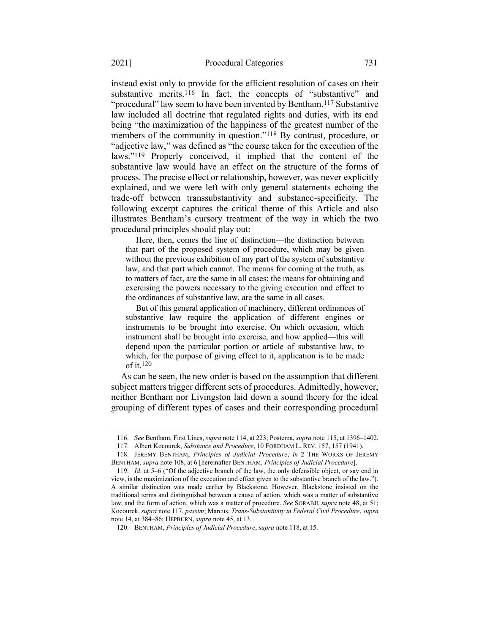<span id="page-25-1"></span><span id="page-25-0"></span>instead exist only to provide for the efficient resolution of cases on their substantive merits.<sup>116</sup> In fact, the concepts of "substantive" and "procedural" law seem to have been invented by Bentham.<sup>117</sup> Substantive law included all doctrine that regulated rights and duties, with its end being "the maximization of the happiness of the greatest number of the members of the community in question."<sup>118</sup> By contrast, procedure, or "adjective law," was defined as "the course taken for the execution of the laws."119 Properly conceived, it implied that the content of the substantive law would have an effect on the structure of the forms of process. The precise effect or relationship, however, was never explicitly explained, and we were left with only general statements echoing the trade-off between transsubstantivity and substance-specificity. The following excerpt captures the critical theme of this Article and also illustrates Bentham's cursory treatment of the way in which the two procedural principles should play out:

Here, then, comes the line of distinction—the distinction between that part of the proposed system of procedure, which may be given without the previous exhibition of any part of the system of substantive law, and that part which cannot. The means for coming at the truth, as to matters of fact, are the same in all cases: the means for obtaining and exercising the powers necessary to the giving execution and effect to the ordinances of substantive law, are the same in all cases.

But of this general application of machinery, different ordinances of substantive law require the application of different engines or instruments to be brought into exercise. On which occasion, which instrument shall be brought into exercise, and how applied—this will depend upon the particular portion or article of substantive law, to which, for the purpose of giving effect to it, application is to be made of it.120

As can be seen, the new order is based on the assumption that different subject matters trigger different sets of procedures. Admittedly, however, neither Bentham nor Livingston laid down a sound theory for the ideal grouping of different types of cases and their corresponding procedural

<sup>116.</sup> *See* Bentham, First Lines, *supra* not[e 114,](#page-24-1) at 223; Postema, *supra* not[e 115,](#page-24-2) at 1396–1402.

<sup>117.</sup> Albert Kocourek, *Substance and Procedure*, 10 FORDHAM L. REV. 157, 157 (1941).

<sup>118.</sup> JEREMY BENTHAM, *Principles of Judicial Procedure*, *in* 2 THE WORKS OF JEREMY BENTHAM, *supra* note [108,](#page-23-0) at 6 [hereinafter BENTHAM, *Principles of Judicial Procedure*].

<sup>119.</sup> *Id*. at 5–6 ("Of the adjective branch of the law, the only defensible object, or say end in view, is the maximization of the execution and effect given to the substantive branch of the law."). A similar distinction was made earlier by Blackstone. However, Blackstone insisted on the traditional terms and distinguished between a cause of action, which was a matter of substantive law, and the form of action, which was a matter of procedure. *See* SORABJI, *supra* not[e 48,](#page-13-0) at 51; Kocourek, *supra* not[e 117,](#page-25-0) *passim*; Marcus, *Trans-Substantivity in Federal Civil Procedure*, *supra*  note [14,](#page-5-0) at 384–86; HEPBURN, *supra* note [45,](#page-12-1) at 13.

<sup>120.</sup> BENTHAM, *Principles of Judicial Procedure*, *supra* note [118,](#page-25-1) at 15.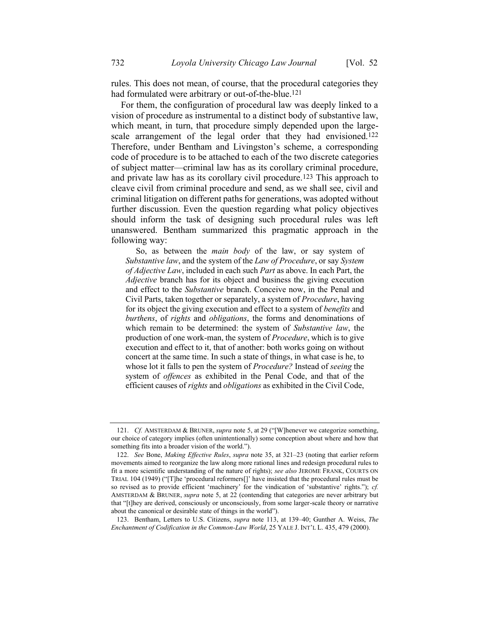rules. This does not mean, of course, that the procedural categories they had formulated were arbitrary or out-of-the-blue.121

<span id="page-26-0"></span>For them, the configuration of procedural law was deeply linked to a vision of procedure as instrumental to a distinct body of substantive law, which meant, in turn, that procedure simply depended upon the largescale arrangement of the legal order that they had envisioned.<sup>122</sup> Therefore, under Bentham and Livingston's scheme, a corresponding code of procedure is to be attached to each of the two discrete categories of subject matter—criminal law has as its corollary criminal procedure, and private law has as its corollary civil procedure.123 This approach to cleave civil from criminal procedure and send, as we shall see, civil and criminal litigation on different paths for generations, was adopted without further discussion. Even the question regarding what policy objectives should inform the task of designing such procedural rules was left unanswered. Bentham summarized this pragmatic approach in the following way:

So, as between the *main body* of the law, or say system of *Substantive law*, and the system of the *Law of Procedure*, or say *System of Adjective Law*, included in each such *Part* as above. In each Part, the *Adjective* branch has for its object and business the giving execution and effect to the *Substantive* branch. Conceive now, in the Penal and Civil Parts, taken together or separately, a system of *Procedure*, having for its object the giving execution and effect to a system of *benefits* and *burthens*, of *rights* and *obligations*, the forms and denominations of which remain to be determined: the system of *Substantive law*, the production of one work-man, the system of *Procedure*, which is to give execution and effect to it, that of another: both works going on without concert at the same time. In such a state of things, in what case is he, to whose lot it falls to pen the system of *Procedure?* Instead of *seeing* the system of *offences* as exhibited in the Penal Code, and that of the efficient causes of *rights* and *obligations* as exhibited in the Civil Code,

123. Bentham, Letters to U.S. Citizens, *supra* note [113,](#page-24-0) at 139–40; Gunther A. Weiss, *The Enchantment of Codification in the Common-Law World*, 25 YALE J. INT'L L. 435, 479 (2000).

<sup>121.</sup> *Cf.* AMSTERDAM & BRUNER, *supra* note [5,](#page-3-2) at 29 ("[W]henever we categorize something, our choice of category implies (often unintentionally) some conception about where and how that something fits into a broader vision of the world.").

<sup>122.</sup> *See* Bone, *Making Effective Rules*, *supra* note [35,](#page-10-0) at 321–23 (noting that earlier reform movements aimed to reorganize the law along more rational lines and redesign procedural rules to fit a more scientific understanding of the nature of rights); *see also* JEROME FRANK, COURTS ON TRIAL 104 (1949) ("[T]he 'procedural reformers[]' have insisted that the procedural rules must be so revised as to provide efficient 'machinery' for the vindication of 'substantive' rights."); *cf.*  AMSTERDAM & BRUNER, *supra* note [5,](#page-3-2) at 22 (contending that categories are never arbitrary but that "[t]hey are derived, consciously or unconsciously, from some larger-scale theory or narrative about the canonical or desirable state of things in the world").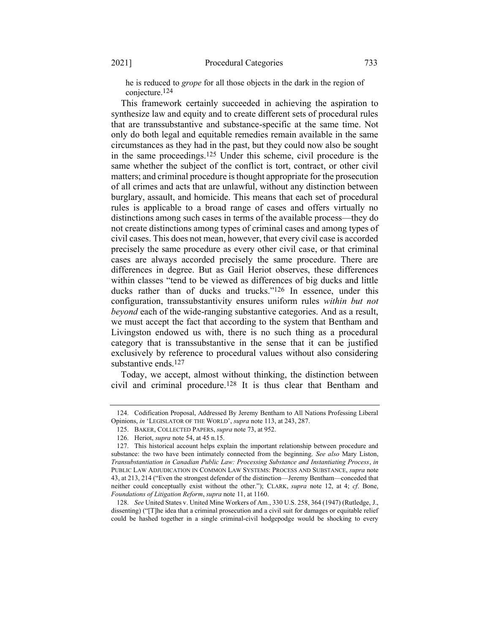he is reduced to *grope* for all those objects in the dark in the region of conjecture.124

This framework certainly succeeded in achieving the aspiration to synthesize law and equity and to create different sets of procedural rules that are transsubstantive and substance-specific at the same time. Not only do both legal and equitable remedies remain available in the same circumstances as they had in the past, but they could now also be sought in the same proceedings.125 Under this scheme, civil procedure is the same whether the subject of the conflict is tort, contract, or other civil matters; and criminal procedure is thought appropriate for the prosecution of all crimes and acts that are unlawful, without any distinction between burglary, assault, and homicide. This means that each set of procedural rules is applicable to a broad range of cases and offers virtually no distinctions among such cases in terms of the available process—they do not create distinctions among types of criminal cases and among types of civil cases. This does not mean, however, that every civil case is accorded precisely the same procedure as every other civil case, or that criminal cases are always accorded precisely the same procedure. There are differences in degree. But as Gail Heriot observes, these differences within classes "tend to be viewed as differences of big ducks and little ducks rather than of ducks and trucks."126 In essence, under this configuration, transsubstantivity ensures uniform rules *within but not beyond* each of the wide-ranging substantive categories. And as a result, we must accept the fact that according to the system that Bentham and Livingston endowed us with, there is no such thing as a procedural category that is transsubstantive in the sense that it can be justified exclusively by reference to procedural values without also considering substantive ends.127

Today, we accept, almost without thinking, the distinction between civil and criminal procedure.128 It is thus clear that Bentham and

<sup>124.</sup> Codification Proposal, Addressed By Jeremy Bentham to All Nations Professing Liberal Opinions, *in* 'LEGISLATOR OF THE WORLD', *supra* not[e 113,](#page-24-0) at 243, 287.

<sup>125.</sup> BAKER, COLLECTED PAPERS, *supra* not[e 73,](#page-16-1) at 952.

<sup>126.</sup> Heriot, *supra* not[e 54,](#page-14-0) at 45 n.15.

<sup>127.</sup> This historical account helps explain the important relationship between procedure and substance: the two have been intimately connected from the beginning. *See also* Mary Liston, *Transubstantiation in Canadian Public Law: Processing Substance and Instantiating Process*, *in* PUBLIC LAW ADJUDICATION IN COMMON LAW SYSTEMS: PROCESS AND SUBSTANCE, *supra* note [43](#page-12-0), at 213, 214 ("Even the strongest defender of the distinction—Jeremy Bentham—conceded that neither could conceptually exist without the other."); CLARK, *supra* note [12,](#page-4-2) at 4; *cf*. Bone, *Foundations of Litigation Reform*, *supra* note [11,](#page-4-0) at 1160.

<sup>128.</sup> *See* United States v. United Mine Workers of Am., 330 U.S. 258, 364 (1947) (Rutledge, J., dissenting) ("[T]he idea that a criminal prosecution and a civil suit for damages or equitable relief could be hashed together in a single criminal-civil hodgepodge would be shocking to every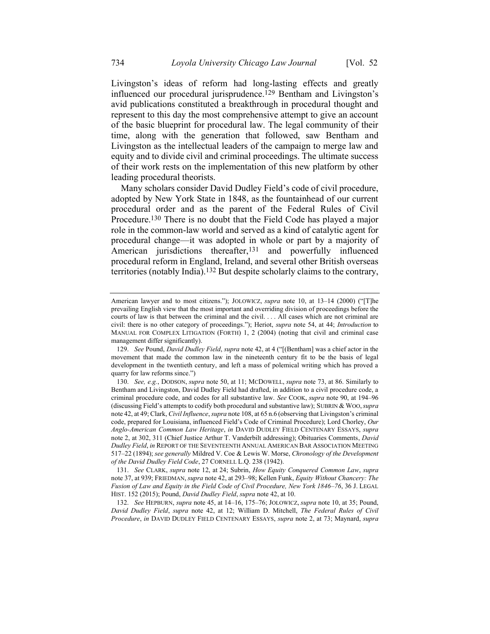Livingston's ideas of reform had long-lasting effects and greatly influenced our procedural jurisprudence.129 Bentham and Livingston's avid publications constituted a breakthrough in procedural thought and represent to this day the most comprehensive attempt to give an account of the basic blueprint for procedural law. The legal community of their time, along with the generation that followed, saw Bentham and Livingston as the intellectual leaders of the campaign to merge law and equity and to divide civil and criminal proceedings. The ultimate success of their work rests on the implementation of this new platform by other leading procedural theorists.

Many scholars consider David Dudley Field's code of civil procedure, adopted by New York State in 1848, as the fountainhead of our current procedural order and as the parent of the Federal Rules of Civil Procedure.130 There is no doubt that the Field Code has played a major role in the common-law world and served as a kind of catalytic agent for procedural change—it was adopted in whole or part by a majority of American jurisdictions thereafter,131 and powerfully influenced procedural reform in England, Ireland, and several other British overseas territories (notably India).132 But despite scholarly claims to the contrary,

132. *See* HEPBURN, *supra* note [45,](#page-12-1) at 14–16, 175–76; JOLOWICZ, *supra* not[e 10,](#page-4-3) at 35; Pound, *David Dudley Field*, *supra* note [42,](#page-12-2) at 12; William D. Mitchell, *The Federal Rules of Civil Procedure*, *in* DAVID DUDLEY FIELD CENTENARY ESSAYS, *supra* not[e 2,](#page-2-1) at 73; Maynard, *supra* 

<span id="page-28-1"></span><span id="page-28-0"></span>American lawyer and to most citizens."); JOLOWICZ, *supra* note [10,](#page-4-3) at 13–14 (2000) ("[T]he prevailing English view that the most important and overriding division of proceedings before the courts of law is that between the criminal and the civil. . . . All cases which are not criminal are civil: there is no other category of proceedings."); Heriot, *supra* note [54,](#page-14-0) at 44; *Introduction* to MANUAL FOR COMPLEX LITIGATION (FORTH) 1, 2 (2004) (noting that civil and criminal case management differ significantly).

<sup>129.</sup> *See* Pound, *David Dudley Field*, *supra* not[e 42](#page-12-2), at 4 ("[(Bentham] was a chief actor in the movement that made the common law in the nineteenth century fit to be the basis of legal development in the twentieth century, and left a mass of polemical writing which has proved a quarry for law reforms since.")

<sup>130.</sup> *See, e.g.*, DODSON, *supra* note [50,](#page-13-1) at 11; MCDOWELL, *supra* note [73,](#page-16-1) at 86. Similarly to Bentham and Livingston, David Dudley Field had drafted, in addition to a civil procedure code, a criminal procedure code, and codes for all substantive law. *See* COOK, *supra* note [90,](#page-19-0) at 194–96 (discussing Field's attempts to codify both procedural and substantive law); SUBRIN & WOO,*supra* not[e 42,](#page-12-2) at 49; Clark, *Civil Influence*, *supra* not[e 108,](#page-23-0) at 65 n.6 (observing that Livingston's criminal code, prepared for Louisiana, influenced Field's Code of Criminal Procedure); Lord Chorley, *Our Anglo-American Common Law Heritage*, *in* DAVID DUDLEY FIELD CENTENARY ESSAYS, *supra* note [2,](#page-2-1) at 302, 311 (Chief Justice Arthur T. Vanderbilt addressing); Obituaries Comments, *David Dudley Field*, *in* REPORT OF THE SEVENTEENTH ANNUAL AMERICAN BAR ASSOCIATION MEETING 517–22 (1894); *see generally* Mildred V. Coe & Lewis W. Morse, *Chronology of the Development of the David Dudley Field Code*, 27 CORNELL L.Q. 238 (1942).

<sup>131.</sup> *See* CLARK, *supra* note [12,](#page-4-2) at 24; Subrin, *How Equity Conquered Common Law*, *supra*  not[e 37,](#page-11-1) at 939; FRIEDMAN, *supra* not[e 42,](#page-12-2) at 293–98; Kellen Funk, *Equity Without Chancery: The Fusion of Law and Equity in the Field Code of Civil Procedure, New York 1846–76*, 36 J. LEGAL HIST. 152 (2015); Pound, *David Dudley Field*, *supra* note [42,](#page-12-2) at 10.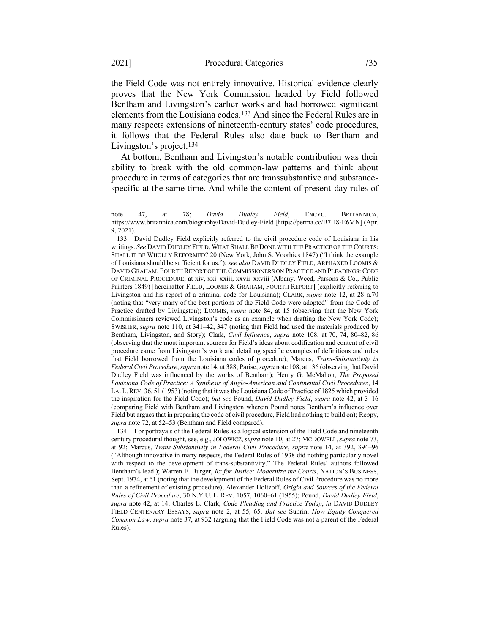<span id="page-29-0"></span>the Field Code was not entirely innovative. Historical evidence clearly proves that the New York Commission headed by Field followed Bentham and Livingston's earlier works and had borrowed significant elements from the Louisiana codes.133 And since the Federal Rules are in many respects extensions of nineteenth-century states' code procedures, it follows that the Federal Rules also date back to Bentham and Livingston's project.134

At bottom, Bentham and Livingston's notable contribution was their ability to break with the old common-law patterns and think about procedure in terms of categories that are transsubstantive and substancespecific at the same time. And while the content of present-day rules of

note [47,](#page-13-2) at 78; *David Dudley Field*, ENCYC. BRITANNICA, https://www.britannica.com/biography/David-Dudley-Field [https://perma.cc/B7H8-E6MN] (Apr. 9, 2021).

<sup>133.</sup> David Dudley Field explicitly referred to the civil procedure code of Louisiana in his writings. *See* DAVID DUDLEY FIELD, WHAT SHALL BE DONE WITH THE PRACTICE OF THE COURTS: SHALL IT BE WHOLLY REFORMED? 20 (New York, John S. Voorhies 1847) ("I think the example of Louisiana should be sufficient for us."); *see also* DAVID DUDLEY FIELD, ARPHAXED LOOMIS & DAVID GRAHAM, FOURTH REPORT OF THE COMMISSIONERS ON PRACTICE AND PLEADINGS: CODE OF CRIMINAL PROCEDURE, at xiv, xxi–xxiii, xxvii–xxviii (Albany, Weed, Parsons & Co., Public Printers 1849) [hereinafter FIELD, LOOMIS & GRAHAM, FOURTH REPORT] (explicitly referring to Livingston and his report of a criminal code for Louisiana); CLARK, *supra* note [12,](#page-4-2) at 28 n.70 (noting that "very many of the best portions of the Field Code were adopted" from the Code of Practice drafted by Livingston); LOOMIS, *supra* note [84,](#page-18-0) at 15 (observing that the New York Commissioners reviewed Livingston's code as an example when drafting the New York Code); SWISHER, *supra* note [110,](#page-23-1) at 341–42, 347 (noting that Field had used the materials produced by Bentham, Livingston, and Story); Clark, *Civil Influence*, *supra* note [108,](#page-23-0) at 70, 74, 80–82, 86 (observing that the most important sources for Field's ideas about codification and content of civil procedure came from Livingston's work and detailing specific examples of definitions and rules that Field borrowed from the Louisiana codes of procedure); Marcus, *Trans-Substantivity in Federal Civil Procedure*, *supra* note 14, at 388; Parise, *supra* not[e 108,](#page-23-0) at 136 (observing that David Dudley Field was influenced by the works of Bentham); Henry G. McMahon, *The Proposed Louisiana Code of Practice: A Synthesis of Anglo-American and Continental Civil Procedures*, 14 LA. L.REV. 36, 51 (1953) (noting that it was the Louisiana Code of Practice of 1825 which provided the inspiration for the Field Code); *but see* Pound, *David Dudley Field*, *supra* note [42,](#page-12-2) at 3–16 (comparing Field with Bentham and Livingston wherein Pound notes Bentham's influence over Field but argues that in preparing the code of civil procedure, Field had nothing to build on); Reppy, *supra* not[e 72,](#page-16-0) at 52–53 (Bentham and Field compared).

<sup>134.</sup> For portrayals of the Federal Rules as a logical extension of the Field Code and nineteenth century procedural thought, see, e.g., JOLOWICZ, *supra* note [10,](#page-4-3) at 27; MCDOWELL, *supra* not[e 73,](#page-16-1)  at 92; Marcus, *Trans-Substantivity in Federal Civil Procedure*, *supra* note [14,](#page-5-0) at 392, 394–96 ("Although innovative in many respects, the Federal Rules of 1938 did nothing particularly novel with respect to the development of trans-substantivity." The Federal Rules' authors followed Bentham's lead.); Warren E. Burger, *Rx for Justice: Modernize the Courts*, NATION'S BUSINESS, Sept. 1974, at 61 (noting that the development of the Federal Rules of Civil Procedure was no more than a refinement of existing procedure); Alexander Holtzoff, *Origin and Sources of the Federal Rules of Civil Procedure*, 30 N.Y.U. L. REV. 1057, 1060–61 (1955); Pound, *David Dudley Field*, *supra* note [42,](#page-12-2) at 14; Charles E. Clark, *Code Pleading and Practice Today*, *in* DAVID DUDLEY FIELD CENTENARY ESSAYS, *supra* note [2,](#page-2-1) at 55, 65. *But see* Subrin, *How Equity Conquered Common Law*, *supra* note [37,](#page-11-1) at 932 (arguing that the Field Code was not a parent of the Federal Rules).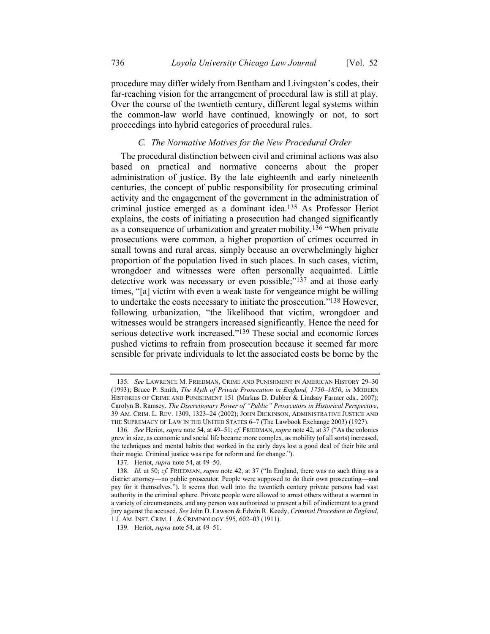procedure may differ widely from Bentham and Livingston's codes, their far-reaching vision for the arrangement of procedural law is still at play. Over the course of the twentieth century, different legal systems within the common-law world have continued, knowingly or not, to sort proceedings into hybrid categories of procedural rules.

#### <span id="page-30-0"></span>*C. The Normative Motives for the New Procedural Order*

The procedural distinction between civil and criminal actions was also based on practical and normative concerns about the proper administration of justice. By the late eighteenth and early nineteenth centuries, the concept of public responsibility for prosecuting criminal activity and the engagement of the government in the administration of criminal justice emerged as a dominant idea.135 As Professor Heriot explains, the costs of initiating a prosecution had changed significantly as a consequence of urbanization and greater mobility.136 "When private prosecutions were common, a higher proportion of crimes occurred in small towns and rural areas, simply because an overwhelmingly higher proportion of the population lived in such places. In such cases, victim, wrongdoer and witnesses were often personally acquainted. Little detective work was necessary or even possible;"137 and at those early times, "[a] victim with even a weak taste for vengeance might be willing to undertake the costs necessary to initiate the prosecution."138 However, following urbanization, "the likelihood that victim, wrongdoer and witnesses would be strangers increased significantly. Hence the need for serious detective work increased."139 These social and economic forces pushed victims to refrain from prosecution because it seemed far more sensible for private individuals to let the associated costs be borne by the

<sup>135.</sup> *See* LAWRENCE M. FRIEDMAN, CRIME AND PUNISHMENT IN AMERICAN HISTORY 29–30 (1993); Bruce P. Smith, *The Myth of Private Prosecution in England, 1750–1850*, *in* MODERN HISTORIES OF CRIME AND PUNISHMENT 151 (Markus D. Dubber & Lindsay Farmer eds., 2007); Carolyn B. Ramsey, *The Discretionary Power of "Public" Prosecutors in Historical Perspective*, 39 AM. CRIM. L. REV. 1309, 1323–24 (2002); JOHN DICKINSON, ADMINISTRATIVE JUSTICE AND THE SUPREMACY OF LAW IN THE UNITED STATES 6–7 (The Lawbook Exchange 2003) (1927).

<sup>136.</sup> *See* Heriot, *supra* not[e 54,](#page-14-0) at 49–51; *cf.* FRIEDMAN, *supra* not[e 42,](#page-12-2) at 37 ("As the colonies grew in size, as economic and social life became more complex, as mobility (of all sorts) increased, the techniques and mental habits that worked in the early days lost a good deal of their bite and their magic. Criminal justice was ripe for reform and for change.").

<sup>137.</sup> Heriot, *supra* not[e 54,](#page-14-0) at 49–50.

<sup>138.</sup> *Id.* at 50; *cf.* FRIEDMAN, *supra* note [42,](#page-12-2) at 37 ("In England, there was no such thing as a district attorney—no public prosecutor. People were supposed to do their own prosecuting—and pay for it themselves."). It seems that well into the twentieth century private persons had vast authority in the criminal sphere. Private people were allowed to arrest others without a warrant in a variety of circumstances, and any person was authorized to present a bill of indictment to a grand jury against the accused. *See* John D. Lawson & Edwin R. Keedy, *Criminal Procedure in England*, 1 J. AM. INST. CRIM. L. & CRIMINOLOGY 595, 602–03 (1911).

<sup>139.</sup> Heriot, *supra* not[e 54,](#page-14-0) at 49–51.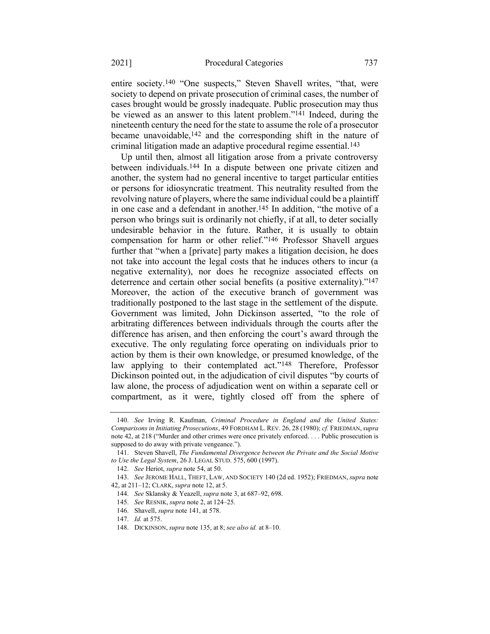<span id="page-31-1"></span><span id="page-31-0"></span>entire society.140 "One suspects," Steven Shavell writes, "that, were society to depend on private prosecution of criminal cases, the number of cases brought would be grossly inadequate. Public prosecution may thus be viewed as an answer to this latent problem."141 Indeed, during the nineteenth century the need for the state to assume the role of a prosecutor became unavoidable,<sup>142</sup> and the corresponding shift in the nature of criminal litigation made an adaptive procedural regime essential.143

Up until then, almost all litigation arose from a private controversy between individuals.144 In a dispute between one private citizen and another, the system had no general incentive to target particular entities or persons for idiosyncratic treatment. This neutrality resulted from the revolving nature of players, where the same individual could be a plaintiff in one case and a defendant in another.145 In addition, "the motive of a person who brings suit is ordinarily not chiefly, if at all, to deter socially undesirable behavior in the future. Rather, it is usually to obtain compensation for harm or other relief."146 Professor Shavell argues further that "when a [private] party makes a litigation decision, he does not take into account the legal costs that he induces others to incur (a negative externality), nor does he recognize associated effects on deterrence and certain other social benefits (a positive externality)."147 Moreover, the action of the executive branch of government was traditionally postponed to the last stage in the settlement of the dispute. Government was limited, John Dickinson asserted, "to the role of arbitrating differences between individuals through the courts after the difference has arisen, and then enforcing the court's award through the executive. The only regulating force operating on individuals prior to action by them is their own knowledge, or presumed knowledge, of the law applying to their contemplated act."<sup>148</sup> Therefore, Professor Dickinson pointed out, in the adjudication of civil disputes "by courts of law alone, the process of adjudication went on within a separate cell or compartment, as it were, tightly closed off from the sphere of

<sup>140.</sup> *See* Irving R. Kaufman, *Criminal Procedure in England and the United States: Comparisons in Initiating Prosecutions*, 49 FORDHAM L. REV. 26, 28 (1980); *cf.* FRIEDMAN,*supra*  note [42](#page-12-2), at 218 ("Murder and other crimes were once privately enforced. . . . Public prosecution is supposed to do away with private vengeance.").

<sup>141.</sup> Steven Shavell, *The Fundamental Divergence between the Private and the Social Motive to Use the Legal System*, 26 J. LEGAL STUD. 575, 600 (1997).

<sup>142.</sup> *See* Heriot, *supra* not[e 54,](#page-14-0) at 50.

<sup>143.</sup> *See* JEROME HALL, THEFT, LAW, AND SOCIETY 140 (2d ed. 1952); FRIEDMAN, *supra* note [42,](#page-12-2) at 211–12; CLARK, *supra* note [12,](#page-4-2) at 5.

<sup>144.</sup> *See* Sklansky & Yeazell, *supra* not[e 3,](#page-3-1) at 687–92, 698.

<sup>145.</sup> *See* RESNIK, *supra* not[e 2,](#page-2-1) at 124–25.

<sup>146.</sup> Shavell, *supra* note [141,](#page-31-0) at 578.

<sup>147.</sup> *Id.* at 575.

<sup>148.</sup> DICKINSON, *supra* not[e 135,](#page-30-0) at 8; *see also id.* at 8–10.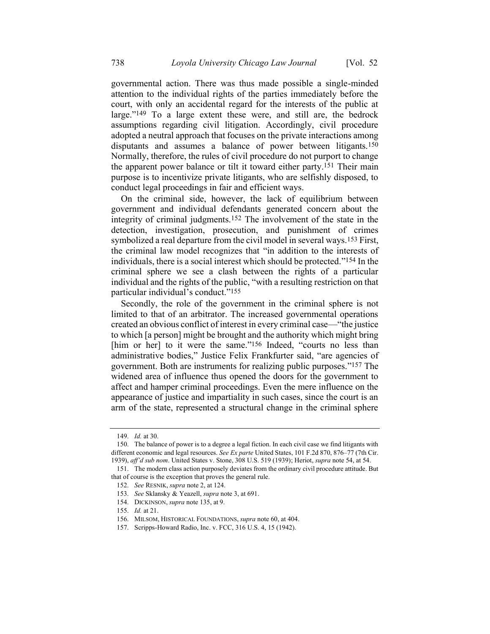governmental action. There was thus made possible a single-minded attention to the individual rights of the parties immediately before the court, with only an accidental regard for the interests of the public at large."149 To a large extent these were, and still are, the bedrock assumptions regarding civil litigation. Accordingly, civil procedure adopted a neutral approach that focuses on the private interactions among disputants and assumes a balance of power between litigants.150 Normally, therefore, the rules of civil procedure do not purport to change the apparent power balance or tilt it toward either party.151 Their main purpose is to incentivize private litigants, who are selfishly disposed, to conduct legal proceedings in fair and efficient ways.

On the criminal side, however, the lack of equilibrium between government and individual defendants generated concern about the integrity of criminal judgments.152 The involvement of the state in the detection, investigation, prosecution, and punishment of crimes symbolized a real departure from the civil model in several ways.<sup>153</sup> First, the criminal law model recognizes that "in addition to the interests of individuals, there is a social interest which should be protected."154 In the criminal sphere we see a clash between the rights of a particular individual and the rights of the public, "with a resulting restriction on that particular individual's conduct."155

Secondly, the role of the government in the criminal sphere is not limited to that of an arbitrator. The increased governmental operations created an obvious conflict of interest in every criminal case—"the justice to which [a person] might be brought and the authority which might bring [him or her] to it were the same."<sup>156</sup> Indeed, "courts no less than administrative bodies," Justice Felix Frankfurter said, "are agencies of government. Both are instruments for realizing public purposes."157 The widened area of influence thus opened the doors for the government to affect and hamper criminal proceedings. Even the mere influence on the appearance of justice and impartiality in such cases, since the court is an arm of the state, represented a structural change in the criminal sphere

<sup>149.</sup> *Id.* at 30.

<sup>150.</sup> The balance of power is to a degree a legal fiction. In each civil case we find litigants with different economic and legal resources. *See Ex parte* United States, 101 F.2d 870, 876–77 (7th Cir. 1939), *aff'd sub nom*. United States v. Stone, 308 U.S. 519 (1939); Heriot, *supra* not[e 54,](#page-14-0) at 54.

<sup>151.</sup> The modern class action purposely deviates from the ordinary civil procedure attitude. But that of course is the exception that proves the general rule.

<sup>152.</sup> *See* RESNIK, *supra* not[e 2,](#page-2-1) at 124.

<sup>153.</sup> *See* Sklansky & Yeazell, *supra* not[e 3,](#page-3-1) at 691.

<sup>154.</sup> DICKINSON, *supra* not[e 135,](#page-30-0) at 9.

<sup>155.</sup> *Id.* at 21.

<sup>156.</sup> MILSOM, HISTORICAL FOUNDATIONS, *supra* not[e 60,](#page-14-2) at 404.

<sup>157.</sup> Scripps-Howard Radio, Inc. v. FCC, 316 U.S. 4, 15 (1942).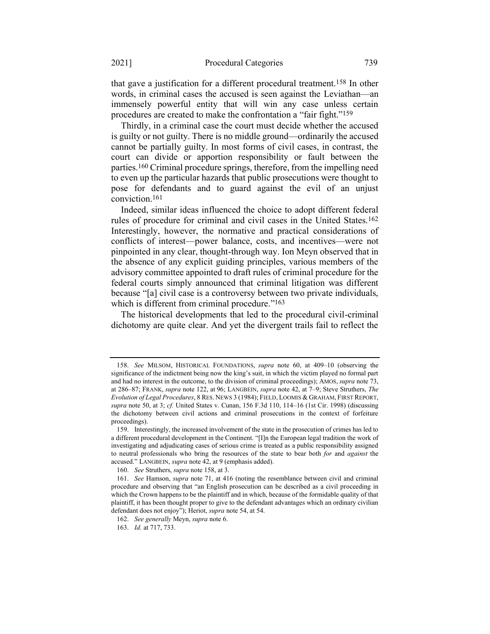<span id="page-33-0"></span>that gave a justification for a different procedural treatment.158 In other words, in criminal cases the accused is seen against the Leviathan—an immensely powerful entity that will win any case unless certain procedures are created to make the confrontation a "fair fight."159

Thirdly, in a criminal case the court must decide whether the accused is guilty or not guilty. There is no middle ground—ordinarily the accused cannot be partially guilty. In most forms of civil cases, in contrast, the court can divide or apportion responsibility or fault between the parties.160 Criminal procedure springs, therefore, from the impelling need to even up the particular hazards that public prosecutions were thought to pose for defendants and to guard against the evil of an unjust conviction.161

Indeed, similar ideas influenced the choice to adopt different federal rules of procedure for criminal and civil cases in the United States.162 Interestingly, however, the normative and practical considerations of conflicts of interest—power balance, costs, and incentives—were not pinpointed in any clear, thought-through way. Ion Meyn observed that in the absence of any explicit guiding principles, various members of the advisory committee appointed to draft rules of criminal procedure for the federal courts simply announced that criminal litigation was different because "[a] civil case is a controversy between two private individuals, which is different from criminal procedure."<sup>163</sup>

The historical developments that led to the procedural civil-criminal dichotomy are quite clear. And yet the divergent trails fail to reflect the

<sup>158.</sup> *See* MILSOM, HISTORICAL FOUNDATIONS, *supra* note [60,](#page-14-2) at 409–10 (observing the significance of the indictment being now the king's suit, in which the victim played no formal part and had no interest in the outcome, to the division of criminal proceedings); AMOS, *supra* not[e 73,](#page-16-1)  at 286–87; FRANK, *supra* not[e 122,](#page-26-0) at 96; LANGBEIN, *supra* not[e 42,](#page-12-2) at 7–9; Steve Struthers, *The Evolution of Legal Procedures*, 8 RES. NEWS 3 (1984); FIELD, LOOMIS & GRAHAM, FIRST REPORT, *supra* note [50,](#page-13-1) at 3; *cf.* United States v. Cunan, 156 F.3d 110, 114–16 (1st Cir. 1998) (discussing the dichotomy between civil actions and criminal prosecutions in the context of forfeiture proceedings).

<sup>159.</sup> Interestingly, the increased involvement of the state in the prosecution of crimes has led to a different procedural development in the Continent. "[I]n the European legal tradition the work of investigating and adjudicating cases of serious crime is treated as a public responsibility assigned to neutral professionals who bring the resources of the state to bear both *for* and *against* the accused." LANGBEIN, *supra* not[e 42,](#page-12-2) at 9 (emphasis added).

<sup>160.</sup> *See* Struthers, *supra* not[e 158,](#page-33-0) at 3.

<sup>161.</sup> *See* Hamson, *supra* note [71,](#page-16-2) at 416 (noting the resemblance between civil and criminal procedure and observing that "an English prosecution can be described as a civil proceeding in which the Crown happens to be the plaintiff and in which, because of the formidable quality of that plaintiff, it has been thought proper to give to the defendant advantages which an ordinary civilian defendant does not enjoy"); Heriot, *supra* not[e 54,](#page-14-0) at 54.

<sup>162.</sup> *See generally* Meyn, *supra* not[e 6.](#page-3-3)

<sup>163.</sup> *Id.* at 717, 733.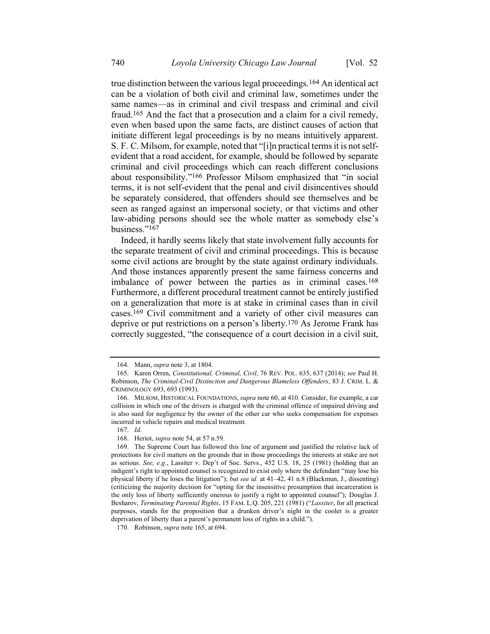<span id="page-34-0"></span>true distinction between the various legal proceedings.164 An identical act can be a violation of both civil and criminal law, sometimes under the same names—as in criminal and civil trespass and criminal and civil fraud.165 And the fact that a prosecution and a claim for a civil remedy, even when based upon the same facts, are distinct causes of action that initiate different legal proceedings is by no means intuitively apparent. S. F. C. Milsom, for example, noted that "[i]n practical terms it is not selfevident that a road accident, for example, should be followed by separate criminal and civil proceedings which can reach different conclusions about responsibility."166 Professor Milsom emphasized that "in social terms, it is not self-evident that the penal and civil disincentives should be separately considered, that offenders should see themselves and be seen as ranged against an impersonal society, or that victims and other law-abiding persons should see the whole matter as somebody else's business."167

Indeed, it hardly seems likely that state involvement fully accounts for the separate treatment of civil and criminal proceedings. This is because some civil actions are brought by the state against ordinary individuals. And those instances apparently present the same fairness concerns and imbalance of power between the parties as in criminal cases.168 Furthermore, a different procedural treatment cannot be entirely justified on a generalization that more is at stake in criminal cases than in civil cases.169 Civil commitment and a variety of other civil measures can deprive or put restrictions on a person's liberty.170 As Jerome Frank has correctly suggested, "the consequence of a court decision in a civil suit,

<sup>164.</sup> Mann, *supra* not[e 3,](#page-3-1) at 1804.

<sup>165.</sup> Karen Orren, *Constitutional, Criminal, Civil*, 76 REV. POL. 635, 637 (2014); *see* Paul H. Robinson, *The Criminal-Civil Distinction and Dangerous Blameless Offenders*, 83 J. CRIM. L. & CRIMINOLOGY 693, 693 (1993).

<sup>166.</sup> MILSOM, HISTORICAL FOUNDATIONS, *supra* not[e 60,](#page-14-2) at 410. Consider, for example, a car collision in which one of the drivers is charged with the criminal offence of impaired driving and is also sued for negligence by the owner of the other car who seeks compensation for expenses incurred in vehicle repairs and medical treatment.

<sup>167.</sup> *Id.*

<sup>168.</sup> Heriot, *supra* not[e 54,](#page-14-0) at 57 n.59.

<sup>169.</sup> The Supreme Court has followed this line of argument and justified the relative lack of protections for civil matters on the grounds that in those proceedings the interests at stake are not as serious. *See, e.g.*, Lassiter v. Dep't of Soc. Servs., 452 U.S. 18, 25 (1981) (holding that an indigent's right to appointed counsel is recognized to exist only where the defendant "may lose his physical liberty if he loses the litigation"); *but see id.* at 41–42, 41 n.8 (Blackmun, J., dissenting) (criticizing the majority decision for "opting for the insensitive presumption that incarceration is the only loss of liberty sufficiently onerous to justify a right to appointed counsel"); Douglas J. Besharov, *Terminating Parental Rights*, 15 FAM. L.Q. 205, 221 (1981) ("*Lassiter*, for all practical purposes, stands for the proposition that a drunken driver's night in the cooler is a greater deprivation of liberty than a parent's permanent loss of rights in a child.").

<sup>170.</sup> Robinson, *supra* not[e 165,](#page-34-0) at 694.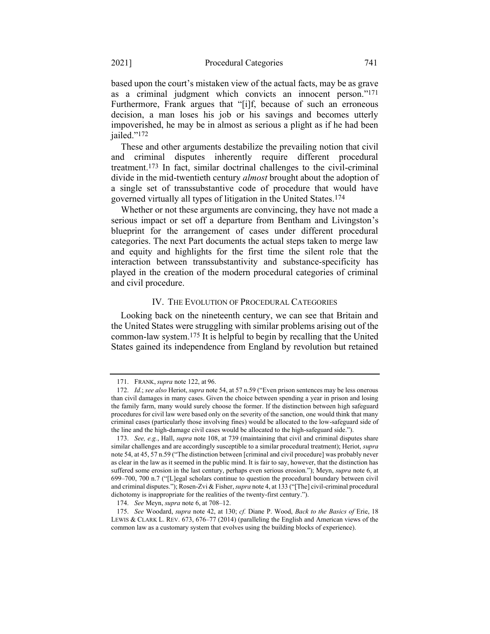based upon the court's mistaken view of the actual facts, may be as grave as a criminal judgment which convicts an innocent person."171 Furthermore, Frank argues that "[i]f, because of such an erroneous decision, a man loses his job or his savings and becomes utterly impoverished, he may be in almost as serious a plight as if he had been jailed."172

These and other arguments destabilize the prevailing notion that civil and criminal disputes inherently require different procedural treatment.173 In fact, similar doctrinal challenges to the civil-criminal divide in the mid-twentieth century *almost* brought about the adoption of a single set of transsubstantive code of procedure that would have governed virtually all types of litigation in the United States.174

Whether or not these arguments are convincing, they have not made a serious impact or set off a departure from Bentham and Livingston's blueprint for the arrangement of cases under different procedural categories. The next Part documents the actual steps taken to merge law and equity and highlights for the first time the silent role that the interaction between transsubstantivity and substance-specificity has played in the creation of the modern procedural categories of criminal and civil procedure.

#### <span id="page-35-0"></span>IV. THE EVOLUTION OF PROCEDURAL CATEGORIES

Looking back on the nineteenth century, we can see that Britain and the United States were struggling with similar problems arising out of the common-law system.175 It is helpful to begin by recalling that the United States gained its independence from England by revolution but retained

<sup>171.</sup> FRANK, *supra* not[e 122,](#page-26-0) at 96.

<sup>172.</sup> *Id*.; *see also* Heriot, *supra* not[e 54](#page-14-0), at 57 n.59 ("Even prison sentences may be less onerous than civil damages in many cases. Given the choice between spending a year in prison and losing the family farm, many would surely choose the former. If the distinction between high safeguard procedures for civil law were based only on the severity of the sanction, one would think that many criminal cases (particularly those involving fines) would be allocated to the low-safeguard side of the line and the high-damage civil cases would be allocated to the high-safeguard side.").

<sup>173.</sup> *See, e.g.*, Hall, *supra* not[e 108,](#page-23-0) at 739 (maintaining that civil and criminal disputes share similar challenges and are accordingly susceptible to a similar procedural treatment); Heriot, *supra*  not[e 54](#page-14-0), at 45, 57 n.59 ("The distinction between [criminal and civil procedure] was probably never as clear in the law as it seemed in the public mind. It is fair to say, however, that the distinction has suffered some erosion in the last century, perhaps even serious erosion."); Meyn, *supra* note [6,](#page-3-3) at 699–700, 700 n.7 ("[L]egal scholars continue to question the procedural boundary between civil and criminal disputes."); Rosen-Zvi & Fisher, *supra* not[e 4](#page-3-0), at 133 ("[The] civil-criminal procedural dichotomy is inappropriate for the realities of the twenty-first century.").

<sup>174.</sup> *See* Meyn, *supra* not[e 6,](#page-3-3) at 708–12.

<sup>175.</sup> *See* Woodard, *supra* not[e 42,](#page-12-2) at 130; *cf.* Diane P. Wood, *Back to the Basics of* Erie, 18 LEWIS & CLARK L. REV. 673, 676–77 (2014) (paralleling the English and American views of the common law as a customary system that evolves using the building blocks of experience).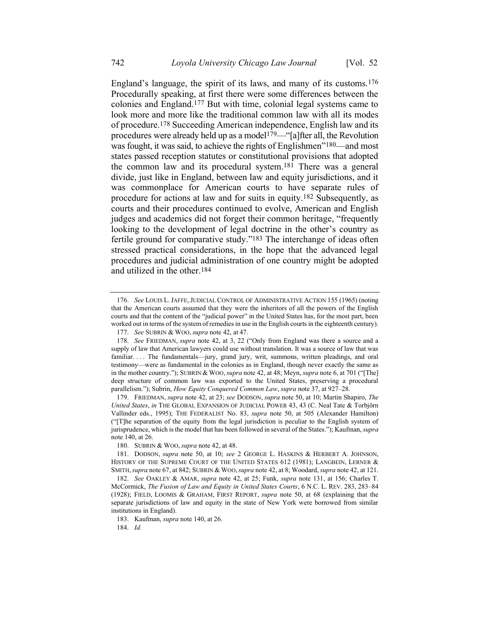England's language, the spirit of its laws, and many of its customs.176 Procedurally speaking, at first there were some differences between the colonies and England.177 But with time, colonial legal systems came to look more and more like the traditional common law with all its modes of procedure.178 Succeeding American independence, English law and its procedures were already held up as a model<sup>179—"</sup>[a]fter all, the Revolution was fought, it was said, to achieve the rights of Englishmen"<sup>180</sup>—and most states passed reception statutes or constitutional provisions that adopted the common law and its procedural system.181 There was a general divide, just like in England, between law and equity jurisdictions, and it was commonplace for American courts to have separate rules of procedure for actions at law and for suits in equity.182 Subsequently, as courts and their procedures continued to evolve, American and English judges and academics did not forget their common heritage, "frequently looking to the development of legal doctrine in the other's country as fertile ground for comparative study."183 The interchange of ideas often stressed practical considerations, in the hope that the advanced legal procedures and judicial administration of one country might be adopted and utilized in the other.184

179. FRIEDMAN, *supra* note [42,](#page-12-2) at 23; *see* DODSON, *supra* note [50,](#page-13-1) at 10; Martin Shapiro, *The United States*, *in* THE GLOBAL EXPANSION OF JUDICIAL POWER 43, 43 (C. Neal Tate & Torbjörn Vallinder eds., 1995); THE FEDERALIST No. 83, *supra* note [50,](#page-13-1) at 505 (Alexander Hamilton) ("[T]he separation of the equity from the legal jurisdiction is peculiar to the English system of jurisprudence, which is the model that has been followed in several of the States."); Kaufman, *supra* note [140,](#page-31-1) at 26.

184. *Id.*

<span id="page-36-0"></span><sup>176.</sup> *See* LOUIS L.JAFFE, JUDICIAL CONTROL OF ADMINISTRATIVE ACTION 155 (1965) (noting that the American courts assumed that they were the inheritors of all the powers of the English courts and that the content of the "judicial power" in the United States has, for the most part, been worked out in terms of the system of remedies in use in the English courts in the eighteenth century).

<sup>177.</sup> *See* SUBRIN & WOO, *supra* not[e 42,](#page-12-2) at 47.

<sup>178.</sup> *See* FRIEDMAN, *supra* note [42](#page-12-2), at 3, 22 ("Only from England was there a source and a supply of law that American lawyers could use without translation. It was a source of law that was familiar. . . . The fundamentals—jury, grand jury, writ, summons, written pleadings, and oral testimony—were as fundamental in the colonies as in England, though never exactly the same as in the mother country."); SUBRIN & WOO, *supra* not[e 42,](#page-12-2) at 48; Meyn, *supra* not[e 6](#page-3-3), at 701 ("[The] deep structure of common law was exported to the United States, preserving a procedural parallelism."); Subrin, *How Equity Conquered Common Law*, *supra* not[e 37,](#page-11-1) at 927–28.

<sup>180.</sup> SUBRIN & WOO, *supra* not[e 42,](#page-12-2) at 48.

<sup>181.</sup> DODSON, *supra* note [50,](#page-13-1) at 10; *see* 2 GEORGE L. HASKINS & HERBERT A. JOHNSON, HISTORY OF THE SUPREME COURT OF THE UNITED STATES 612 (1981); LANGBEIN, LERNER & SMITH,*supra* not[e 67,](#page-15-1) at 842; SUBRIN & WOO,*supra* not[e 42,](#page-12-2) at 8; Woodard, *supra* not[e 42,](#page-12-2) at 121.

<sup>182.</sup> *See* OAKLEY & AMAR, *supra* note [42,](#page-12-2) at 25; Funk, *supra* note [131,](#page-28-0) at 156; Charles T. McCormick, *The Fusion of Law and Equity in United States Courts*, 6 N.C. L. REV. 283, 283–84 (1928); FIELD, LOOMIS & GRAHAM, FIRST REPORT, *supra* note [50,](#page-13-1) at 68 (explaining that the separate jurisdictions of law and equity in the state of New York were borrowed from similar institutions in England).

<sup>183.</sup> Kaufman, *supra* not[e 140,](#page-31-1) at 26.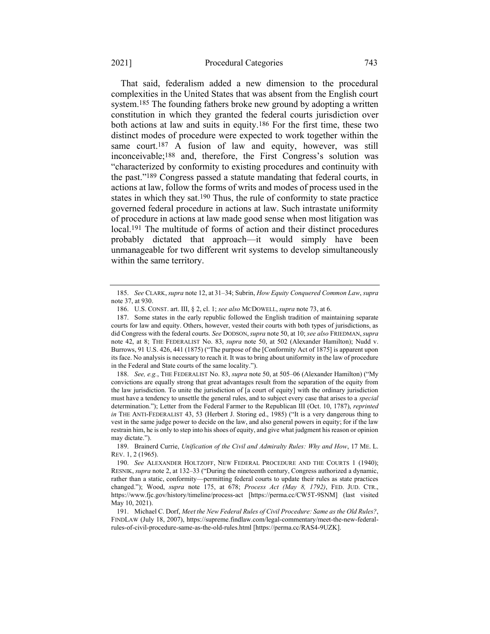#### 2021] Procedural Categories 743

<span id="page-37-2"></span>That said, federalism added a new dimension to the procedural complexities in the United States that was absent from the English court system.<sup>185</sup> The founding fathers broke new ground by adopting a written constitution in which they granted the federal courts jurisdiction over both actions at law and suits in equity.186 For the first time, these two distinct modes of procedure were expected to work together within the same court.<sup>187</sup> A fusion of law and equity, however, was still inconceivable;188 and, therefore, the First Congress's solution was "characterized by conformity to existing procedures and continuity with the past."189 Congress passed a statute mandating that federal courts, in actions at law, follow the forms of writs and modes of process used in the states in which they sat.<sup>190</sup> Thus, the rule of conformity to state practice governed federal procedure in actions at law. Such intrastate uniformity of procedure in actions at law made good sense when most litigation was local.191 The multitude of forms of action and their distinct procedures probably dictated that approach—it would simply have been unmanageable for two different writ systems to develop simultaneously within the same territory.

188. *See, e.g.*, THE FEDERALIST No. 83, *supra* not[e 50,](#page-13-1) at 505–06 (Alexander Hamilton) ("My convictions are equally strong that great advantages result from the separation of the equity from the law jurisdiction. To unite the jurisdiction of [a court of equity] with the ordinary jurisdiction must have a tendency to unsettle the general rules, and to subject every case that arises to a *special* determination."); Letter from the Federal Farmer to the Republican III (Oct. 10, 1787), *reprinted in* THE ANTI-FEDERALIST 43, 53 (Herbert J. Storing ed., 1985) ("It is a very dangerous thing to vest in the same judge power to decide on the law, and also general powers in equity; for if the law restrain him, he is only to step into his shoes of equity, and give what judgment his reason or opinion may dictate.").

<span id="page-37-1"></span><span id="page-37-0"></span><sup>185.</sup> *See* CLARK, *supra* not[e 12,](#page-4-2) at 31–34; Subrin, *How Equity Conquered Common Law*, *supra*  note [37,](#page-11-1) at 930.

<sup>186.</sup> U.S. CONST. art. III, § 2, cl. 1; *see also* MCDOWELL, *supra* not[e 73,](#page-16-1) at 6.

<sup>187.</sup> Some states in the early republic followed the English tradition of maintaining separate courts for law and equity. Others, however, vested their courts with both types of jurisdictions, as did Congress with the federal courts. *See* DODSON,*supra* not[e 50,](#page-13-1) at 10; *see also* FRIEDMAN,*supra*  note [42,](#page-12-2) at 8; THE FEDERALIST No. 83, *supra* note [50,](#page-13-1) at 502 (Alexander Hamilton); Nudd v. Burrows, 91 U.S. 426, 441 (1875) ("The purpose of the [Conformity Act of 1875] is apparent upon its face. No analysis is necessary to reach it. It was to bring about uniformity in the law of procedure in the Federal and State courts of the same locality.").

<sup>189.</sup> Brainerd Currie, *Unification of the Civil and Admiralty Rules: Why and How*, 17 ME. L. REV. 1, 2 (1965).

<sup>190.</sup> *See* ALEXANDER HOLTZOFF, NEW FEDERAL PROCEDURE AND THE COURTS 1 (1940); RESNIK, *supra* not[e 2,](#page-2-1) at 132–33 ("During the nineteenth century, Congress authorized a dynamic, rather than a static, conformity—permitting federal courts to update their rules as state practices changed."); Wood, *supra* note [175,](#page-35-0) at 678; *Process Act (May 8, 1792)*, FED. JUD. CTR., <https://www.fjc.gov/history/timeline/process-act> [https://perma.cc/CW5T-9SNM] (last visited May 10, 2021).

<sup>191.</sup> Michael C. Dorf, *Meet the New Federal Rules of Civil Procedure: Same as the Old Rules?*, FINDLAW (July 18, 2007), [https://supreme.findlaw.com/legal-commentary/meet-the-new-federal](https://supreme.findlaw.com/legal-commentary/meet-the-new-federal-rules-of-civil-procedure-same-as-the-old-rules.html)[rules-of-civil-procedure-same-as-the-old-rules.html](https://supreme.findlaw.com/legal-commentary/meet-the-new-federal-rules-of-civil-procedure-same-as-the-old-rules.html) [https://perma.cc/RAS4-9UZK].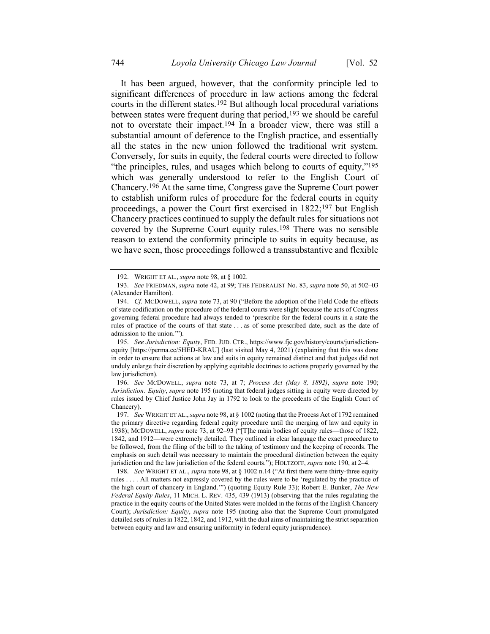<span id="page-38-0"></span>It has been argued, however, that the conformity principle led to significant differences of procedure in law actions among the federal courts in the different states.192 But although local procedural variations between states were frequent during that period,<sup>193</sup> we should be careful not to overstate their impact.194 In a broader view, there was still a substantial amount of deference to the English practice, and essentially all the states in the new union followed the traditional writ system. Conversely, for suits in equity, the federal courts were directed to follow "the principles, rules, and usages which belong to courts of equity,"195 which was generally understood to refer to the English Court of Chancery.196 At the same time, Congress gave the Supreme Court power to establish uniform rules of procedure for the federal courts in equity proceedings, a power the Court first exercised in 1822;197 but English Chancery practices continued to supply the default rules for situations not covered by the Supreme Court equity rules.198 There was no sensible reason to extend the conformity principle to suits in equity because, as we have seen, those proceedings followed a transsubstantive and flexible

195. *See Jurisdiction: Equity*, FED. JUD. CTR., https://www.fjc.gov/history/courts/jurisdictionequity [https://perma.cc/5HED-KRAU] (last visited May 4, 2021) (explaining that this was done in order to ensure that actions at law and suits in equity remained distinct and that judges did not unduly enlarge their discretion by applying equitable doctrines to actions properly governed by the law jurisdiction).

196. *See* MCDOWELL, *supra* note [73,](#page-16-1) at 7; *Process Act (May 8, 1892)*, *supra* note [190;](#page-37-0)  *Jurisdiction: Equity*, *supra* not[e 195](#page-38-0) (noting that federal judges sitting in equity were directed by rules issued by Chief Justice John Jay in 1792 to look to the precedents of the English Court of Chancery).

198. *See* WRIGHT ET AL., *supra* not[e 98,](#page-20-1) at § 1002 n.14 ("At first there were thirty-three equity rules . . . . All matters not expressly covered by the rules were to be 'regulated by the practice of the high court of chancery in England.'") (quoting Equity Rule 33); Robert E. Bunker, *The New Federal Equity Rules*, 11 MICH. L. REV. 435, 439 (1913) (observing that the rules regulating the practice in the equity courts of the United States were molded in the forms of the English Chancery Court); *Jurisdiction: Equity*, *supra* note [195](#page-38-0) (noting also that the Supreme Court promulgated detailed sets of rules in 1822, 1842, and 1912, with the dual aims of maintaining the strict separation between equity and law and ensuring uniformity in federal equity jurisprudence).

<sup>192.</sup> WRIGHT ET AL., *supra* note [98,](#page-20-1) at § 1002.

<sup>193.</sup> *See* FRIEDMAN, *supra* not[e 42,](#page-12-2) at 99; THE FEDERALIST No. 83, *supra* note [50,](#page-13-1) at 502–03 (Alexander Hamilton).

<sup>194.</sup> *Cf.* MCDOWELL, *supra* note [73](#page-16-1), at 90 ("Before the adoption of the Field Code the effects of state codification on the procedure of the federal courts were slight because the acts of Congress governing federal procedure had always tended to 'prescribe for the federal courts in a state the rules of practice of the courts of that state . . . as of some prescribed date, such as the date of admission to the union.'").

<sup>197.</sup> *See* WRIGHT ET AL.,*supra* not[e 98,](#page-20-1) at § 1002 (noting that the Process Act of 1792 remained the primary directive regarding federal equity procedure until the merging of law and equity in 1938); MCDOWELL, *supra* note [73,](#page-16-1) at 92–93 ("[T]he main bodies of equity rules—those of 1822, 1842, and 1912—were extremely detailed. They outlined in clear language the exact procedure to be followed, from the filing of the bill to the taking of testimony and the keeping of records. The emphasis on such detail was necessary to maintain the procedural distinction between the equity jurisdiction and the law jurisdiction of the federal courts."); HOLTZOFF, *supra* not[e 190,](#page-37-0) at 2–4.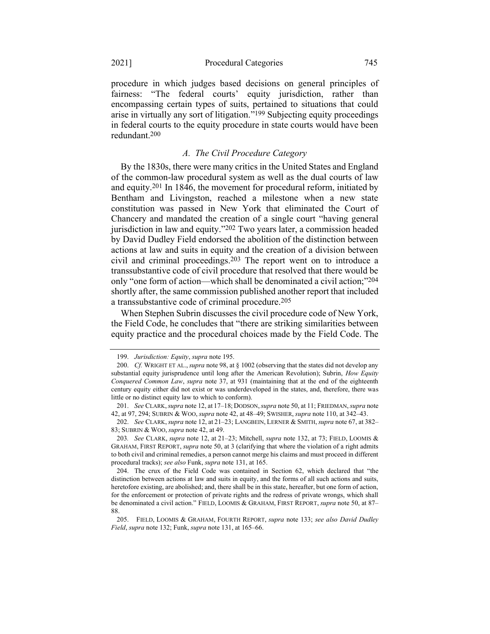procedure in which judges based decisions on general principles of fairness: "The federal courts' equity jurisdiction, rather than encompassing certain types of suits, pertained to situations that could arise in virtually any sort of litigation."199 Subjecting equity proceedings in federal courts to the equity procedure in state courts would have been redundant.200

#### *A. The Civil Procedure Category*

By the 1830s, there were many critics in the United States and England of the common-law procedural system as well as the dual courts of law and equity.201 In 1846, the movement for procedural reform, initiated by Bentham and Livingston, reached a milestone when a new state constitution was passed in New York that eliminated the Court of Chancery and mandated the creation of a single court "having general jurisdiction in law and equity."202 Two years later, a commission headed by David Dudley Field endorsed the abolition of the distinction between actions at law and suits in equity and the creation of a division between civil and criminal proceedings.203 The report went on to introduce a transsubstantive code of civil procedure that resolved that there would be only "one form of action—which shall be denominated a civil action;"204 shortly after, the same commission published another report that included a transsubstantive code of criminal procedure.205

When Stephen Subrin discusses the civil procedure code of New York, the Field Code, he concludes that "there are striking similarities between equity practice and the procedural choices made by the Field Code. The

<sup>199.</sup> *Jurisdiction: Equity*, *supra* not[e 195.](#page-38-0)

<sup>200.</sup> *Cf.* WRIGHT ET AL., *supra* not[e 98,](#page-20-1) at § 1002 (observing that the states did not develop any substantial equity jurisprudence until long after the American Revolution); Subrin, *How Equity Conquered Common Law*, *supra* note [37,](#page-11-1) at 931 (maintaining that at the end of the eighteenth century equity either did not exist or was underdeveloped in the states, and, therefore, there was little or no distinct equity law to which to conform).

<sup>201.</sup> *See* CLARK,*supra* not[e 12,](#page-4-2) at 17–18; DODSON,*supra* not[e 50,](#page-13-1) at 11; FRIEDMAN,*supra* note [42,](#page-12-2) at 97, 294; SUBRIN & WOO, *supra* note [42,](#page-12-2) at 48–49; SWISHER, *supra* not[e 110,](#page-23-1) at 342–43.

<sup>202.</sup> *See* CLARK,*supra* not[e 12,](#page-4-2) at 21–23; LANGBEIN, LERNER & SMITH,*supra* not[e 67,](#page-15-1) at 382– 83; SUBRIN & WOO, *supra* note [42,](#page-12-2) at 49.

<sup>203</sup>*. See* CLARK, *supra* not[e 12,](#page-4-2) at 21–23; Mitchell, *supra* not[e 132,](#page-28-1) at 73; FIELD, LOOMIS & GRAHAM, FIRST REPORT, *supra* not[e 50,](#page-13-1) at 3 (clarifying that where the violation of a right admits to both civil and criminal remedies, a person cannot merge his claims and must proceed in different procedural tracks); *see also* Funk, *supra* not[e 131,](#page-28-0) at 165.

<sup>204.</sup> The crux of the Field Code was contained in Section 62, which declared that "the distinction between actions at law and suits in equity, and the forms of all such actions and suits, heretofore existing, are abolished; and, there shall be in this state, hereafter, but one form of action, for the enforcement or protection of private rights and the redress of private wrongs, which shall be denominated a civil action." FIELD, LOOMIS & GRAHAM, FIRST REPORT, *supra* note [50,](#page-13-1) at 87– 88.

<sup>205.</sup> FIELD, LOOMIS & GRAHAM, FOURTH REPORT, *supra* note [133;](#page-29-0) *see also David Dudley Field*, *supra* not[e 132;](#page-28-1) Funk, *supra* not[e 131,](#page-28-0) at 165–66.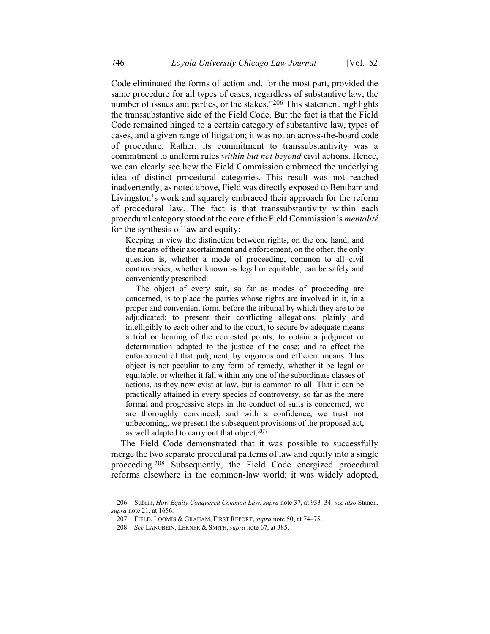Code eliminated the forms of action and, for the most part, provided the same procedure for all types of cases, regardless of substantive law, the number of issues and parties, or the stakes."<sup>206</sup> This statement highlights the transsubstantive side of the Field Code. But the fact is that the Field Code remained hinged to a certain category of substantive law, types of cases, and a given range of litigation; it was not an across-the-board code of procedure. Rather, its commitment to transsubstantivity was a commitment to uniform rules *within but not beyond* civil actions. Hence, we can clearly see how the Field Commission embraced the underlying idea of distinct procedural categories. This result was not reached inadvertently; as noted above, Field was directly exposed to Bentham and Livingston's work and squarely embraced their approach for the reform of procedural law. The fact is that transsubstantivity within each procedural category stood at the core of the Field Commission's *mentalité* for the synthesis of law and equity:

Keeping in view the distinction between rights, on the one hand, and the means of their ascertainment and enforcement, on the other, the only question is, whether a mode of proceeding, common to all civil controversies, whether known as legal or equitable, can be safely and conveniently prescribed.

The object of every suit, so far as modes of proceeding are concerned, is to place the parties whose rights are involved in it, in a proper and convenient form, before the tribunal by which they are to be adjudicated; to present their conflicting allegations, plainly and intelligibly to each other and to the court; to secure by adequate means a trial or hearing of the contested points; to obtain a judgment or determination adapted to the justice of the case; and to effect the enforcement of that judgment, by vigorous and efficient means. This object is not peculiar to any form of remedy, whether it be legal or equitable, or whether it fall within any one of the subordinate classes of actions, as they now exist at law, but is common to all. That it can be practically attained in every species of controversy, so far as the mere formal and progressive steps in the conduct of suits is concerned, we are thoroughly convinced; and with a confidence, we trust not unbecoming, we present the subsequent provisions of the proposed act, as well adapted to carry out that object.<sup>207</sup>

The Field Code demonstrated that it was possible to successfully merge the two separate procedural patterns of law and equity into a single proceeding.208 Subsequently, the Field Code energized procedural reforms elsewhere in the common-law world; it was widely adopted,

<sup>206.</sup> Subrin, *How Equity Conquered Common Law*, *supra* not[e 37,](#page-11-1) at 933–34; *see also* Stancil, *supra* not[e 21,](#page-8-1) at 1656.

<sup>207.</sup> FIELD, LOOMIS & GRAHAM, FIRST REPORT, *supra* not[e 50,](#page-13-1) at 74–75.

<sup>208.</sup> *See* LANGBEIN, LERNER & SMITH, *supra* not[e 67,](#page-15-1) at 385.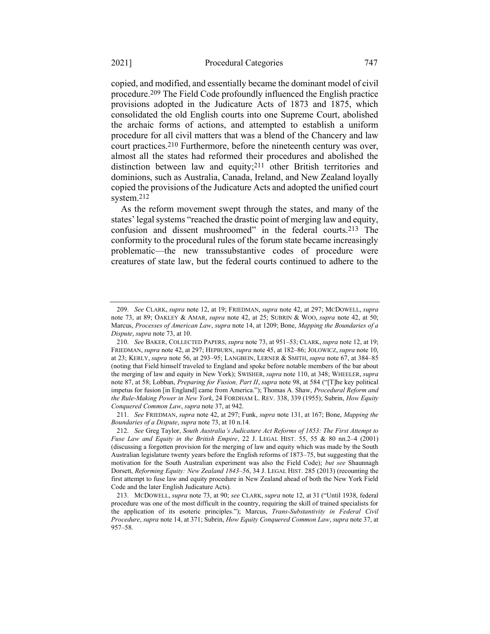copied, and modified, and essentially became the dominant model of civil procedure.209 The Field Code profoundly influenced the English practice provisions adopted in the Judicature Acts of 1873 and 1875, which consolidated the old English courts into one Supreme Court, abolished the archaic forms of actions, and attempted to establish a uniform procedure for all civil matters that was a blend of the Chancery and law court practices.210 Furthermore, before the nineteenth century was over, almost all the states had reformed their procedures and abolished the distinction between law and equity;211 other British territories and dominions, such as Australia, Canada, Ireland, and New Zealand loyally copied the provisions of the Judicature Acts and adopted the unified court system.212

As the reform movement swept through the states, and many of the states' legal systems "reached the drastic point of merging law and equity, confusion and dissent mushroomed" in the federal courts.213 The conformity to the procedural rules of the forum state became increasingly problematic—the new transsubstantive codes of procedure were creatures of state law, but the federal courts continued to adhere to the

211. *See* FRIEDMAN, *supra* not[e 42,](#page-12-2) at 297; Funk, *supra* note [131,](#page-28-0) at 167; Bone, *Mapping the Boundaries of a Dispute*, *supra* not[e 73,](#page-16-1) at 10 n.14.

<sup>209.</sup> *See* CLARK, *supra* not[e 12,](#page-4-2) at 19; FRIEDMAN, *supra* not[e 42,](#page-12-2) at 297; MCDOWELL, *supra* note [73,](#page-16-1) at 89; OAKLEY & AMAR, *supra* note [42,](#page-12-2) at 25; SUBRIN & WOO, *supra* note [42,](#page-12-2) at 50; Marcus, *Processes of American Law*, *supra* not[e 14,](#page-5-0) at 1209; Bone, *Mapping the Boundaries of a Dispute*, *supra* note [73,](#page-16-1) at 10.

<sup>210.</sup> *See* BAKER, COLLECTED PAPERS, *supra* not[e 73,](#page-16-1) at 951–53; CLARK, *supra* not[e 12,](#page-4-2) at 19; FRIEDMAN, *supra* not[e 42,](#page-12-2) at 297; HEPBURN, *supra* not[e 45,](#page-12-1) at 182–86; JOLOWICZ, *supra* not[e 10,](#page-4-3)  at 23; KERLY, *supra* not[e 56,](#page-14-3) at 293–95; LANGBEIN, LERNER & SMITH, *supra* note [67,](#page-15-1) at 384–85 (noting that Field himself traveled to England and spoke before notable members of the bar about the merging of law and equity in New York); SWISHER, *supra* not[e 110,](#page-23-1) at 348; WHEELER, *supra* note [87,](#page-18-1) at 58; Lobban, *Preparing for Fusion, Part II*, *supra* note [98](#page-20-1), at 584 ("[T]he key political impetus for fusion [in England] came from America."); Thomas A. Shaw, *Procedural Reform and the Rule-Making Power in New York*, 24 FORDHAM L. REV. 338, 339 (1955); Subrin, *How Equity Conquered Common Law*, *supra* note [37,](#page-11-1) at 942.

<sup>212.</sup> *See* Greg Taylor, *South Australia's Judicature Act Reforms of 1853: The First Attempt to Fuse Law and Equity in the British Empire*, 22 J. LEGAL HIST. 55, 55 & 80 nn.2–4 (2001) (discussing a forgotten provision for the merging of law and equity which was made by the South Australian legislature twenty years before the English reforms of 1873–75, but suggesting that the motivation for the South Australian experiment was also the Field Code); *but see* Shaunnagh Dorsett, *Reforming Equity: New Zealand 1843–56*, 34 J. LEGAL HIST. 285 (2013) (recounting the first attempt to fuse law and equity procedure in New Zealand ahead of both the New York Field Code and the later English Judicature Acts).

<sup>213.</sup> MCDOWELL, *supra* not[e 73,](#page-16-1) at 90; *see* CLARK, *supra* not[e 12,](#page-4-2) at 31 ("Until 1938, federal procedure was one of the most difficult in the country, requiring the skill of trained specialists for the application of its esoteric principles."); Marcus, *Trans-Substantivity in Federal Civil Procedure*, *supra* not[e 14,](#page-5-0) at 371; Subrin, *How Equity Conquered Common Law*, *supra* not[e 37,](#page-11-1) at 957–58.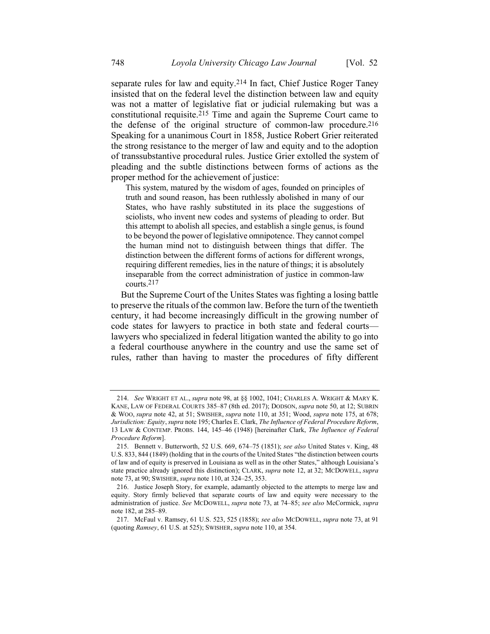<span id="page-42-0"></span>separate rules for law and equity.214 In fact, Chief Justice Roger Taney insisted that on the federal level the distinction between law and equity was not a matter of legislative fiat or judicial rulemaking but was a constitutional requisite.215 Time and again the Supreme Court came to the defense of the original structure of common-law procedure.216 Speaking for a unanimous Court in 1858, Justice Robert Grier reiterated the strong resistance to the merger of law and equity and to the adoption of transsubstantive procedural rules. Justice Grier extolled the system of pleading and the subtle distinctions between forms of actions as the proper method for the achievement of justice:

This system, matured by the wisdom of ages, founded on principles of truth and sound reason, has been ruthlessly abolished in many of our States, who have rashly substituted in its place the suggestions of sciolists, who invent new codes and systems of pleading to order. But this attempt to abolish all species, and establish a single genus, is found to be beyond the power of legislative omnipotence. They cannot compel the human mind not to distinguish between things that differ. The distinction between the different forms of actions for different wrongs, requiring different remedies, lies in the nature of things; it is absolutely inseparable from the correct administration of justice in common-law courts.217

But the Supreme Court of the Unites States was fighting a losing battle to preserve the rituals of the common law. Before the turn of the twentieth century, it had become increasingly difficult in the growing number of code states for lawyers to practice in both state and federal courts lawyers who specialized in federal litigation wanted the ability to go into a federal courthouse anywhere in the country and use the same set of rules, rather than having to master the procedures of fifty different

<sup>214.</sup> *See* WRIGHT ET AL., *supra* note [98,](#page-20-1) at §§ 1002, 1041; CHARLES A. WRIGHT & MARY K. KANE, LAW OF FEDERAL COURTS 385–87 (8th ed. 2017); DODSON, *supra* note [50,](#page-13-1) at 12; SUBRIN & WOO, *supra* note [42,](#page-12-2) at 51; SWISHER, *supra* note [110,](#page-23-1) at 351; Wood, *supra* note [175,](#page-35-0) at 678; *Jurisdiction: Equity*, *supra* not[e 195;](#page-38-0) Charles E. Clark, *The Influence of Federal Procedure Reform*, 13 LAW & CONTEMP. PROBS. 144, 145–46 (1948) [hereinafter Clark, *The Influence of Federal Procedure Reform*].

<sup>215.</sup> Bennett v. Butterworth, 52 U.S. 669, 674–75 (1851); *see also* United States v. King, 48 U.S. 833, 844 (1849) (holding that in the courts of the United States "the distinction between courts of law and of equity is preserved in Louisiana as well as in the other States," although Louisiana's state practice already ignored this distinction); CLARK, *supra* note [12,](#page-4-2) at 32; MCDOWELL, *supra* note [73,](#page-16-1) at 90; SWISHER, *supra* not[e 110,](#page-23-1) at 324–25, 353.

<sup>216.</sup> Justice Joseph Story, for example, adamantly objected to the attempts to merge law and equity. Story firmly believed that separate courts of law and equity were necessary to the administration of justice. *See* MCDOWELL, *supra* note [73,](#page-16-1) at 74–85; *see also* McCormick, *supra* note [182,](#page-36-0) at 285–89.

<sup>217.</sup> McFaul v. Ramsey, 61 U.S. 523, 525 (1858); *see also* MCDOWELL, *supra* not[e 73,](#page-16-1) at 91 (quoting *Ramsey*, 61 U.S. at 525); SWISHER, *supra* not[e 110,](#page-23-1) at 354.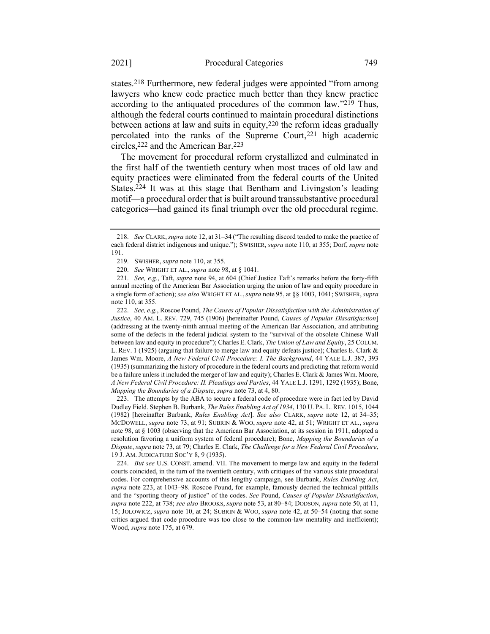states.218 Furthermore, new federal judges were appointed "from among lawyers who knew code practice much better than they knew practice according to the antiquated procedures of the common law."219 Thus, although the federal courts continued to maintain procedural distinctions between actions at law and suits in equity,220 the reform ideas gradually percolated into the ranks of the Supreme Court,<sup>221</sup> high academic circles,222 and the American Bar.223

<span id="page-43-1"></span><span id="page-43-0"></span>The movement for procedural reform crystallized and culminated in the first half of the twentieth century when most traces of old law and equity practices were eliminated from the federal courts of the United States.<sup>224</sup> It was at this stage that Bentham and Livingston's leading motif—a procedural order that is built around transsubstantive procedural categories—had gained its final triumph over the old procedural regime.

222. *See, e.g.*, Roscoe Pound, *The Causes of Popular Dissatisfaction with the Administration of Justice*, 40 AM. L. REV. 729, 745 (1906) [hereinafter Pound, *Causes of Popular Dissatisfaction*] (addressing at the twenty-ninth annual meeting of the American Bar Association, and attributing some of the defects in the federal judicial system to the "survival of the obsolete Chinese Wall between law and equity in procedure"); Charles E. Clark, *The Union of Law and Equity*, 25 COLUM. L. REV. 1 (1925) (arguing that failure to merge law and equity defeats justice); Charles E. Clark & James Wm. Moore, *A New Federal Civil Procedure: I. The Background*, 44 YALE L.J. 387, 393 (1935) (summarizing the history of procedure in the federal courts and predicting that reform would be a failure unless it included the merger of law and equity); Charles E. Clark & James Wm. Moore, *A New Federal Civil Procedure: II. Pleadings and Parties*, 44 YALE L.J. 1291, 1292 (1935); Bone, *Mapping the Boundaries of a Dispute*, *supra* not[e 73,](#page-16-1) at 4, 80.

223. The attempts by the ABA to secure a federal code of procedure were in fact led by David Dudley Field. Stephen B. Burbank, *The Rules Enabling Act of 1934*, 130 U. PA. L. REV. 1015, 1044 (1982) [hereinafter Burbank, *Rules Enabling Act*]. *See also* CLARK, *supra* note [12,](#page-4-2) at 34–35; MCDOWELL, *supra* note [73,](#page-16-1) at 91; SUBRIN & WOO, *supra* note [42,](#page-12-2) at 51; WRIGHT ET AL., *supra* note [98,](#page-20-1) at § 1003 (observing that the American Bar Association, at its session in 1911, adopted a resolution favoring a uniform system of federal procedure); Bone, *Mapping the Boundaries of a Dispute*, *supra* not[e 73,](#page-16-1) at 79; Charles E. Clark, *The Challenge for a New Federal Civil Procedure*, 19 J. AM. JUDICATURE SOC'Y 8, 9 (1935).

224. *But see* U.S. CONST. amend. VII. The movement to merge law and equity in the federal courts coincided, in the turn of the twentieth century, with critiques of the various state procedural codes. For comprehensive accounts of this lengthy campaign, see Burbank, *Rules Enabling Act*, *supra* note [223,](#page-43-0) at 1043–98. Roscoe Pound, for example, famously decried the technical pitfalls and the "sporting theory of justice" of the codes. *See* Pound, *Causes of Popular Dissatisfaction*, *supra* not[e 222,](#page-43-1) at 738; *see also* BROOKS, *supra* not[e 53,](#page-14-1) at 80–84; DODSON, *supra* note [50,](#page-13-1) at 11, 15; JOLOWICZ, *supra* not[e 10,](#page-4-3) at 24; SUBRIN & WOO, *supra* note [42,](#page-12-2) at 50–54 (noting that some critics argued that code procedure was too close to the common-law mentality and inefficient); Wood, *supra* not[e 175,](#page-35-0) at 679.

<sup>218.</sup> *See* CLARK, *supra* not[e 12,](#page-4-2) at 31–34 ("The resulting discord tended to make the practice of each federal district indigenous and unique."); SWISHER, *supra* not[e 110,](#page-23-1) at 355; Dorf, *supra* note [191.](#page-37-1)

<sup>219.</sup> SWISHER, *supra* not[e 110,](#page-23-1) at 355.

<sup>220.</sup> *See* WRIGHT ET AL., *supra* note [98,](#page-20-1) at § 1041.

<sup>221.</sup> *See, e.g.*, Taft, *supra* note [94,](#page-19-2) at 604 (Chief Justice Taft's remarks before the forty-fifth annual meeting of the American Bar Association urging the union of law and equity procedure in a single form of action); *see also* WRIGHT ET AL.,*supra* note 95, at §§ 1003, 1041; SWISHER,*supra* note [110,](#page-23-1) at 355.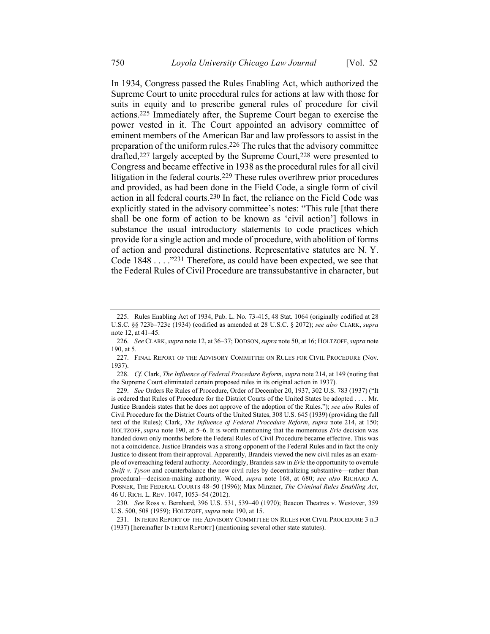<span id="page-44-1"></span>In 1934, Congress passed the Rules Enabling Act, which authorized the Supreme Court to unite procedural rules for actions at law with those for suits in equity and to prescribe general rules of procedure for civil actions.225 Immediately after, the Supreme Court began to exercise the power vested in it. The Court appointed an advisory committee of eminent members of the American Bar and law professors to assist in the preparation of the uniform rules.226 The rules that the advisory committee drafted,227 largely accepted by the Supreme Court,228 were presented to Congress and became effective in 1938 as the procedural rules for all civil litigation in the federal courts.229 These rules overthrew prior procedures and provided, as had been done in the Field Code, a single form of civil action in all federal courts.230 In fact, the reliance on the Field Code was explicitly stated in the advisory committee's notes: "This rule [that there shall be one form of action to be known as 'civil action'] follows in substance the usual introductory statements to code practices which provide for a single action and mode of procedure, with abolition of forms of action and procedural distinctions. Representative statutes are N. Y. Code 1848 . . . ."231 Therefore, as could have been expected, we see that the Federal Rules of Civil Procedure are transsubstantive in character, but

<span id="page-44-0"></span><sup>225.</sup> Rules Enabling Act of 1934, Pub. L. No. 73-415, 48 Stat. 1064 (originally codified at 28 U.S.C. §§ 723b–723c (1934) (codified as amended at 28 U.S.C. § 2072); *see also* CLARK, *supra* note [12,](#page-4-2) at 41–45.

<sup>226.</sup> *See* CLARK,*supra* not[e 12,](#page-4-2) at 36–37; DODSON,*supra* not[e 50,](#page-13-1) at 16; HOLTZOFF,*supra* note [190,](#page-37-0) at 5.

<sup>227.</sup> FINAL REPORT OF THE ADVISORY COMMITTEE ON RULES FOR CIVIL PROCEDURE (Nov. 1937).

<sup>228.</sup> *Cf.* Clark, *The Influence of Federal Procedure Reform*, *supra* not[e 214,](#page-42-0) at 149 (noting that the Supreme Court eliminated certain proposed rules in its original action in 1937).

<sup>229.</sup> *See* Orders Re Rules of Procedure, Order of December 20, 1937, 302 U.S. 783 (1937) ("It is ordered that Rules of Procedure for the District Courts of the United States be adopted . . . . Mr. Justice Brandeis states that he does not approve of the adoption of the Rules."); *see also* Rules of Civil Procedure for the District Courts of the United States, 308 U.S. 645 (1939) (providing the full text of the Rules); Clark, *The Influence of Federal Procedure Reform*, *supra* note [214,](#page-42-0) at 150; HOLTZOFF, *supra* note [190,](#page-37-0) at 5–6. It is worth mentioning that the momentous *Erie* decision was handed down only months before the Federal Rules of Civil Procedure became effective. This was not a coincidence. Justice Brandeis was a strong opponent of the Federal Rules and in fact the only Justice to dissent from their approval. Apparently, Brandeis viewed the new civil rules as an example of overreaching federal authority. Accordingly, Brandeis saw in *Erie* the opportunity to overrule *Swift v. Tyson* and counterbalance the new civil rules by decentralizing substantive—rather than procedural—decision-making authority. Wood, *supra* note 168, at 680; *see also* RICHARD A. POSNER, THE FEDERAL COURTS 48–50 (1996); Max Minzner, *The Criminal Rules Enabling Act*, 46 U. RICH. L. REV. 1047, 1053–54 (2012).

<sup>230.</sup> *See* Ross v. Bernhard, 396 U.S. 531, 539–40 (1970); Beacon Theatres v. Westover, 359 U.S. 500, 508 (1959); HOLTZOFF, *supra* not[e 190,](#page-37-0) at 15.

<sup>231.</sup> INTERIM REPORT OF THE ADVISORY COMMITTEE ON RULES FOR CIVIL PROCEDURE 3 n.3 (1937) [hereinafter INTERIM REPORT] (mentioning several other state statutes).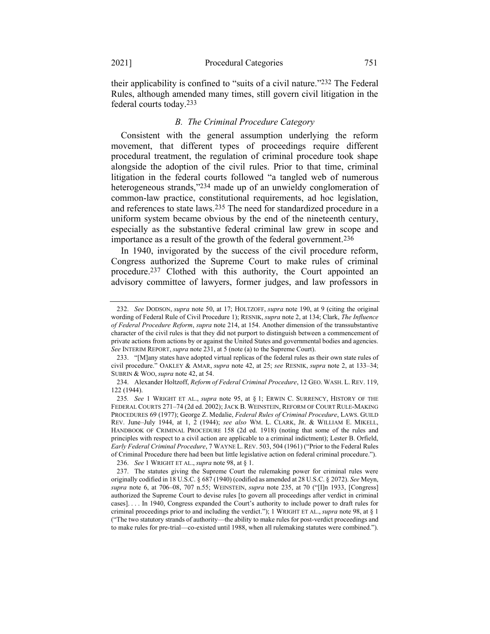their applicability is confined to "suits of a civil nature."232 The Federal Rules, although amended many times, still govern civil litigation in the federal courts today.233

#### <span id="page-45-0"></span>*B. The Criminal Procedure Category*

Consistent with the general assumption underlying the reform movement, that different types of proceedings require different procedural treatment, the regulation of criminal procedure took shape alongside the adoption of the civil rules. Prior to that time, criminal litigation in the federal courts followed "a tangled web of numerous heterogeneous strands,"234 made up of an unwieldy conglomeration of common-law practice, constitutional requirements, ad hoc legislation, and references to state laws.235 The need for standardized procedure in a uniform system became obvious by the end of the nineteenth century, especially as the substantive federal criminal law grew in scope and importance as a result of the growth of the federal government.236

In 1940, invigorated by the success of the civil procedure reform, Congress authorized the Supreme Court to make rules of criminal procedure.237 Clothed with this authority, the Court appointed an advisory committee of lawyers, former judges, and law professors in

236. *See* 1 WRIGHT ET AL., *supra* not[e 98,](#page-20-1) at § 1.

<sup>232.</sup> *See* DODSON, *supra* note [50,](#page-13-1) at 17; HOLTZOFF, *supra* note [190,](#page-37-0) at 9 (citing the original wording of Federal Rule of Civil Procedure 1); RESNIK, *supra* not[e 2,](#page-2-1) at 134; Clark, *The Influence of Federal Procedure Reform*, *supra* note [214,](#page-42-0) at 154. Another dimension of the transsubstantive character of the civil rules is that they did not purport to distinguish between a commencement of private actions from actions by or against the United States and governmental bodies and agencies. *See* INTERIM REPORT, *supra* not[e 231,](#page-44-0) at 5 (note (a) to the Supreme Court).

<sup>233.</sup> "[M]any states have adopted virtual replicas of the federal rules as their own state rules of civil procedure." OAKLEY & AMAR, *supra* note [42,](#page-12-2) at 25; *see* RESNIK, *supra* note [2,](#page-2-1) at 133–34; SUBRIN & WOO, *supra* note [42,](#page-12-2) at 54.

<sup>234.</sup> Alexander Holtzoff, *Reform of Federal Criminal Procedure*, 12 GEO. WASH. L. REV. 119, 122 (1944).

<sup>235</sup>*. See* 1 WRIGHT ET AL., *supra* note 95, at § 1; ERWIN C. SURRENCY, HISTORY OF THE FEDERAL COURTS 271–74 (2d ed. 2002); JACK B. WEINSTEIN, REFORM OF COURT RULE-MAKING PROCEDURES 69 (1977); George Z. Medalie, *Federal Rules of Criminal Procedure*, LAWS. GUILD REV. June–July 1944, at 1, 2 (1944); *see also* WM. L. CLARK, JR. & WILLIAM E. MIKELL, HANDBOOK OF CRIMINAL PROCEDURE 158 (2d ed. 1918) (noting that some of the rules and principles with respect to a civil action are applicable to a criminal indictment); Lester B. Orfield, *Early Federal Criminal Procedure*, 7 WAYNE L. REV. 503, 504 (1961) ("Prior to the Federal Rules of Criminal Procedure there had been but little legislative action on federal criminal procedure.").

<sup>237.</sup> The statutes giving the Supreme Court the rulemaking power for criminal rules were originally codified in 18 U.S.C. § 687 (1940) (codified as amended at 28 U.S.C. § 2072). *See* Meyn, *supra* note [6,](#page-3-3) at 706–08, 707 n.55; WEINSTEIN, *supra* note [235,](#page-45-0) at 70 ("[I]n 1933, [Congress] authorized the Supreme Court to devise rules [to govern all proceedings after verdict in criminal cases]. . . . In 1940, Congress expanded the Court's authority to include power to draft rules for criminal proceedings prior to and including the verdict."); 1 WRIGHT ET AL., *supra* note [98,](#page-20-1) at § 1 ("The two statutory strands of authority—the ability to make rules for post-verdict proceedings and to make rules for pre-trial—co-existed until 1988, when all rulemaking statutes were combined.").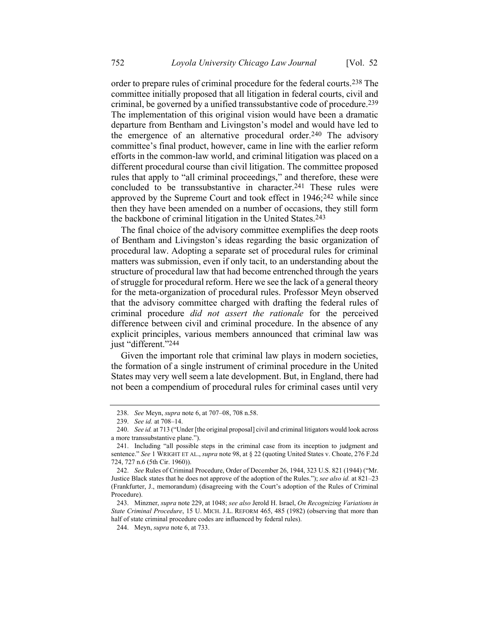order to prepare rules of criminal procedure for the federal courts.238 The committee initially proposed that all litigation in federal courts, civil and criminal, be governed by a unified transsubstantive code of procedure.239 The implementation of this original vision would have been a dramatic departure from Bentham and Livingston's model and would have led to the emergence of an alternative procedural order.240 The advisory committee's final product, however, came in line with the earlier reform efforts in the common-law world, and criminal litigation was placed on a different procedural course than civil litigation. The committee proposed rules that apply to "all criminal proceedings," and therefore, these were concluded to be transsubstantive in character.241 These rules were approved by the Supreme Court and took effect in 1946;242 while since then they have been amended on a number of occasions, they still form the backbone of criminal litigation in the United States.243

The final choice of the advisory committee exemplifies the deep roots of Bentham and Livingston's ideas regarding the basic organization of procedural law. Adopting a separate set of procedural rules for criminal matters was submission, even if only tacit, to an understanding about the structure of procedural law that had become entrenched through the years of struggle for procedural reform. Here we see the lack of a general theory for the meta-organization of procedural rules. Professor Meyn observed that the advisory committee charged with drafting the federal rules of criminal procedure *did not assert the rationale* for the perceived difference between civil and criminal procedure. In the absence of any explicit principles, various members announced that criminal law was just "different."<sup>244</sup>

Given the important role that criminal law plays in modern societies, the formation of a single instrument of criminal procedure in the United States may very well seem a late development. But, in England, there had not been a compendium of procedural rules for criminal cases until very

<sup>238.</sup> *See* Meyn, *supra* not[e 6,](#page-3-3) at 707–08, 708 n.58.

<sup>239.</sup> *See id.* at 708–14.

<sup>240.</sup> *See id.* at 713 ("Under [the original proposal] civil and criminal litigators would look across a more transsubstantive plane.").

<sup>241.</sup> Including "all possible steps in the criminal case from its inception to judgment and sentence." *See* 1 WRIGHT ET AL., *supra* not[e 98,](#page-20-1) at § 22 (quoting United States v. Choate, 276 F.2d 724, 727 n.6 (5th Cir. 1960)).

<sup>242.</sup> *See* Rules of Criminal Procedure, Order of December 26, 1944, 323 U.S. 821 (1944) ("Mr. Justice Black states that he does not approve of the adoption of the Rules."); *see also id.* at 821–23 (Frankfurter, J., memorandum) (disagreeing with the Court's adoption of the Rules of Criminal Procedure).

<sup>243.</sup> Minzner, *supra* not[e 229,](#page-44-1) at 1048; *see also* Jerold H. Israel, *On Recognizing Variations in State Criminal Procedure*, 15 U. MICH. J.L. REFORM 465, 485 (1982) (observing that more than half of state criminal procedure codes are influenced by federal rules).

<sup>244.</sup> Meyn, *supra* not[e 6,](#page-3-3) at 733.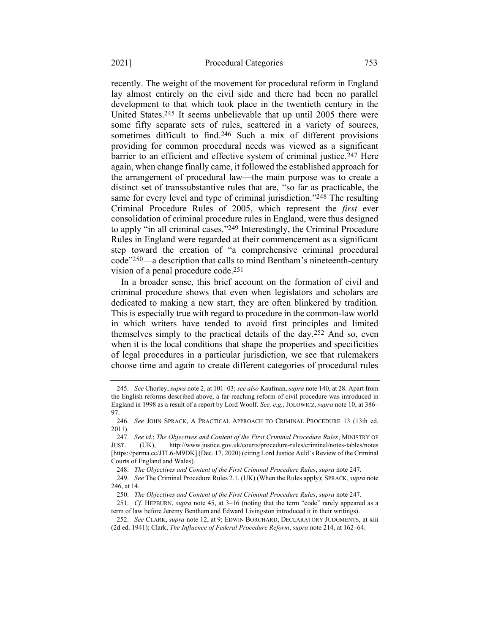<span id="page-47-1"></span><span id="page-47-0"></span>recently. The weight of the movement for procedural reform in England lay almost entirely on the civil side and there had been no parallel development to that which took place in the twentieth century in the United States.245 It seems unbelievable that up until 2005 there were some fifty separate sets of rules, scattered in a variety of sources, sometimes difficult to find. 246 Such a mix of different provisions providing for common procedural needs was viewed as a significant barrier to an efficient and effective system of criminal justice.<sup>247</sup> Here again, when change finally came, it followed the established approach for the arrangement of procedural law—the main purpose was to create a distinct set of transsubstantive rules that are, "so far as practicable, the same for every level and type of criminal jurisdiction."248 The resulting Criminal Procedure Rules of 2005, which represent the *first* ever consolidation of criminal procedure rules in England, were thus designed to apply "in all criminal cases."249 Interestingly, the Criminal Procedure Rules in England were regarded at their commencement as a significant step toward the creation of "a comprehensive criminal procedural code"250—a description that calls to mind Bentham's nineteenth-century vision of a penal procedure code.251

In a broader sense, this brief account on the formation of civil and criminal procedure shows that even when legislators and scholars are dedicated to making a new start, they are often blinkered by tradition. This is especially true with regard to procedure in the common-law world in which writers have tended to avoid first principles and limited themselves simply to the practical details of the day.252 And so, even when it is the local conditions that shape the properties and specificities of legal procedures in a particular jurisdiction, we see that rulemakers choose time and again to create different categories of procedural rules

<sup>245.</sup> *See* Chorley, *supra* not[e 2,](#page-2-1) at 101–03; *see also* Kaufman, *supra* not[e 140,](#page-31-1) at 28. Apart from the English reforms described above, a far-reaching reform of civil procedure was introduced in England in 1998 as a result of a report by Lord Woolf. *See, e.g.*, JOLOWICZ, *supra* not[e 10,](#page-4-3) at 386– 97.

<sup>246.</sup> *See* JOHN SPRACK, A PRACTICAL APPROACH TO CRIMINAL PROCEDURE 13 (13th ed. 2011).

<sup>247.</sup> *See id.*; *The Objectives and Content of the First Criminal Procedure Rules*, MINISTRY OF JUST. (UK), http://www.justice.gov.uk/courts/procedure-rules/criminal/notes-tables/notes [https://perma.cc/JTL6-M9DK] (Dec. 17, 2020) (citing Lord Justice Auld's Review of the Criminal Courts of England and Wales).

<sup>248.</sup> *The Objectives and Content of the First Criminal Procedure Rules*, *supra* note 247.

<sup>249.</sup> *See* The Criminal Procedure Rules 2.1. (UK) (When the Rules apply); SPRACK,*supra* note [246,](#page-47-0) at 14.

<sup>250.</sup> *The Objectives and Content of the First Criminal Procedure Rules*, *supra* note [247.](#page-47-1)

<sup>251.</sup> *Cf.* HEPBURN, *supra* note [45,](#page-12-1) at 3–16 (noting that the term "code" rarely appeared as a term of law before Jeremy Bentham and Edward Livingston introduced it in their writings).

<sup>252.</sup> *See* CLARK, *supra* note [12,](#page-4-2) at 9; EDWIN BORCHARD, DECLARATORY JUDGMENTS, at xiii (2d ed. 1941); Clark, *The Influence of Federal Procedure Reform*, *supra* not[e 214,](#page-42-0) at 162–64.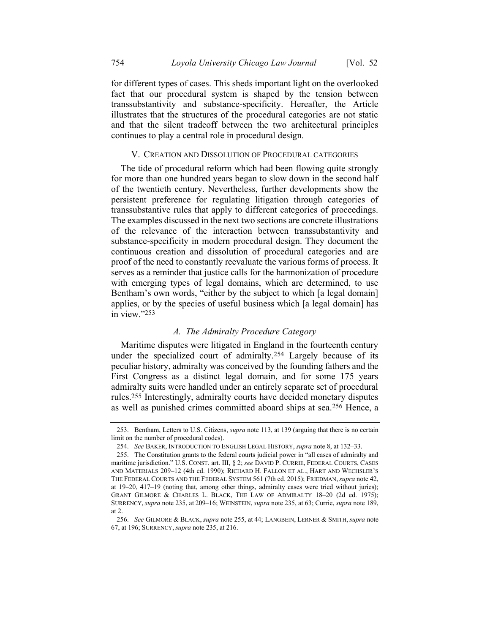for different types of cases. This sheds important light on the overlooked fact that our procedural system is shaped by the tension between transsubstantivity and substance-specificity. Hereafter, the Article illustrates that the structures of the procedural categories are not static and that the silent tradeoff between the two architectural principles continues to play a central role in procedural design.

#### V. CREATION AND DISSOLUTION OF PROCEDURAL CATEGORIES

The tide of procedural reform which had been flowing quite strongly for more than one hundred years began to slow down in the second half of the twentieth century. Nevertheless, further developments show the persistent preference for regulating litigation through categories of transsubstantive rules that apply to different categories of proceedings. The examples discussed in the next two sections are concrete illustrations of the relevance of the interaction between transsubstantivity and substance-specificity in modern procedural design. They document the continuous creation and dissolution of procedural categories and are proof of the need to constantly reevaluate the various forms of process. It serves as a reminder that justice calls for the harmonization of procedure with emerging types of legal domains, which are determined, to use Bentham's own words, "either by the subject to which [a legal domain] applies, or by the species of useful business which [a legal domain] has in view."253

#### *A. The Admiralty Procedure Category*

Maritime disputes were litigated in England in the fourteenth century under the specialized court of admiralty.254 Largely because of its peculiar history, admiralty was conceived by the founding fathers and the First Congress as a distinct legal domain, and for some 175 years admiralty suits were handled under an entirely separate set of procedural rules.255 Interestingly, admiralty courts have decided monetary disputes as well as punished crimes committed aboard ships at sea.256 Hence, a

<span id="page-48-0"></span><sup>253.</sup> Bentham, Letters to U.S. Citizens, *supra* not[e 113,](#page-24-0) at 139 (arguing that there is no certain limit on the number of procedural codes).

<sup>254.</sup> *See* BAKER, INTRODUCTION TO ENGLISH LEGAL HISTORY, *supra* not[e 8,](#page-4-1) at 132–33.

<sup>255.</sup> The Constitution grants to the federal courts judicial power in "all cases of admiralty and maritime jurisdiction." U.S. CONST. art. III, § 2; *see* DAVID P. CURRIE, FEDERAL COURTS, CASES AND MATERIALS 209–12 (4th ed. 1990); RICHARD H. FALLON ET AL., HART AND WECHSLER'S THE FEDERAL COURTS AND THE FEDERAL SYSTEM 561 (7th ed. 2015); FRIEDMAN, *supra* not[e 42,](#page-12-2)  at 19–20, 417–19 (noting that, among other things, admiralty cases were tried without juries); GRANT GILMORE & CHARLES L. BLACK, THE LAW OF ADMIRALTY 18–20 (2d ed. 1975); SURRENCY, *supra* not[e 235,](#page-45-0) at 209–16; WEINSTEIN, *supra* not[e 235,](#page-45-0) at 63; Currie, *supra* not[e 189,](#page-37-2)  at 2.

<sup>256.</sup> *See* GILMORE & BLACK, *supra* not[e 255,](#page-48-0) at 44; LANGBEIN, LERNER & SMITH, *supra* note [67,](#page-15-1) at 196; SURRENCY, *supra* not[e 235,](#page-45-0) at 216.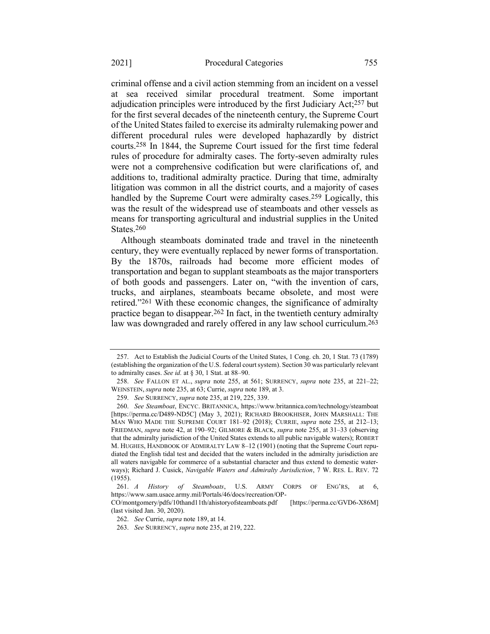criminal offense and a civil action stemming from an incident on a vessel at sea received similar procedural treatment. Some important adjudication principles were introduced by the first Judiciary Act;257 but for the first several decades of the nineteenth century, the Supreme Court of the United States failed to exercise its admiralty rulemaking power and different procedural rules were developed haphazardly by district courts.258 In 1844, the Supreme Court issued for the first time federal rules of procedure for admiralty cases. The forty-seven admiralty rules were not a comprehensive codification but were clarifications of, and additions to, traditional admiralty practice. During that time, admiralty litigation was common in all the district courts, and a majority of cases handled by the Supreme Court were admiralty cases.259 Logically, this was the result of the widespread use of steamboats and other vessels as means for transporting agricultural and industrial supplies in the United States.260

<span id="page-49-0"></span>Although steamboats dominated trade and travel in the nineteenth century, they were eventually replaced by newer forms of transportation. By the 1870s, railroads had become more efficient modes of transportation and began to supplant steamboats as the major transporters of both goods and passengers. Later on, "with the invention of cars, trucks, and airplanes, steamboats became obsolete, and most were retired."261 With these economic changes, the significance of admiralty practice began to disappear.262 In fact, in the twentieth century admiralty law was downgraded and rarely offered in any law school curriculum.<sup>263</sup>

<sup>257.</sup> Act to Establish the Judicial Courts of the United States, 1 Cong. ch. 20, 1 Stat. 73 (1789) (establishing the organization of the U.S. federal court system). Section 30 was particularly relevant to admiralty cases. *See id.* at § 30, 1 Stat. at 88–90.

<sup>258.</sup> *See* FALLON ET AL., *supra* note [255,](#page-48-0) at 561; SURRENCY, *supra* note [235,](#page-45-0) at 221–22; WEINSTEIN, *supra* not[e 235,](#page-45-0) at 63; Currie, *supra* note [189,](#page-37-2) at 3.

<sup>259.</sup> *See* SURRENCY, *supra* not[e 235,](#page-45-0) at 219, 225, 339.

<sup>260.</sup> *See Steamboat*, ENCYC. BRITANNICA, https://www.britannica.com/technology/steamboat [https://perma.cc/D489-ND5C] (May 3, 2021); RICHARD BROOKHISER, JOHN MARSHALL: THE MAN WHO MADE THE SUPREME COURT 181–92 (2018); CURRIE, *supra* note [255,](#page-48-0) at 212–13; FRIEDMAN, *supra* note [42,](#page-12-2) at 190–92; GILMORE & BLACK, *supra* note [255,](#page-48-0) at 31–33 (observing that the admiralty jurisdiction of the United States extends to all public navigable waters); ROBERT M. HUGHES, HANDBOOK OF ADMIRALTY LAW 8–12 (1901) (noting that the Supreme Court repudiated the English tidal test and decided that the waters included in the admiralty jurisdiction are all waters navigable for commerce of a substantial character and thus extend to domestic waterways); Richard J. Cusick, *Navigable Waters and Admiralty Jurisdiction*, 7 W. RES. L. REV. 72 (1955).

<sup>261.</sup> *A History of Steamboats*, U.S. ARMY CORPS OF ENG'RS, at 6, https://www.sam.usace.army.mil/Portals/46/docs/recreation/OP-

CO/montgomery/pdfs/10thand11th/ahistoryofsteamboats.pdf [https://perma.cc/GVD6-X86M] (last visited Jan. 30, 2020).

<sup>262.</sup> *See* Currie, *supra* not[e 189,](#page-37-2) at 14.

<sup>263.</sup> *See* SURRENCY, *supra* not[e 235,](#page-45-0) at 219, 222.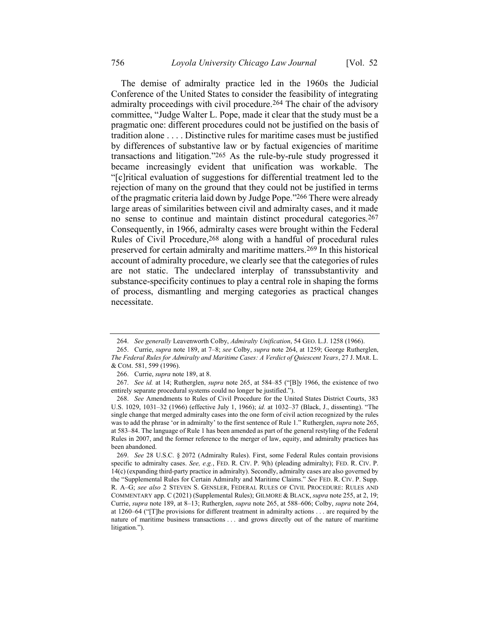<span id="page-50-1"></span><span id="page-50-0"></span>The demise of admiralty practice led in the 1960s the Judicial Conference of the United States to consider the feasibility of integrating admiralty proceedings with civil procedure.264 The chair of the advisory committee, "Judge Walter L. Pope, made it clear that the study must be a pragmatic one: different procedures could not be justified on the basis of tradition alone . . . . Distinctive rules for maritime cases must be justified by differences of substantive law or by factual exigencies of maritime transactions and litigation."265 As the rule-by-rule study progressed it became increasingly evident that unification was workable. The "[c]ritical evaluation of suggestions for differential treatment led to the rejection of many on the ground that they could not be justified in terms of the pragmatic criteria laid down by Judge Pope."266 There were already large areas of similarities between civil and admiralty cases, and it made no sense to continue and maintain distinct procedural categories.267 Consequently, in 1966, admiralty cases were brought within the Federal Rules of Civil Procedure, 268 along with a handful of procedural rules preserved for certain admiralty and maritime matters.269 In this historical account of admiralty procedure, we clearly see that the categories of rules are not static. The undeclared interplay of transsubstantivity and substance-specificity continues to play a central role in shaping the forms of process, dismantling and merging categories as practical changes necessitate.

<sup>264.</sup> *See generally* Leavenworth Colby, *Admiralty Unification*, 54 GEO. L.J. 1258 (1966).

<sup>265.</sup> Currie, *supra* note [189,](#page-37-2) at 7–8; *see* Colby, *supra* note [264,](#page-50-0) at 1259; George Rutherglen, *The Federal Rules for Admiralty and Maritime Cases: A Verdict of Quiescent Years*, 27 J. MAR. L. & COM. 581, 599 (1996).

<sup>266.</sup> Currie, *supra* not[e 189,](#page-37-2) at 8.

<sup>267.</sup> *See id.* at 14; Rutherglen, *supra* note [265,](#page-50-1) at 584–85 ("[B]y 1966, the existence of two entirely separate procedural systems could no longer be justified.").

<sup>268.</sup> *See* Amendments to Rules of Civil Procedure for the United States District Courts, 383 U.S. 1029, 1031–32 (1966) (effective July 1, 1966); *id.* at 1032–37 (Black, J., dissenting). "The single change that merged admiralty cases into the one form of civil action recognized by the rules was to add the phrase 'or in admiralty' to the first sentence of Rule 1." Rutherglen, *supra* not[e 265,](#page-50-1)  at 583–84. The language of Rule 1 has been amended as part of the general restyling of the Federal Rules in 2007, and the former reference to the merger of law, equity, and admiralty practices has been abandoned.

<sup>269.</sup> *See* 28 U.S.C. § 2072 (Admiralty Rules). First, some Federal Rules contain provisions specific to admiralty cases. *See, e.g.*, FED. R. CIV. P. 9(h) (pleading admiralty); FED. R. CIV. P. 14(c) (expanding third-party practice in admiralty). Secondly, admiralty cases are also governed by the "Supplemental Rules for Certain Admiralty and Maritime Claims." *See* FED. R. CIV. P. Supp. R. A–G; *see also* 2 STEVEN S. GENSLER, FEDERAL RULES OF CIVIL PROCEDURE: RULES AND COMMENTARY app. C (2021) (Supplemental Rules); GILMORE & BLACK, *supra* note [255,](#page-48-0) at 2, 19; Currie, *supra* note [189,](#page-37-2) at 8–13; Rutherglen, *supra* note [265,](#page-50-1) at 588–606; Colby, *supra* note [264,](#page-50-0)  at 1260–64 ("[T]he provisions for different treatment in admiralty actions . . . are required by the nature of maritime business transactions . . . and grows directly out of the nature of maritime litigation.").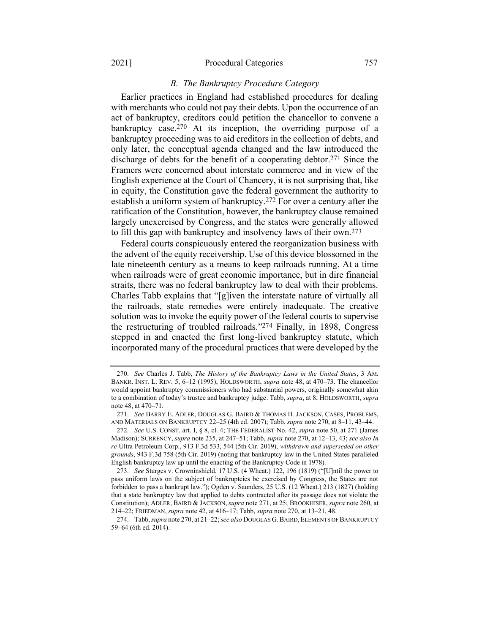#### 2021] Procedural Categories 757

#### <span id="page-51-1"></span><span id="page-51-0"></span>*B. The Bankruptcy Procedure Category*

Earlier practices in England had established procedures for dealing with merchants who could not pay their debts. Upon the occurrence of an act of bankruptcy, creditors could petition the chancellor to convene a bankruptcy case.<sup>270</sup> At its inception, the overriding purpose of a bankruptcy proceeding was to aid creditors in the collection of debts, and only later, the conceptual agenda changed and the law introduced the discharge of debts for the benefit of a cooperating debtor.271 Since the Framers were concerned about interstate commerce and in view of the English experience at the Court of Chancery, it is not surprising that, like in equity, the Constitution gave the federal government the authority to establish a uniform system of bankruptcy.272 For over a century after the ratification of the Constitution, however, the bankruptcy clause remained largely unexercised by Congress, and the states were generally allowed to fill this gap with bankruptcy and insolvency laws of their own.273

Federal courts conspicuously entered the reorganization business with the advent of the equity receivership. Use of this device blossomed in the late nineteenth century as a means to keep railroads running. At a time when railroads were of great economic importance, but in dire financial straits, there was no federal bankruptcy law to deal with their problems. Charles Tabb explains that "[g]iven the interstate nature of virtually all the railroads, state remedies were entirely inadequate. The creative solution was to invoke the equity power of the federal courts to supervise the restructuring of troubled railroads."274 Finally, in 1898, Congress stepped in and enacted the first long-lived bankruptcy statute, which incorporated many of the procedural practices that were developed by the

<span id="page-51-2"></span><sup>270.</sup> *See* Charles J. Tabb, *The History of the Bankruptcy Laws in the United States*, 3 AM. BANKR. INST. L. REV. 5, 6–12 (1995); HOLDSWORTH, *supra* note [48,](#page-13-0) at 470–73. The chancellor would appoint bankruptcy commissioners who had substantial powers, originally somewhat akin to a combination of today's trustee and bankruptcy judge. Tabb, *supra*, at 8; HOLDSWORTH, *supra*  note [48,](#page-13-0) at 470–71.

<sup>271.</sup> *See* BARRY E. ADLER, DOUGLAS G. BAIRD & THOMAS H. JACKSON, CASES, PROBLEMS, AND MATERIALS ON BANKRUPTCY 22–25 (4th ed. 2007); Tabb, *supra* not[e 270,](#page-51-0) at 8–11, 43–44.

<sup>272.</sup> *See* U.S. CONST. art. I, § 8, cl. 4; THE FEDERALIST No. 42, *supra* not[e 50,](#page-13-1) at 271 (James Madison); SURRENCY, *supra* not[e 235,](#page-45-0) at 247–51; Tabb, *supra* not[e 270,](#page-51-0) at 12–13, 43; *see also In re* Ultra Petroleum Corp., 913 F.3d 533, 544 (5th Cir. 2019), *withdrawn and superseded on other grounds*, 943 F.3d 758 (5th Cir. 2019) (noting that bankruptcy law in the United States paralleled English bankruptcy law up until the enacting of the Bankruptcy Code in 1978).

<sup>273.</sup> *See* Sturges v. Crowninshield, 17 U.S. (4 Wheat.) 122, 196 (1819) ("[U]ntil the power to pass uniform laws on the subject of bankruptcies be exercised by Congress, the States are not forbidden to pass a bankrupt law."); Ogden v. Saunders, 25 U.S. (12 Wheat.) 213 (1827) (holding that a state bankruptcy law that applied to debts contracted after its passage does not violate the Constitution); ADLER, BAIRD & JACKSON, *supra* note [271,](#page-51-1) at 25; BROOKHISER, *supra* note [260,](#page-49-0) at 214–22; FRIEDMAN, *supra* not[e 42,](#page-12-2) at 416–17; Tabb, *supra* not[e 270,](#page-51-0) at 13–21, 48.

<sup>274.</sup> Tabb, *supra* not[e 270,](#page-51-0) at 21–22; *see also* DOUGLAS G.BAIRD, ELEMENTS OF BANKRUPTCY 59–64 (6th ed. 2014).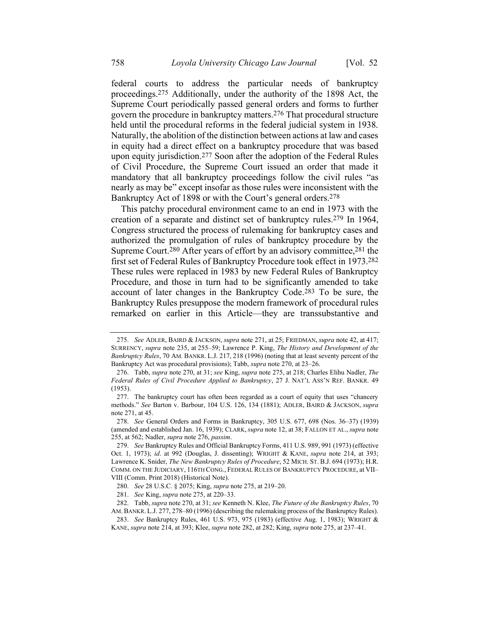<span id="page-52-1"></span><span id="page-52-0"></span>federal courts to address the particular needs of bankruptcy proceedings.275 Additionally, under the authority of the 1898 Act, the Supreme Court periodically passed general orders and forms to further govern the procedure in bankruptcy matters.276 That procedural structure held until the procedural reforms in the federal judicial system in 1938. Naturally, the abolition of the distinction between actions at law and cases in equity had a direct effect on a bankruptcy procedure that was based upon equity jurisdiction.277 Soon after the adoption of the Federal Rules of Civil Procedure, the Supreme Court issued an order that made it mandatory that all bankruptcy proceedings follow the civil rules "as nearly as may be" except insofar as those rules were inconsistent with the Bankruptcy Act of 1898 or with the Court's general orders.278

<span id="page-52-3"></span><span id="page-52-2"></span>This patchy procedural environment came to an end in 1973 with the creation of a separate and distinct set of bankruptcy rules.279 In 1964, Congress structured the process of rulemaking for bankruptcy cases and authorized the promulgation of rules of bankruptcy procedure by the Supreme Court.280 After years of effort by an advisory committee,281 the first set of Federal Rules of Bankruptcy Procedure took effect in 1973.282 These rules were replaced in 1983 by new Federal Rules of Bankruptcy Procedure, and those in turn had to be significantly amended to take account of later changes in the Bankruptcy Code.283 To be sure, the Bankruptcy Rules presuppose the modern framework of procedural rules remarked on earlier in this Article—they are transsubstantive and

<sup>275.</sup> *See* ADLER, BAIRD & JACKSON, *supra* not[e 271,](#page-51-1) at 25; FRIEDMAN, *supra* note [42,](#page-12-2) at 417; SURRENCY, *supra* note [235,](#page-45-0) at 255–59; Lawrence P. King, *The History and Development of the Bankruptcy Rules*, 70 AM. BANKR. L.J. 217, 218 (1996) (noting that at least seventy percent of the Bankruptcy Act was procedural provisions); Tabb, *supra* not[e 270,](#page-51-0) at 23–26.

<sup>276.</sup> Tabb, *supra* not[e 270,](#page-51-0) at 31; *see* King, *supra* not[e 275,](#page-52-0) at 218; Charles Elihu Nadler, *The Federal Rules of Civil Procedure Applied to Bankruptcy*, 27 J. NAT'L ASS'N REF. BANKR. 49 (1953).

<sup>277.</sup> The bankruptcy court has often been regarded as a court of equity that uses "chancery methods." *See* Barton v. Barbour, 104 U.S. 126, 134 (1881); ADLER, BAIRD & JACKSON, *supra* note [271,](#page-51-1) at 45.

<sup>278.</sup> *See* General Orders and Forms in Bankruptcy, 305 U.S. 677, 698 (Nos. 36–37) (1939) (amended and established Jan. 16, 1939); CLARK, *supra* note [12,](#page-4-2) at 38; FALLON ET AL., *supra* note [255,](#page-48-0) at 562; Nadler, *supra* not[e 276,](#page-52-1) *passim*.

<sup>279.</sup> *See* Bankruptcy Rules and Official Bankruptcy Forms, 411 U.S. 989, 991 (1973) (effective Oct. 1, 1973); *id*. at 992 (Douglas, J. dissenting); WRIGHT & KANE, *supra* note [214,](#page-42-0) at 393; Lawrence K. Snider, *The New Bankruptcy Rules of Procedure*, 52 MICH. ST. B.J. 694 (1973); H.R. COMM. ON THE JUDICIARY, 116TH CONG., FEDERAL RULES OF BANKRUPTCY PROCEDURE, at VII– VIII (Comm. Print 2018) (Historical Note).

<sup>280.</sup> *See* 28 U.S.C. § 2075; King, *supra* note [275,](#page-52-0) at 219–20.

<sup>281.</sup> *See* King, *supra* not[e 275,](#page-52-0) at 220–33.

<sup>282.</sup> Tabb, *supra* not[e 270,](#page-51-0) at 31; *see* Kenneth N. Klee, *The Future of the Bankruptcy Rules*, 70 AM. BANKR. L.J. 277, 278–80 (1996) (describing the rulemaking process of the Bankruptcy Rules).

<sup>283.</sup> *See* Bankruptcy Rules, 461 U.S. 973, 975 (1983) (effective Aug. 1, 1983); WRIGHT & KANE, *supra* not[e 214,](#page-42-0) at 393; Klee, *supra* not[e 282,](#page-52-2) at 282; King, *supra* not[e 275,](#page-52-0) at 237–41.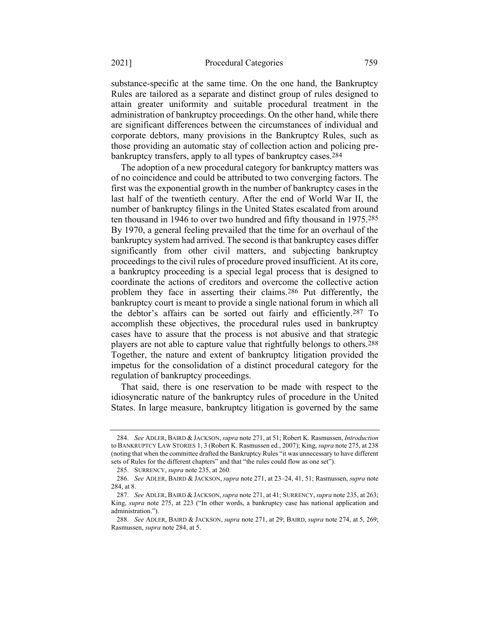substance-specific at the same time. On the one hand, the Bankruptcy Rules are tailored as a separate and distinct group of rules designed to attain greater uniformity and suitable procedural treatment in the administration of bankruptcy proceedings. On the other hand, while there are significant differences between the circumstances of individual and corporate debtors, many provisions in the Bankruptcy Rules, such as those providing an automatic stay of collection action and policing prebankruptcy transfers, apply to all types of bankruptcy cases.284

<span id="page-53-0"></span>The adoption of a new procedural category for bankruptcy matters was of no coincidence and could be attributed to two converging factors. The first was the exponential growth in the number of bankruptcy cases in the last half of the twentieth century. After the end of World War II, the number of bankruptcy filings in the United States escalated from around ten thousand in 1946 to over two hundred and fifty thousand in 1975.285 By 1970, a general feeling prevailed that the time for an overhaul of the bankruptcy system had arrived. The second isthat bankruptcy cases differ significantly from other civil matters, and subjecting bankruptcy proceedings to the civil rules of procedure proved insufficient. At its core, a bankruptcy proceeding is a special legal process that is designed to coordinate the actions of creditors and overcome the collective action problem they face in asserting their claims.286 Put differently, the bankruptcy court is meant to provide a single national forum in which all the debtor's affairs can be sorted out fairly and efficiently.287 To accomplish these objectives, the procedural rules used in bankruptcy cases have to assure that the process is not abusive and that strategic players are not able to capture value that rightfully belongs to others.<sup>288</sup> Together, the nature and extent of bankruptcy litigation provided the impetus for the consolidation of a distinct procedural category for the regulation of bankruptcy proceedings.

That said, there is one reservation to be made with respect to the idiosyncratic nature of the bankruptcy rules of procedure in the United States. In large measure, bankruptcy litigation is governed by the same

<sup>284.</sup> *See* ADLER, BAIRD & JACKSON,*supra* not[e 271,](#page-51-1) at 51; Robert K. Rasmussen, *Introduction* to BANKRUPTCY LAW STORIES 1, 3 (Robert K. Rasmussen ed., 2007); King, *supra* not[e 275,](#page-52-0) at 238 (noting that when the committee drafted the Bankruptcy Rules "it was unnecessary to have different sets of Rules for the different chapters" and that "the rules could flow as one set").

<sup>285.</sup> SURRENCY, *supra* not[e 235,](#page-45-0) at 260.

<sup>286.</sup> *See* ADLER, BAIRD & JACKSON, *supra* not[e 271,](#page-51-1) at 23–24, 41, 51; Rasmussen, *supra* note [284,](#page-53-0) at 8.

<sup>287.</sup> *See* ADLER, BAIRD & JACKSON,*supra* not[e 271,](#page-51-1) at 41; SURRENCY,*supra* not[e 235,](#page-45-0) at 263; King, *supra* note [275](#page-52-0), at 223 ("In other words, a bankruptcy case has national application and administration.").

<sup>288.</sup> *See* ADLER, BAIRD & JACKSON, *supra* note [271,](#page-51-1) at 29; BAIRD, *supra* not[e 274,](#page-51-2) at 5, 269; Rasmussen, *supra* note [284,](#page-53-0) at 5.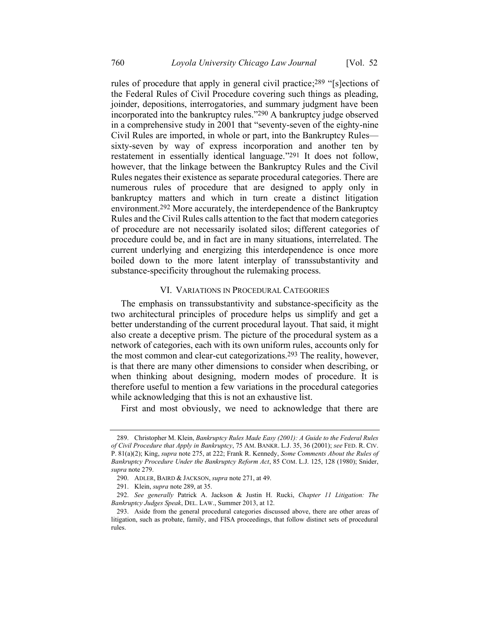<span id="page-54-0"></span>rules of procedure that apply in general civil practice;<sup>289</sup> "[s]ections of the Federal Rules of Civil Procedure covering such things as pleading, joinder, depositions, interrogatories, and summary judgment have been incorporated into the bankruptcy rules."290 A bankruptcy judge observed in a comprehensive study in 2001 that "seventy-seven of the eighty-nine Civil Rules are imported, in whole or part, into the Bankruptcy Rules sixty-seven by way of express incorporation and another ten by restatement in essentially identical language."291 It does not follow, however, that the linkage between the Bankruptcy Rules and the Civil Rules negates their existence as separate procedural categories. There are numerous rules of procedure that are designed to apply only in bankruptcy matters and which in turn create a distinct litigation environment.292 More accurately, the interdependence of the Bankruptcy Rules and the Civil Rules calls attention to the fact that modern categories of procedure are not necessarily isolated silos; different categories of procedure could be, and in fact are in many situations, interrelated. The current underlying and energizing this interdependence is once more boiled down to the more latent interplay of transsubstantivity and substance-specificity throughout the rulemaking process.

#### VI. VARIATIONS IN PROCEDURAL CATEGORIES

The emphasis on transsubstantivity and substance-specificity as the two architectural principles of procedure helps us simplify and get a better understanding of the current procedural layout. That said, it might also create a deceptive prism. The picture of the procedural system as a network of categories, each with its own uniform rules, accounts only for the most common and clear-cut categorizations.293 The reality, however, is that there are many other dimensions to consider when describing, or when thinking about designing, modern modes of procedure. It is therefore useful to mention a few variations in the procedural categories while acknowledging that this is not an exhaustive list.

First and most obviously, we need to acknowledge that there are

<sup>289.</sup> Christopher M. Klein, *Bankruptcy Rules Made Easy (2001): A Guide to the Federal Rules of Civil Procedure that Apply in Bankruptcy*, 75 AM. BANKR. L.J. 35, 36 (2001); *see* FED. R. CIV. P. 81(a)(2); King, *supra* not[e 275,](#page-52-0) at 222; Frank R. Kennedy, *Some Comments About the Rules of Bankruptcy Procedure Under the Bankruptcy Reform Act*, 85 COM. L.J. 125, 128 (1980); Snider, *supra* not[e 279.](#page-52-3)

<sup>290.</sup> ADLER, BAIRD & JACKSON, *supra* not[e 271,](#page-51-1) at 49.

<sup>291.</sup> Klein, *supra* not[e 289,](#page-54-0) at 35.

<sup>292.</sup> *See generally* Patrick A. Jackson & Justin H. Rucki, *Chapter 11 Litigation: The Bankruptcy Judges Speak*, DEL. LAW., Summer 2013, at 12.

<sup>293.</sup> Aside from the general procedural categories discussed above, there are other areas of litigation, such as probate, family, and FISA proceedings, that follow distinct sets of procedural rules.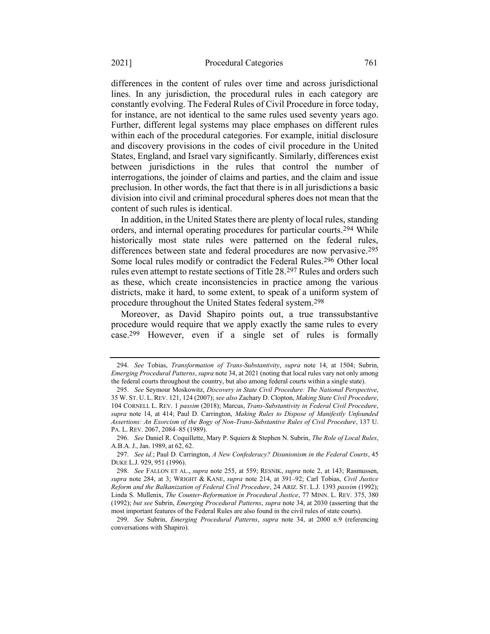differences in the content of rules over time and across jurisdictional lines. In any jurisdiction, the procedural rules in each category are constantly evolving. The Federal Rules of Civil Procedure in force today, for instance, are not identical to the same rules used seventy years ago. Further, different legal systems may place emphases on different rules within each of the procedural categories. For example, initial disclosure and discovery provisions in the codes of civil procedure in the United States, England, and Israel vary significantly. Similarly, differences exist between jurisdictions in the rules that control the number of interrogations, the joinder of claims and parties, and the claim and issue preclusion. In other words, the fact that there is in all jurisdictions a basic division into civil and criminal procedural spheres does not mean that the content of such rules is identical.

<span id="page-55-0"></span>In addition, in the United States there are plenty of local rules, standing orders, and internal operating procedures for particular courts.294 While historically most state rules were patterned on the federal rules, differences between state and federal procedures are now pervasive.295 Some local rules modify or contradict the Federal Rules.296 Other local rules even attempt to restate sections of Title 28.297 Rules and orders such as these, which create inconsistencies in practice among the various districts, make it hard, to some extent, to speak of a uniform system of procedure throughout the United States federal system.298

<span id="page-55-1"></span>Moreover, as David Shapiro points out, a true transsubstantive procedure would require that we apply exactly the same rules to every case.299 However, even if a single set of rules is formally

<sup>294.</sup> *See* Tobias, *Transformation of Trans-Substantivity*, *supra* note [14,](#page-5-0) at 1504; Subrin, *Emerging Procedural Patterns*, *supra* not[e 34,](#page-10-1) at 2021 (noting that local rules vary not only among the federal courts throughout the country, but also among federal courts within a single state).

<sup>295.</sup> *See* Seymour Moskowitz, *Discovery in State Civil Procedure: The National Perspective*, 35 W. ST. U. L. REV. 121, 124 (2007); *see also* Zachary D. Clopton, *Making State Civil Procedure*, 104 CORNELL L. REV. 1 *passim* (2018); Marcus, *Trans-Substantivity in Federal Civil Procedure*, *supra* note [14,](#page-5-0) at 414; Paul D. Carrington, *Making Rules to Dispose of Manifestly Unfounded Assertions: An Exorcism of the Bogy of Non-Trans-Substantive Rules of Civil Procedure*, 137 U. PA. L. REV. 2067, 2084–85 (1989).

<sup>296.</sup> *See* Daniel R. Coquillette, Mary P. Squiers & Stephen N. Subrin, *The Role of Local Rules*, A.B.A. J., Jan. 1989, at 62, 62.

<sup>297.</sup> *See id.*; Paul D. Carrington, *A New Confederacy? Disunionism in the Federal Courts*, 45 DUKE L.J. 929, 951 (1996).

<sup>298.</sup> *See* FALLON ET AL., *supra* note [255,](#page-48-0) at 559; RESNIK, *supra* note [2,](#page-2-1) at 143; Rasmussen, *supra* note [284,](#page-53-0) at 3; WRIGHT & KANE, *supra* note [214,](#page-42-0) at 391–92; Carl Tobias, *Civil Justice Reform and the Balkanization of Federal Civil Procedure*, 24 ARIZ. ST. L.J. 1393 *passim* (1992); Linda S. Mullenix, *The Counter-Reformation in Procedural Justice*, 77 MINN. L. REV. 375, 380 (1992); *but see* Subrin, *Emerging Procedural Patterns*, *supra* not[e 34,](#page-10-1) at 2030 (asserting that the most important features of the Federal Rules are also found in the civil rules of state courts).

<sup>299.</sup> *See* Subrin, *Emerging Procedural Patterns*, *supra* note [34,](#page-10-1) at 2000 n.9 (referencing conversations with Shapiro).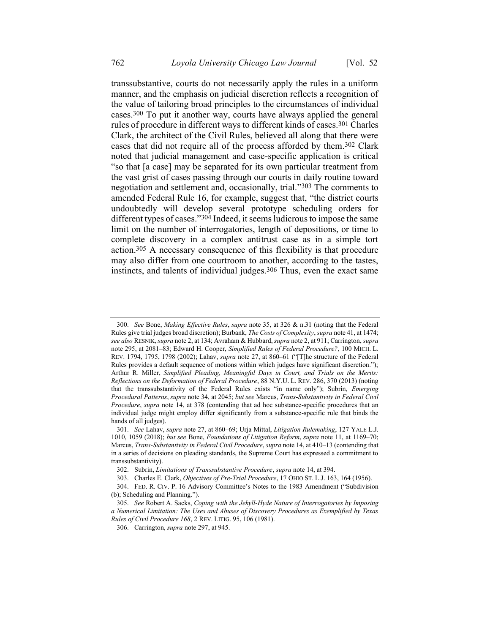<span id="page-56-0"></span>transsubstantive, courts do not necessarily apply the rules in a uniform manner, and the emphasis on judicial discretion reflects a recognition of the value of tailoring broad principles to the circumstances of individual cases.300 To put it another way, courts have always applied the general rules of procedure in different ways to different kinds of cases.301 Charles Clark, the architect of the Civil Rules, believed all along that there were cases that did not require all of the process afforded by them.302 Clark noted that judicial management and case-specific application is critical "so that [a case] may be separated for its own particular treatment from the vast grist of cases passing through our courts in daily routine toward negotiation and settlement and, occasionally, trial."303 The comments to amended Federal Rule 16, for example, suggest that, "the district courts undoubtedly will develop several prototype scheduling orders for different types of cases."304 Indeed, it seems ludicrous to impose the same limit on the number of interrogatories, length of depositions, or time to complete discovery in a complex antitrust case as in a simple tort action.305 A necessary consequence of this flexibility is that procedure may also differ from one courtroom to another, according to the tastes, instincts, and talents of individual judges.306 Thus, even the exact same

<sup>300.</sup> *See* Bone, *Making Effective Rules*, *supra* not[e 35,](#page-10-0) at 326 & n.31 (noting that the Federal Rules give trial judges broad discretion); Burbank, *The Costs of Complexity*, *supra* not[e 41,](#page-12-3) at 1474; *see also* RESNIK,*supra* not[e 2,](#page-2-1) at 134; Avraham & Hubbard, *supra* not[e 2,](#page-2-1) at 911; Carrington, *supra* note [295,](#page-55-0) at 2081–83; Edward H. Cooper, *Simplified Rules of Federal Procedure?*, 100 MICH. L. REV. 1794, 1795, 1798 (2002); Lahav, *supra* note [27,](#page-9-0) at 860–61 ("[T]he structure of the Federal Rules provides a default sequence of motions within which judges have significant discretion."); Arthur R. Miller, *Simplified Pleading, Meaningful Days in Court, and Trials on the Merits: Reflections on the Deformation of Federal Procedure*, 88 N.Y.U. L. REV. 286, 370 (2013) (noting that the transsubstantivity of the Federal Rules exists "in name only"); Subrin, *Emerging Procedural Patterns*, *supra* not[e 34,](#page-10-1) at 2045; *but see* Marcus, *Trans-Substantivity in Federal Civil Procedure*, *supra* note [14,](#page-5-0) at 378 (contending that ad hoc substance-specific procedures that an individual judge might employ differ significantly from a substance-specific rule that binds the hands of all judges).

<sup>301.</sup> *See* Lahav, *supra* note 27, at 860–69; Urja Mittal, *Litigation Rulemaking*, 127 YALE L.J. 1010, 1059 (2018); *but see* Bone, *Foundations of Litigation Reform*, *supra* not[e 11,](#page-4-0) at 1169–70; Marcus, *Trans-Substantivity in Federal Civil Procedure*, *supra* not[e 14,](#page-5-0) at 410–13 (contending that in a series of decisions on pleading standards, the Supreme Court has expressed a commitment to transsubstantivity).

<sup>302.</sup> Subrin, *Limitations of Transsubstantive Procedure*, *supra* not[e 14,](#page-5-0) at 394.

<sup>303.</sup> Charles E. Clark, *Objectives of Pre-Trial Procedure*, 17 OHIO ST. L.J. 163, 164 (1956).

<sup>304.</sup> FED. R. CIV. P. 16 Advisory Committee's Notes to the 1983 Amendment ("Subdivision (b); Scheduling and Planning.").

<sup>305.</sup> *See* Robert A. Sacks, *Coping with the Jekyll-Hyde Nature of Interrogatories by Imposing a Numerical Limitation: The Uses and Abuses of Discovery Procedures as Exemplified by Texas Rules of Civil Procedure 168*, 2 REV. LITIG. 95, 106 (1981).

<sup>306.</sup> Carrington, *supra* not[e 297,](#page-55-1) at 945.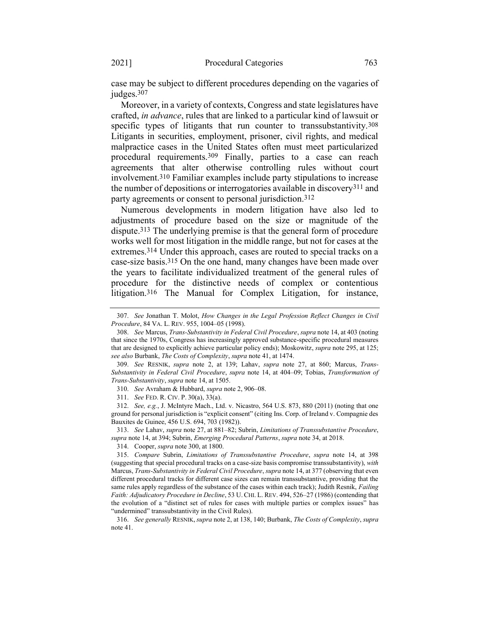case may be subject to different procedures depending on the vagaries of judges.<sup>307</sup>

Moreover, in a variety of contexts, Congress and state legislatures have crafted, *in advance*, rules that are linked to a particular kind of lawsuit or specific types of litigants that run counter to transsubstantivity.<sup>308</sup> Litigants in securities, employment, prisoner, civil rights, and medical malpractice cases in the United States often must meet particularized procedural requirements.309 Finally, parties to a case can reach agreements that alter otherwise controlling rules without court involvement.310 Familiar examples include party stipulations to increase the number of depositions or interrogatories available in discovery<sup>311</sup> and party agreements or consent to personal jurisdiction.312

Numerous developments in modern litigation have also led to adjustments of procedure based on the size or magnitude of the dispute.313 The underlying premise is that the general form of procedure works well for most litigation in the middle range, but not for cases at the extremes.314 Under this approach, cases are routed to special tracks on a case-size basis.315 On the one hand, many changes have been made over the years to facilitate individualized treatment of the general rules of procedure for the distinctive needs of complex or contentious litigation.316 The Manual for Complex Litigation, for instance,

<sup>307.</sup> *See* Jonathan T. Molot, *How Changes in the Legal Profession Reflect Changes in Civil Procedure*, 84 VA. L. REV. 955, 1004–05 (1998).

<sup>308.</sup> *See* Marcus, *Trans-Substantivity in Federal Civil Procedure*, *supra* not[e 14,](#page-5-0) at 403 (noting that since the 1970s, Congress has increasingly approved substance-specific procedural measures that are designed to explicitly achieve particular policy ends); Moskowitz, *supra* not[e 295,](#page-55-0) at 125; *see also* Burbank, *The Costs of Complexity*, *supra* not[e 41,](#page-12-3) at 1474.

<sup>309.</sup> *See* RESNIK, *supra* note [2,](#page-2-1) at 139; Lahav, *supra* note [27,](#page-9-0) at 860; Marcus, *Trans-Substantivity in Federal Civil Procedure*, *supra* note [14,](#page-5-0) at 404–09; Tobias, *Transformation of Trans-Substantivity*, *supra* note [14,](#page-5-0) at 1505.

<sup>310.</sup> *See* Avraham & Hubbard, *supra* not[e 2,](#page-2-1) 906–08.

<sup>311.</sup> *See* FED. R. CIV. P. 30(a), 33(a).

<sup>312.</sup> *See, e.g.*, J. McIntyre Mach., Ltd. v. Nicastro, 564 U.S. 873, 880 (2011) (noting that one ground for personal jurisdiction is "explicit consent" (citing Ins. Corp. of Ireland v. Compagnie des Bauxites de Guinee, 456 U.S. 694, 703 (1982)).

<sup>313.</sup> *See* Lahav, *supra* not[e 27,](#page-9-0) at 881–82; Subrin, *Limitations of Transsubstantive Procedure*, *supra* not[e 14,](#page-5-0) at 394; Subrin, *Emerging Procedural Patterns*, *supra* not[e 34,](#page-10-1) at 2018.

<sup>314.</sup> Cooper, *supra* not[e 300,](#page-56-0) at 1800.

<sup>315.</sup> *Compare* Subrin, *Limitations of Transsubstantive Procedure*, *supra* note [14,](#page-5-0) at 398 (suggesting that special procedural tracks on a case-size basis compromise transsubstantivity), *with* Marcus, *Trans-Substantivity in Federal Civil Procedure*, *supra* not[e 14,](#page-5-0) at 377 (observing that even different procedural tracks for different case sizes can remain transsubstantive, providing that the same rules apply regardless of the substance of the cases within each track); Judith Resnik, *Failing Faith: Adjudicatory Procedure in Decline*, 53 U. CHI. L. REV. 494, 526–27 (1986) (contending that the evolution of a "distinct set of rules for cases with multiple parties or complex issues" has "undermined" transsubstantivity in the Civil Rules).

<sup>316.</sup> *See generally* RESNIK, *supra* not[e 2,](#page-2-1) at 138, 140; Burbank, *The Costs of Complexity*, *supra*  note [41.](#page-12-3)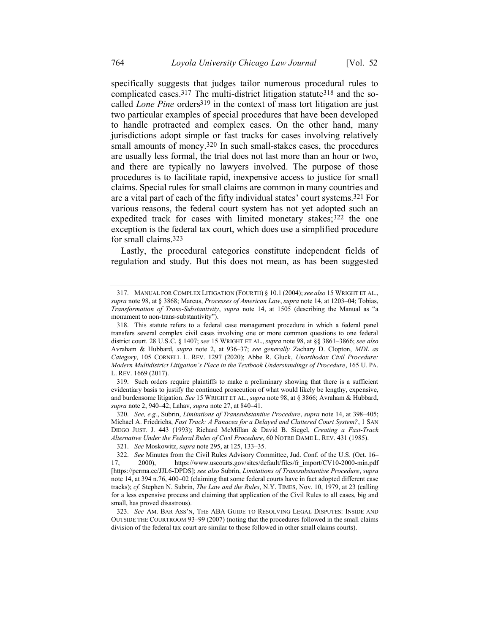specifically suggests that judges tailor numerous procedural rules to complicated cases.<sup>317</sup> The multi-district litigation statute<sup>318</sup> and the socalled *Lone Pine* orders<sup>319</sup> in the context of mass tort litigation are just two particular examples of special procedures that have been developed to handle protracted and complex cases. On the other hand, many jurisdictions adopt simple or fast tracks for cases involving relatively small amounts of money.<sup>320</sup> In such small-stakes cases, the procedures are usually less formal, the trial does not last more than an hour or two, and there are typically no lawyers involved. The purpose of those procedures is to facilitate rapid, inexpensive access to justice for small claims. Special rules for small claims are common in many countries and are a vital part of each of the fifty individual states' court systems.321 For various reasons, the federal court system has not yet adopted such an expedited track for cases with limited monetary stakes;<sup>322</sup> the one exception is the federal tax court, which does use a simplified procedure for small claims.323

Lastly, the procedural categories constitute independent fields of regulation and study. But this does not mean, as has been suggested

<sup>317.</sup> MANUAL FOR COMPLEX LITIGATION (FOURTH) § 10.1 (2004); *see also* 15 WRIGHT ET AL., *supra* not[e 98,](#page-20-1) at § 3868; Marcus, *Processes of American Law*, *supra* not[e 14,](#page-5-0) at 1203–04; Tobias, *Transformation of Trans-Substantivity*, *supra* note [14](#page-5-0), at 1505 (describing the Manual as "a monument to non-trans-substantivity").

<sup>318.</sup> This statute refers to a federal case management procedure in which a federal panel transfers several complex civil cases involving one or more common questions to one federal district court. 28 U.S.C. § 1407; *see* 15 WRIGHT ET AL., *supra* not[e 98,](#page-20-1) at §§ 3861–3866; *see also*  Avraham & Hubbard, *supra* note [2,](#page-2-1) at 936–37; *see generally* Zachary D. Clopton, *MDL as Category*, 105 CORNELL L. REV. 1297 (2020); Abbe R. Gluck, *Unorthodox Civil Procedure: Modern Multidistrict Litigation's Place in the Textbook Understandings of Procedure*, 165 U. PA. L. REV. 1669 (2017).

<sup>319.</sup> Such orders require plaintiffs to make a preliminary showing that there is a sufficient evidentiary basis to justify the continued prosecution of what would likely be lengthy, expensive, and burdensome litigation. *See* 15 WRIGHT ET AL., *supra* not[e 98,](#page-20-1) at § 3866; Avraham & Hubbard, *supra* not[e 2,](#page-2-1) 940–42; Lahav, *supra* not[e 27,](#page-9-0) at 840–41.

<sup>320.</sup> *See, e.g.*, Subrin, *Limitations of Transsubstantive Procedure*, *supra* note [14,](#page-5-0) at 398–405; Michael A. Friedrichs, *Fast Track: A Panacea for a Delayed and Cluttered Court System?*, 1 SAN DIEGO JUST. J. 443 (1993); Richard McMillan & David B. Siegel, *Creating a Fast-Track Alternative Under the Federal Rules of Civil Procedure*, 60 NOTRE DAME L. REV. 431 (1985).

<sup>321.</sup> *See* Moskowitz, *supra* not[e 295,](#page-55-0) at 125, 133–35.

<sup>322.</sup> *See* Minutes from the Civil Rules Advisory Committee, Jud. Conf. of the U.S. (Oct. 16– 17, 2000), https://www.uscourts.gov/sites/default/files/fr\_import/CV10-2000-min.pdf [https://perma.cc/JJL6-DPDS]; *see also* Subrin, *Limitations of Transsubstantive Procedure*, *supra*  not[e 14,](#page-5-0) at 394 n.76, 400–02 (claiming that some federal courts have in fact adopted different case tracks); *cf.* Stephen N. Subrin, *The Law and the Rules*, N.Y. TIMES, Nov. 10, 1979, at 23 (calling for a less expensive process and claiming that application of the Civil Rules to all cases, big and small, has proved disastrous).

<sup>323.</sup> *See* AM. BAR ASS'N, THE ABA GUIDE TO RESOLVING LEGAL DISPUTES: INSIDE AND OUTSIDE THE COURTROOM 93–99 (2007) (noting that the procedures followed in the small claims division of the federal tax court are similar to those followed in other small claims courts).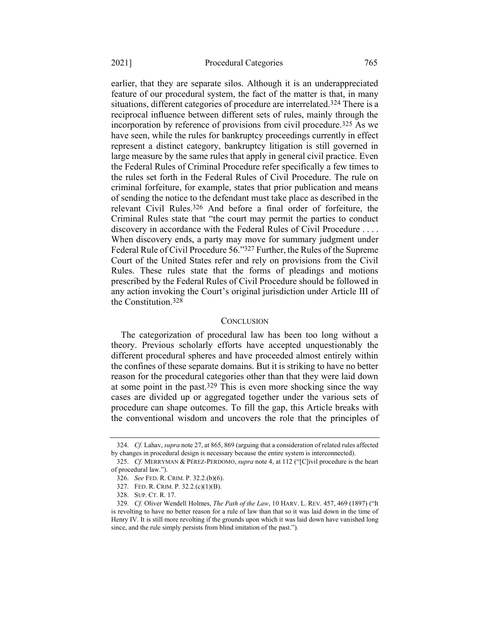earlier, that they are separate silos. Although it is an underappreciated feature of our procedural system, the fact of the matter is that, in many situations, different categories of procedure are interrelated.324 There is a reciprocal influence between different sets of rules, mainly through the incorporation by reference of provisions from civil procedure.325 As we have seen, while the rules for bankruptcy proceedings currently in effect represent a distinct category, bankruptcy litigation is still governed in large measure by the same rules that apply in general civil practice. Even the Federal Rules of Criminal Procedure refer specifically a few times to the rules set forth in the Federal Rules of Civil Procedure. The rule on criminal forfeiture, for example, states that prior publication and means of sending the notice to the defendant must take place as described in the relevant Civil Rules.326 And before a final order of forfeiture, the Criminal Rules state that "the court may permit the parties to conduct discovery in accordance with the Federal Rules of Civil Procedure . . . . When discovery ends, a party may move for summary judgment under Federal Rule of Civil Procedure 56."327 Further, the Rules of the Supreme Court of the United States refer and rely on provisions from the Civil Rules. These rules state that the forms of pleadings and motions prescribed by the Federal Rules of Civil Procedure should be followed in any action invoking the Court's original jurisdiction under Article III of the Constitution.328

#### **CONCLUSION**

The categorization of procedural law has been too long without a theory. Previous scholarly efforts have accepted unquestionably the different procedural spheres and have proceeded almost entirely within the confines of these separate domains. But it is striking to have no better reason for the procedural categories other than that they were laid down at some point in the past.329 This is even more shocking since the way cases are divided up or aggregated together under the various sets of procedure can shape outcomes. To fill the gap, this Article breaks with the conventional wisdom and uncovers the role that the principles of

<sup>324.</sup> *Cf.* Lahav, *supra* not[e 27,](#page-9-0) at 865, 869 (arguing that a consideration of related rules affected by changes in procedural design is necessary because the entire system is interconnected).

<sup>325.</sup> *Cf.* MERRYMAN & PÉREZ-PERDOMO, *supra* note [4,](#page-3-0) at 112 ("[C]ivil procedure is the heart of procedural law.").

<sup>326.</sup> *See* FED. R. CRIM. P. 32.2.(b)(6).

<sup>327.</sup> FED. R. CRIM. P. 32.2.(c)(1)(B).

<sup>328.</sup> SUP. CT. R. 17.

<sup>329.</sup> *Cf.* Oliver Wendell Holmes, *The Path of the Law*, 10 HARV. L. REV. 457, 469 (1897) ("It is revolting to have no better reason for a rule of law than that so it was laid down in the time of Henry IV. It is still more revolting if the grounds upon which it was laid down have vanished long since, and the rule simply persists from blind imitation of the past.").